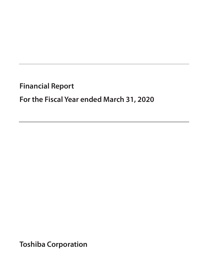# **Financial Report**

# **For the Fiscal Year ended March 31, 2020**

**Toshiba Corporation**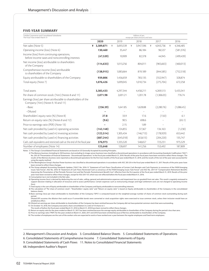## **FIVE-YEAR SUMMARY**

| Millions of yen,<br>Toshiba Corporation and Consolidated Subsidiaries<br>except per share amounts and ratio<br>The Fiscal Years ended March 31 |                |   |           |   |           |               |            |      |            |
|------------------------------------------------------------------------------------------------------------------------------------------------|----------------|---|-----------|---|-----------|---------------|------------|------|------------|
|                                                                                                                                                | 2020           |   | 2019      |   | 2018      |               | 2017       | 2016 |            |
| Net sales (Note 5)                                                                                                                             | 3,389,871<br>¥ | ¥ | 3,693,539 | ¥ | 3,947,596 | $\frac{1}{2}$ | 4,043,736  | ¥    | 4,346,485  |
| Operating income (loss) (Note 6)                                                                                                               | 130,460        |   | 35,447    |   | 86,184    |               | 96,537     |      | (581, 376) |
| Income (loss) from continuing operations,<br>before income taxes and noncontrolling interests                                                  | (47, 539)      |   | 10,909    |   | 82,378    |               | 44,945     |      | (499, 439) |
| Net income (loss) attributable to shareholders<br>of the Company                                                                               | (114, 633)     |   | 1,013,256 |   | 804,011   |               | (965, 663) |      | (460,013)  |
| Comprehensive income (loss) attributable<br>to shareholders of the Company                                                                     | (138, 915)     |   | 1,083,664 |   | 819,189   |               | (844,585)  |      | (752, 518) |
| Equity attributable to shareholders of the Company                                                                                             | 939,806        |   | 1,456,659 |   | 783,135   |               | (552, 947) |      | 328,874    |
| Total equity (Note 7)                                                                                                                          | 1,076,426      |   | 1,699,045 |   | 1,010,734 |               | (275,704)  |      | 672,258    |
| Total assets                                                                                                                                   | 3,383,433      |   | 4,297,344 |   | 4,458,211 |               | 4,269,513  |      | 5,433,341  |
| Per share of common stock: (Yen) (Notes 8 and 11)                                                                                              | 2,071.98       |   | 2,691.21  |   | 1,201.78  |               | (1,306.03) |      | 776.74     |
| Earnings (loss) per share attributable to shareholders of the<br>Company (Yen) (Notes 9, 10 and 11)                                            |                |   |           |   |           |               |            |      |            |
| -Basic                                                                                                                                         | (236.39)       |   | 1,641.85  |   | 1,628.88  |               | (2,280.76) |      | (1,086.45) |
| -Diluted                                                                                                                                       |                |   |           |   |           |               |            |      |            |
| Shareholders' equity ratio (%) (Note 8)                                                                                                        | 27.8           |   | 33.9      |   | 17.6      |               | (13.0)     |      | 6.1        |
| Return on equity ratio (%) (Notes 8 and 12)                                                                                                    | (9.6)          |   | 90.5      |   | 698.6     |               |            |      | (65.1)     |
| Price-to-earnings ratio (PER) (Note 13)                                                                                                        |                |   | 2.15      |   | 1.89      |               |            |      |            |
| Net cash provided by (used in) operating activities                                                                                            | (142, 148)     |   | 124,855   |   | 37,367    |               | 134,163    |      | (1,230)    |
| Net cash provided by (used in) investing activities                                                                                            | (122, 514)     |   | 1,305,434 |   | (146,713) |               | (178, 929) |      | 653,442    |
| Net cash provided by (used in) financing activities                                                                                            | (687, 244)     |   | (645,018) |   | (63, 613) |               | (204, 220) |      | 135,747    |
| Cash, cash equivalents and restricted cash at the end of the fiscal year                                                                       | 376,973        |   | 1,335,520 |   | 548,657   |               | 723,231    |      | 975,529    |
| Number of employees (Note 14)                                                                                                                  | 125,648        |   | 128.697   |   | 141,256   |               | 153,492    |      | 187.809    |

Notes: 1) The Group's Consolidated Financial Statements are based on US Generally Accepted Accounting Principles.

("250) 2) The Memory business (including its SSD business, but excluding its image sensor business) was classified as discontinued operations in accordance with Accounting Standards Codification ("ASC")<br>No. 205-20 "Present results of the Memory business were reported as discontinued operations for the first two months of the fiscal year ended March 31, 2019, and the results of the rest of the year were accounted for using the equity method.

3) The Westinghouse Group's Nuclear Power business was classified as discontinued operations in accordance with ASC 205-20 in the fiscal year ended March 31, 2017. Results of the prior years have been revised to reflect these changes.

4) The Group adopted Accounting Standards Updates ("ASU") No. 2016-15 "Statement of Cash Flows Classification of Certain Cash Receipts and Cash Payments (a consensus of the FASB Emerging Issues Task Force)", ASU No. 2016-18 "Statement of Cash Flows Restricted Cash (a consensus of the FASB Emerging Issues Task Force)" and ASU No. 2017-07 "Compensation Retirement Benefits Improving the Presentation of Net Periodic Pension Cost and Net Periodic Postretirement Benefit Cost" effective from the first quarter of the fiscal year ended March 31, 2019. Results of the prior years have been revised to reflect these changes, except for ASU 2017-07, which was not reflected before the fiscal year ended March 31, 2016.

5) Consumption tax is not included in the Net sales.

6) Operating income (loss) is derived by deducting the cost of sales, selling, general and administrative expenses and impairment loss on goodwill from net sales. This result is regularly reviewed to support decision-making in allocation of resources and to assess performance. Certain expenses such as restructuring charges and legal settlement costs are not charged to operating income (loss).

7) Total equity is the sum of Equity attributable to shareholders of the Company and Equity attributable to noncontrolling interests.<br>8) The calculation of "Per share of common stock", "Shareholders' equity ratio" and "Ret balance sheets.

9) Basic earnings (loss) per share attributable to shareholders of the Company ("EPS") is computed based on the weighted-average number of shares of common stock outstanding during each period.

 Diluted EPS assumes the dilution that could occur if convertible bonds were converted or stock acquisition rights were exercised to issue common stock, unless their inclusion would have an antidilutive effect.

10) Diluted net earnings per share attributable to shareholders of the Company has been omitted because the Company did not have potential common stock that were outstanding. 11) On October 10, 2018, the Company executed a share consolidation in a ratio of 10 shares to 1.

The results of before the fiscal years ended March 31, 2016 to March 31, 2018 have been revised to reflect these changes.

12) Return on equity ratio for the years ended on March 31, 2017 has been omitted because the average equity attributable to shareholders of the Company during the period is less than zero.

13) Price-to-earnings ratio ("PER") for the years ended on March 31, 2020, 2017 and 2016 have been omitted because of Net loss attributable to shareholders of the Company.

14) The number of employees are the sum of the workers who are expected to work or have worked over a year between the regular employees and fixed-term employees.

2. Management's Discussion and Analysis 3. Consolidated Balance Sheets 5. Consolidated Statements of Operations

6. Consolidated Statements of Comprehensive Income 7. Consolidated Statements of Equity

9. Consolidated Statements of Cash Flows 11. Notes to Consolidated Financial Statements

68. Independent Auditor's Report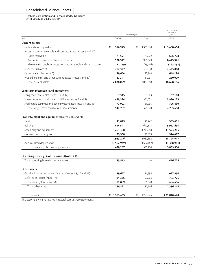#### Toshiba Corporation and Consolidated Subsidiaries As at March 31, 2020 and 2019

|                                                                                                                    | Millions of yen                | Thousands of<br>US dollars<br>(Note 1) |                                    |
|--------------------------------------------------------------------------------------------------------------------|--------------------------------|----------------------------------------|------------------------------------|
| Assets                                                                                                             | 2020                           | 2019                                   | 2020                               |
| <b>Current assets:</b>                                                                                             |                                |                                        |                                    |
| Cash and cash equivalents                                                                                          | ¥<br>376,973                   | ¥<br>1,335,520                         | \$.<br>3,458,468                   |
| Notes, accounts receivable and contract assets (Notes 6 and 12):                                                   |                                |                                        |                                    |
| Notes receivable                                                                                                   | 71,591                         | 79,072                                 | 656,798                            |
| Accounts receivable and contract assets                                                                            | 920.322                        | 955.649                                | 8.443.321                          |
| Allowance for doubtful notes, accounts receivable and contract assets                                              | (21, 119)                      | (19, 466)                              | (193, 752)                         |
| Inventories (Note 7)                                                                                               | 482,327                        | 468,878                                | 4,425,018                          |
| Other receivables (Note 6)                                                                                         | 70,664                         | 82,944                                 | 648,294                            |
| Prepaid expenses and other current assets (Notes 4 and 20)                                                         | 137,341                        | 131.261                                | 1,260,009                          |
| Total current assets                                                                                               | 2,038,099                      | 3,033,858                              | 18,698,156                         |
| Long-term receivables and investments:                                                                             |                                |                                        |                                    |
| Long-term receivables (Notes 6 and 12)                                                                             | 7,315                          | 8,603                                  | 67,110                             |
| Investments in and advances to affiliates (Notes 5 and 8)                                                          | 428,384                        | 501,052                                | 3,930,128                          |
| Marketable securities and other investments (Notes 4, 5 and 10)                                                    | 77,003                         | 85,965                                 | 706,450                            |
| Total long-term receivables and investments                                                                        | 512,702                        | 595,620                                | 4,703,688                          |
| <b>Property, plant and equipment</b> (Notes 4, 16, and 21):<br>Land<br><b>Buildings</b><br>Machinery and equipment | 41,819<br>644,571<br>1,261,488 | 42,442<br>642,613<br>1,243,888         | 383,661<br>5,913,495<br>11,573,284 |
| Construction in progress                                                                                           | 35,368                         | 28,939                                 | 324,477                            |
|                                                                                                                    | 1,983,246                      | 1,957,882                              | 18,194,917                         |
| Accumulated depreciation                                                                                           | (1,562,949)                    | (1,572,162)                            | (14, 338, 981)                     |
| Total property, plant and equipment                                                                                | 420,297                        | 385,720                                | 3,855,936                          |
| Operating lease right-of-use assets (Notes 21):                                                                    |                                |                                        |                                    |
| Total operating lease right-of-use assets                                                                          | 155,513                        | $\overline{a}$                         | 1,426,725                          |
| Other assets:                                                                                                      |                                |                                        |                                    |
| Goodwill and other intangible assets (Notes 4, 9, 16 and 21)                                                       | 119,677                        | 116,595                                | 1,097,954                          |
| Deferred tax assets (Note 17)                                                                                      | 84,336                         | 99,003                                 | 773,725                            |
| Other assets (Notes 4 and 20)                                                                                      | 52,809                         | 66,548                                 | 484,486                            |
| Total other assets                                                                                                 | 256,822                        | 282,146                                | 2,356,165                          |
|                                                                                                                    |                                |                                        |                                    |

The accompanying notes are an integral part of these statements.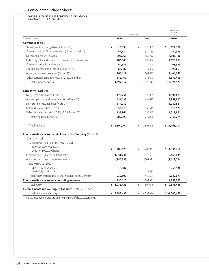# Consolidated Balance Sheets

#### Toshiba Corporation and Consolidated Subsidiaries As at March 31, 2020 and 2019

|                                                                                                                                                             |   | Millions of yen | Thousands of<br>US dollars<br>(Note 1) |           |                 |
|-------------------------------------------------------------------------------------------------------------------------------------------------------------|---|-----------------|----------------------------------------|-----------|-----------------|
| Liabilities and equity                                                                                                                                      |   | 2020            |                                        | 2019      | 2020            |
| <b>Current liabilities:</b>                                                                                                                                 |   |                 |                                        |           |                 |
| Short-term borrowings (Notes 10 and 20)                                                                                                                     | ¥ | 13,339          | ¥                                      | 26.991    | \$<br>122,376   |
| Current portion of long-term debt (Notes 10 and 20)                                                                                                         |   | 49,310          |                                        | 330.753   | 452,385         |
| Notes and accounts payable                                                                                                                                  |   | 502.066         |                                        | 660.792   | 4,606,110       |
| Other payables and accrued expenses (Notes 24 and 26)                                                                                                       |   | 286,000         |                                        | 297,334   | 2,623,853       |
| Current lease liabilities (Note 21)                                                                                                                         |   | 44,529          |                                        |           | 408,523         |
| Accrued income and other taxes (Note 17)                                                                                                                    |   | 64,382          |                                        | 49,422    | 590,661         |
| Advance payments received (Note 12)                                                                                                                         |   | 266,129         |                                        | 301,450   | 2,441,550       |
| Other current liabilities (Notes 4, 12, 20, 23 and 24)                                                                                                      |   | 172,162         |                                        | 211,677   | 1,579,469       |
| Total current liabilities                                                                                                                                   |   | 1,397,917       |                                        | 1,878,419 | 12,824,927      |
| Long-term liabilities:                                                                                                                                      |   |                 |                                        |           |                 |
| Long-term debt (Notes 10 and 20)                                                                                                                            |   | 173,754         |                                        | 76,935    | 1,594,073       |
| Accrued pension and severance costs (Note 11)                                                                                                               |   | 431,632         |                                        | 434,487   | 3,959,927       |
| Non-current lease liabilities (Note 21)                                                                                                                     |   | 114,219         |                                        |           | 1,047,881       |
| Deferred tax liabilities (Note 17)                                                                                                                          |   | 56,519          |                                        | 57,515    | 518,523         |
| Other liabilities (Notes 4, 17, 20, 23, 24, 26 and 27)                                                                                                      |   | 132,966         |                                        | 150,943   | 1,219,871       |
| Total long-term liabilities                                                                                                                                 |   | 909,090         |                                        | 719,880   | 8,340,275       |
| <b>Total liabilities</b>                                                                                                                                    |   | ¥ 2,307,007     | ¥                                      | 2.598.299 | \$21,165,202    |
| <b>Equity attributable to shareholders of the Company</b> (Note 18):<br>Common stock:<br>Authorized-1,000,000,000 shares issued:<br>2020-455,000,000 shares |   |                 |                                        |           |                 |
| 2019-544.000.000 shares                                                                                                                                     | ¥ | 200,175         | ¥                                      | 200.044   | 1,836,468<br>S. |
| Retained earnings (accumulated deficit)                                                                                                                     |   | 1,031,231       |                                        | 1.528.463 | 9,460,835       |
| Accumulated other comprehensive loss                                                                                                                        |   | (286, 593)      |                                        | (262,311) | (2,629,294)     |
| Treasury stock, at cost:                                                                                                                                    |   |                 |                                        |           |                 |
| 2020-1,422,054 shares<br>2019-2,735,038 shares                                                                                                              |   | (5,007)         |                                        | (9,537)   | (45, 936)       |
| Total equity attributable to shareholders of the Company                                                                                                    |   | 939,806         |                                        | 1,456,659 | 8,622,073       |
| Equity attributable to noncontrolling interests                                                                                                             |   | 136,620         |                                        | 242,386   | 1,253,395       |
| Total equity                                                                                                                                                |   | ¥ 1,076,426     | ¥                                      | 1,699,045 | \$9,875,468     |
| <b>Commitments and contingent liabilities</b> (Notes 22, 23 and 24)                                                                                         |   |                 |                                        |           |                 |
| Total liabilities and equity                                                                                                                                |   | 43,383,433      | ¥                                      | 4,297,344 | \$31,040,670    |
|                                                                                                                                                             |   |                 |                                        |           |                 |

The accompanying notes are an integral part of these statements.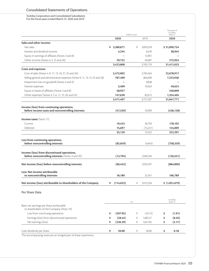Toshiba Corporation and Consolidated Subsidiaries For the fiscal years ended March 31, 2020 and 2019

|                                                                                              | Millions of yen | Thousands of<br>US dollars<br>(Note 1) |               |
|----------------------------------------------------------------------------------------------|-----------------|----------------------------------------|---------------|
|                                                                                              | 2020            | 2019                                   | 2020          |
| Sales and other income:                                                                      |                 |                                        |               |
| Net sales                                                                                    | ¥ 3,389,871     | 3,693,539<br>¥                         | \$31,099,734  |
| Interest and dividend income                                                                 | 4,245           | 6,249                                  | 38,945        |
| Equity in earnings of affiliates (Notes 3 and 8)                                             |                 | 12,901                                 |               |
| Other income (Notes 4, 5, 15 and 20)                                                         | 29,752          | 49,487                                 | 272,954       |
|                                                                                              | 3,423,868       | 3,762,176                              | 31,411,633    |
| Costs and expenses:                                                                          |                 |                                        |               |
| Cost of sales (Notes 4, 9, 11, 13, 16, 21, 25 and 26)                                        | 2,472,002       | 2,783,564                              | 22,678,917    |
| Selling, general and administrative expenses (Notes 9, 11, 13, 14, 25 and 26)                | 787,409         | 864,690                                | 7,223,936     |
| Impairment loss on goodwill (Notes 4 and 9)                                                  |                 | 9,838                                  |               |
| Interest expenses                                                                            | 5,409           | 10,563                                 | 49,624        |
|                                                                                              |                 |                                        |               |
| Equity in losses of affiliates (Notes 3 and 8)                                               | 58,957          |                                        | 540,890       |
| Other expenses (Notes 4, 5, 6, 11, 15, 20, and 24)                                           | 147,630         | 82,612                                 | 1,354,404     |
|                                                                                              | 3,471,407       | 3,751,267                              | 31,847,771    |
| Income (loss) from continuing operations,                                                    |                 |                                        |               |
| before income taxes and noncontrolling interests                                             | (47, 539)       | 10,909                                 | (436, 138)    |
| <b>Income taxes</b> (Note 17):                                                               |                 |                                        |               |
| Current                                                                                      | 19,423          | 30,793                                 | 178,192       |
| Deferred                                                                                     | 15,697          | (15,241)                               | 144,009       |
|                                                                                              | 35,120          | 15,552                                 | 322,201       |
|                                                                                              |                 |                                        |               |
| Loss from continuing operations,<br>before noncontrolling interests                          | (82, 659)       | (4,643)                                | (758, 339)    |
|                                                                                              |                 |                                        |               |
| Income (loss) from discontinued operations,                                                  |                 |                                        |               |
| <b>before noncontrolling interests</b> (Notes 3 and 20)                                      | (13, 794)       | 1,040,240                              | (126, 551)    |
| Net income (loss) before noncontrolling interests                                            | (96, 453)       | 1,035,597                              | (884, 890)    |
| Less: Net income attributable                                                                |                 |                                        |               |
| to noncontrolling interests                                                                  | 18,180          | 22,341                                 | 166.789       |
| Net income (loss) attributable to shareholders of the Company                                | (114, 633)<br>¥ | ¥<br>1,013,256                         | \$(1,051,679) |
|                                                                                              |                 |                                        |               |
| Per Share Data                                                                               |                 |                                        |               |
|                                                                                              |                 |                                        | US dollars    |
| Basic net earnings per share attributable                                                    |                 | Yen                                    | (Note 1)      |
| to shareholders of the Company (Note 19)                                                     |                 |                                        |               |
| Loss from continuing operations                                                              | (207.95)<br>¥   | (43.72)<br>¥                           | (1.91)<br>\$  |
| Earnings (loss) from discontinued operations                                                 | (28.44)<br>¥    | 1,685.57<br>¥                          | \$<br>(0.26)  |
| Net earnings (loss)                                                                          | ¥<br>(236.39)   | ¥<br>1,641.85                          | \$<br>(2.17)  |
|                                                                                              |                 |                                        |               |
| Cash dividends per share<br>The accompanying notes are an integral part of these statements. | ¥<br>20.00      | ¥<br>30.00                             | \$<br>0.18    |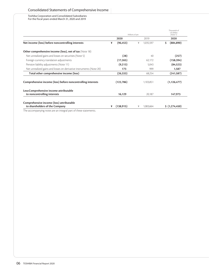Toshiba Corporation and Consolidated Subsidiaries For the fiscal years ended March 31, 2020 and 2019

|                                                                            | Millions of yen | Thousands of<br>US dollars<br>(Note 1) |                  |
|----------------------------------------------------------------------------|-----------------|----------------------------------------|------------------|
|                                                                            | 2020            | 2019                                   | 2020             |
| Net income (loss) before noncontrolling interests                          | ¥<br>(96, 453)  | 1,035,597<br>¥                         | (884, 890)<br>\$ |
| <b>Other comprehensive income (loss), net of tax (Note 18)</b>             |                 |                                        |                  |
| Net unrealized gains and losses on securities (Note 5)                     | (28)            | 40                                     | (257)            |
| Foreign currency translation adjustments                                   | (17, 265)       | 62,172                                 | (158, 394)       |
| Pension liability adjustments (Note 11)                                    | (9,213)         | 5,043                                  | (84, 523)        |
| Net unrealized gains and losses on derivative instruments (Note 20)        | 173             | 999                                    | 1,587            |
| Total other comprehensive income (loss)                                    | (26, 333)       | 68,254                                 | (241, 587)       |
| Comprehensive income (loss) before noncontrolling interests                | (122, 786)      | 1,103,851                              | (1, 126, 477)    |
| Less:Comprehensive income attributable<br>to noncontrolling interests      | 16,129          | 20,187                                 | 147,973          |
| Comprehensive income (loss) attributable<br>to shareholders of the Company | (138, 915)<br>¥ | 1,083,664<br>¥                         | \$(1,274,450)    |

The accompanying notes are an integral part of these statements.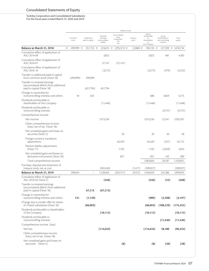# Consolidated Statements of Equity

Toshiba Corporation and Consolidated Subsidiaries For the fiscal years ended March 31, 2020 and 2019

|                                                                                                     |   |                 |                               |                                                  | Millions of yen                                    |                   |                                                                   |                                                           |                 |       |
|-----------------------------------------------------------------------------------------------------|---|-----------------|-------------------------------|--------------------------------------------------|----------------------------------------------------|-------------------|-------------------------------------------------------------------|-----------------------------------------------------------|-----------------|-------|
|                                                                                                     |   | Common<br>stock | Additional<br>paid-in capital | Retained<br>earnings<br>(accumulated<br>deficit) | Accumulated<br>other<br>comprehen-<br>sive<br>loss | Treasury<br>stock | Equity<br>attributable<br>to<br>shareholders<br>of<br>the Company | Equity<br>attributable to<br>non controlling<br>interests | Total<br>equity |       |
| Balance at March 31, 2018                                                                           | ¥ | 499,999 ¥       | 357,153 ¥                     | 223,615 ¥                                        | $(295,572)$ ¥                                      | $(2,060)$ ¥       | 783,135 ¥                                                         | 227,599 ¥ 1,010,734                                       |                 |       |
| Cumulative effect of application of<br>ASU 2014-09                                                  |   |                 |                               | 3,822                                            |                                                    |                   | 3,822                                                             | 481                                                       | 4,303           |       |
| Cumulative effect of application of<br>ASU 2016-01                                                  |   |                 |                               | 37,147                                           | (37, 147)                                          |                   |                                                                   |                                                           |                 |       |
| Cumulative effect of application of<br>ASU 2016-16                                                  |   |                 |                               | (3,273)                                          |                                                    |                   | (3,273)                                                           | (979)                                                     | (4,252)         |       |
| Transfer to additional paid-in capital<br>from common stock (Note 18)                               |   | (299,999)       | 299,999                       |                                                  |                                                    |                   |                                                                   |                                                           |                 |       |
| Transfer to retained earnings<br>(accumulated deficit) from additional<br>paid-in capital (Note 18) |   |                 | (657,794)                     | 657,794                                          |                                                    |                   |                                                                   |                                                           |                 |       |
| Change in ownership for<br>noncontrolling interests and others                                      |   | 44              | 642                           |                                                  |                                                    |                   | 686                                                               | 4,829                                                     | 5,515           |       |
| Dividends attributable to<br>shareholders of the Company                                            |   |                 |                               | (11, 448)                                        |                                                    |                   | (11, 448)                                                         |                                                           | (11, 448)       |       |
| Dividends attributable to<br>noncontrolling interests                                               |   |                 |                               |                                                  |                                                    |                   |                                                                   | (9,731)                                                   | (9,731)         |       |
| Comprehensive income:                                                                               |   |                 |                               |                                                  |                                                    |                   |                                                                   |                                                           |                 |       |
| Net income                                                                                          |   |                 |                               | 1,013,256                                        |                                                    |                   | 1,013,256                                                         | 22,341                                                    | 1,035,597       |       |
| Other comprehensive income<br>(loss), net of tax (Note 18):                                         |   |                 |                               |                                                  |                                                    |                   |                                                                   |                                                           |                 |       |
| Net unrealized gains and losses on<br>securities (Note 5)                                           |   |                 |                               |                                                  | 20                                                 |                   | 20                                                                | 20                                                        |                 | 40    |
| Foreign currency translation<br>adjustments                                                         |   |                 |                               |                                                  | 62,429                                             |                   | 62,429                                                            | (257)                                                     | 62,172          |       |
| Pension liability adjustments<br>(Note 11)                                                          |   |                 |                               |                                                  | 7,102                                              |                   | 7,102                                                             | (2,059)                                                   | 5,043           |       |
| Net unrealized gains and losses on<br>derivative instruments (Note 20)                              |   |                 |                               |                                                  | 857                                                |                   | 857                                                               | 142                                                       |                 | 999   |
| Total comprehensive income                                                                          |   |                 |                               |                                                  |                                                    |                   | 1,083,664                                                         | 20,187                                                    | 1,103,851       |       |
| Purchase, disposal and retirement of<br>treasury stock, net, at cost                                |   |                 |                               | (392, 450)                                       |                                                    | (7, 477)          | (399, 927)                                                        |                                                           | (399, 927)      |       |
| Balance at March 31, 2019                                                                           |   | 200,044         | $\qquad \qquad -$             | 1,528,463                                        | (262, 311)                                         | (9,537)           | 1,456,659                                                         | 242,386                                                   | 1,699,045       |       |
| Cumulative effect of application of<br>ASU 2016-02 (Note 2)                                         |   |                 |                               | (446)                                            |                                                    |                   | (446)                                                             | (22)                                                      |                 | (468) |
| Transfer to retained earnings<br>(accumulated deficit) from additional<br>paid-in capital (Note 18) |   |                 | 67,213                        | (67, 213)                                        |                                                    |                   |                                                                   |                                                           |                 |       |
| Change in ownership for<br>noncontrolling interests and others                                      |   | 131             | (1, 120)                      |                                                  |                                                    |                   | (989)                                                             | (2,208)                                                   | (3, 197)        |       |
| Change due to tender offer for shares<br>of 3 listed subsidiaries (Note 18)                         |   |                 | (66,093)                      |                                                  |                                                    |                   | (66,093)                                                          | (108, 229)                                                | (174, 322)      |       |
| Dividends attributable to shareholders<br>of the Company                                            |   |                 |                               | (10, 112)                                        |                                                    |                   | (10, 112)                                                         |                                                           | (10, 112)       |       |
| Dividends attributable to<br>noncontrolling interests                                               |   |                 |                               |                                                  |                                                    |                   |                                                                   | (11, 436)                                                 | (11, 436)       |       |
| Comprehensive income (loss):                                                                        |   |                 |                               |                                                  |                                                    |                   |                                                                   |                                                           |                 |       |
| Net loss                                                                                            |   |                 |                               | (114, 633)                                       |                                                    |                   | (114, 633)                                                        | 18,180                                                    | (96, 453)       |       |
| Other comprehensive income<br>(loss), net of tax (Note 18):                                         |   |                 |                               |                                                  |                                                    |                   |                                                                   |                                                           |                 |       |
| Net unrealized gains and losses on<br>securities (Note 5)                                           |   |                 |                               |                                                  | (8)                                                |                   | (8)                                                               | (20)                                                      |                 | (28)  |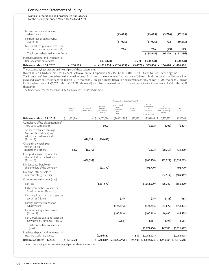# Consolidated Statements of Equity

Toshiba Corporation and Consolidated Subsidiaries For the fiscal years ended March 31, 2020 and 2019

| Balance at March 31, 2020                                              | 200.175 | $-$ ¥1,031,231 ¥ (286,593) ¥ |       | $(5,007)$ ¥ 939,806 ¥ 136,620 ¥1,076,426 |         |            |
|------------------------------------------------------------------------|---------|------------------------------|-------|------------------------------------------|---------|------------|
| Purchase, disposal and retirement of<br>treasury stock, net, at cost   |         | (304, 828)                   | 4.530 | (300, 298)                               |         | (300, 298) |
| Total comprehensive income (loss)                                      |         |                              |       | (138, 915)                               | 16,129  | (122, 786) |
| Net unrealized gains and losses on<br>derivative instruments (Note 20) |         | 216                          |       | 216                                      | (43)    | 173        |
| Pension liability adjustments<br>(Note 11)                             |         | (11,005)                     |       | (11,005)                                 | 1,792   | (9,213)    |
| Foreign currency translation<br>adjustments                            |         | (13, 485)                    |       | (13, 485)                                | (3,780) | (17, 265)  |

The accompanying notes are an integral part of these statements.

(Note) 3 listed subsidiaries are Toshiba Plant System & Services Corporation, NISHISHIBA ELECTRIC CO., LTD., and NuFlare Technology, Inc. The impact on Other comprehensive income (loss), net of tax, due to the tender offer for the shares of 3 listed subsidiaries consists of Net unrealized gains and losses on securities of ¥16 million (\$147 thousand), Foreign currency translation adjustments of ¥186 million (\$1,706 thousand), Pension liability adjustments of ¥(3,077 million) (\$(28,229) thousand), and Net unrealized gains and losses on derivative instruments of ¥10 million (\$92 thousand).

The tender offer for the shares of 3 listed subsidiaries is described in Note 18.

|                                                                                                        |    |                 |                               |  |                                                  |   | Thousands of US dollars (Note 1)                   |                   |                                                                   |   |                                                           |    |                 |
|--------------------------------------------------------------------------------------------------------|----|-----------------|-------------------------------|--|--------------------------------------------------|---|----------------------------------------------------|-------------------|-------------------------------------------------------------------|---|-----------------------------------------------------------|----|-----------------|
|                                                                                                        |    | Common<br>stock | Additional<br>paid-in capital |  | Retained<br>earnings<br>(accumulated<br>deficit) |   | Accumulated<br>other<br>comprehen-<br>sive<br>loss | Treasury<br>stock | Equity<br>attributable<br>to<br>shareholders<br>of<br>the Company |   | Equity<br>attributable to<br>non controlling<br>interests |    | Total<br>equity |
| Balance at March 31, 2019                                                                              | Ś. | 1,835,266       | $-5$                          |  | 14,022,596                                       | Ŝ | $(2,406,523)$ \$                                   | $(87, 495)$ \$    | 13,363,844                                                        | Ŝ | 2,223,725                                                 | -Ŝ | 15,587,569      |
| Cumulative effect of application of<br>ASU 2016-02 (Note 2)                                            |    |                 |                               |  | (4,092)                                          |   |                                                    |                   | (4,092)                                                           |   | (202)                                                     |    | (4,294)         |
| Transfer to retained earnings<br>(accumulated deficit) from<br>additional paid-in capital<br>(Note 18) |    |                 | 616,633                       |  | (616, 633)                                       |   |                                                    |                   |                                                                   |   |                                                           |    |                 |
| Change in ownership for<br>noncontrolling<br>interests and others                                      |    | 1.202           | (10, 275)                     |  |                                                  |   |                                                    |                   | (9,073)                                                           |   | (20, 257)                                                 |    | (29, 330)       |
| Change due to tender offer for<br>shares of 3 listed subsidiaries<br>(Note 18)                         |    |                 | (606, 358)                    |  |                                                  |   |                                                    |                   | (606, 358)                                                        |   | (992, 927)                                                |    | (1,599,285)     |
| Dividends attributable to<br>shareholders of the Company                                               |    |                 |                               |  | (92, 770)                                        |   |                                                    |                   | (92, 770)                                                         |   |                                                           |    | (92, 770)       |
| Dividends attributable to<br>noncontrolling interests                                                  |    |                 |                               |  |                                                  |   |                                                    |                   |                                                                   |   | (104, 917)                                                |    | (104, 917)      |
| Comprehensive income (loss):                                                                           |    |                 |                               |  |                                                  |   |                                                    |                   |                                                                   |   |                                                           |    |                 |
| Net loss                                                                                               |    |                 |                               |  | (1,051,679)                                      |   |                                                    |                   | (1,051,679)                                                       |   | 166,789                                                   |    | (884, 890)      |
| Other comprehensive income<br>(loss), net of tax (Note 18):                                            |    |                 |                               |  |                                                  |   |                                                    |                   |                                                                   |   |                                                           |    |                 |
| Net unrealized gains and losses on<br>securities (Note 5)                                              |    |                 |                               |  |                                                  |   | (74)                                               |                   | (74)                                                              |   | (183)                                                     |    | (257)           |
| Foreign currency translation<br>adjustments                                                            |    |                 |                               |  |                                                  |   | (123, 715)                                         |                   | (123, 715)                                                        |   | (34, 679)                                                 |    | (158, 394)      |
| Pension liability adjustments<br>(Note 11)                                                             |    |                 |                               |  |                                                  |   | (100, 963)                                         |                   | (100, 963)                                                        |   | 16,440                                                    |    | (84, 523)       |
| Net unrealized gains and losses on<br>derivative instruments (Note 20)                                 |    |                 |                               |  |                                                  |   | 1,981                                              |                   | 1,981                                                             |   | (394)                                                     |    | 1,587           |
| Total comprehensive income<br>$(\text{loss})$                                                          |    |                 |                               |  |                                                  |   |                                                    |                   | (1, 274, 450)                                                     |   | 147,973                                                   |    | (1, 126, 477)   |
| Purchase, disposal and retirement of<br>treasury stock, net, at cost                                   |    |                 |                               |  | (2,796,587)                                      |   |                                                    | 41,559            | (2,755,028)                                                       |   |                                                           |    | (2,755,028)     |
| Balance at March 31, 2020                                                                              |    | \$1,836,468     |                               |  |                                                  |   | $-$ \$ 9,460,835 \$ (2,629,294) \$                 |                   |                                                                   |   | (45,936) \$ 8,622,073 \$ 1,253,395 \$ 9,875,468           |    |                 |

The accompanying notes are an integral part of these statements.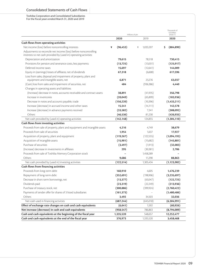# Consolidated Statements of Cash Flows

Toshiba Corporation and Consolidated Subsidiaries For the fiscal years ended March 31, 2020 and 2019

|                                                                                                                                       | Millions of yen | Thousands of<br>US dollars<br>(Note 1) |                 |
|---------------------------------------------------------------------------------------------------------------------------------------|-----------------|----------------------------------------|-----------------|
|                                                                                                                                       | 2020            | 2019                                   | 2020            |
| Cash flows from operating activities                                                                                                  |                 |                                        |                 |
| Net income (loss) before noncontrolling interests                                                                                     | ¥<br>(96, 453)  | ¥<br>1,035,597                         | \$<br>(884,890) |
| Adjustments to reconcile net income (loss) before noncontrolling<br>interests to net cash provided by (used in) operating activities: |                 |                                        |                 |
| Depreciation and amortization                                                                                                         | 79,615          | 78,518                                 | 730,413         |
| Provisions for pension and severance costs, less payments                                                                             | (13, 725)       | (13,031)                               | (125, 917)      |
| Deferred income taxes                                                                                                                 | 15,697          | (12,641)                               | 144,009         |
| Equity in (earnings) losses of affiliates, net of dividends                                                                           | 67,318          | (6,608)                                | 617,596         |
| Loss from sales, disposal and impairment of property, plant and<br>equipment and intangible assets, net                               | 6,871           | 23,276                                 | 63,037          |
| (Gain) loss from sales and impairment of securities, net                                                                              | 484             | (936, 386)                             | 4,440           |
| Changes in operating assets and liabilities:                                                                                          |                 |                                        |                 |
| (Increase) decrease in notes, accounts receivable and contract assets                                                                 | 38,891          | (41, 935)                              | 356,798         |
| Increase in inventories                                                                                                               | (20,049)        | (65,899)                               | (183, 936)      |
| Decrease in notes and accounts payable, trade                                                                                         | (156, 220)      | (10, 396)                              | (1,433,211)     |
| Increase (decrease) in accrued income and other taxes                                                                                 | 15,541          | (14, 111)                              | 142,578         |
| Increase (decrease) in advance payments received                                                                                      | (33, 582)       | 7,241                                  | (308,092)       |
| Others                                                                                                                                | (46, 536)       | 81,230                                 | (426, 935)      |
| Net cash provided by (used in) operating activities                                                                                   | (142, 148)      | 124,855                                | (1,304,110)     |
| Cash flows from investing activities                                                                                                  |                 |                                        |                 |
| Proceeds from sale of property, plant and equipment and intangible assets                                                             | 4,216           | 4,749                                  | 38,679          |
| Proceeds from sale of securities                                                                                                      | 1,954           | 1,637                                  | 17,927          |
| Acquisition of property, plant and equipment                                                                                          | (119, 267)      | (122, 555)                             | (1,094,193)     |
| Acquisition of intangible assets                                                                                                      | (15,901)        | (15,682)                               | (145, 881)      |
| Purchase of securities                                                                                                                | (3, 497)        | (1, 913)                               | (32,083)        |
| (Increase) decrease in investments in affiliates                                                                                      | 295             | (30, 381)                              | 2,706           |
| Proceeds from sale of Toshiba Memory Corporation stock                                                                                |                 | 1,458,289                              |                 |
| Others                                                                                                                                | 9,686           | 11,290                                 | 88,863          |
| Net cash provided by (used in) investing activities                                                                                   | (122, 514)      | 1,305,434                              | (1, 123, 982)   |
| Cash flows from financing activities                                                                                                  |                 |                                        |                 |
| Proceeds from long-term debt                                                                                                          | 160,910         | 4,605                                  | 1,476,239       |
| Repayment of long-term debt                                                                                                           | (352, 691)      | (198,906)                              | (3, 235, 697)   |
| Decrease in short-term borrowings, net                                                                                                | (13, 377)       | (63,047)                               | (122, 725)      |
| Dividends paid                                                                                                                        | (23, 319)       | (22,249)                               | (213, 936)      |
| Purchase of treasury stock, net                                                                                                       | (300, 886)      | (399, 924)                             | (2,760,422)     |
| Payments of tender offer for shares of 3 listed subsidiaries                                                                          | (161, 373)      |                                        | (1,480,486)     |
| Others                                                                                                                                | 3,492           | 34,503                                 | 32,036          |
| Net cash used in financing activities                                                                                                 | (687, 244)      | (645,018)                              | (6,304,991)     |
| Effect of exchange rate changes on cash and cash equivalents                                                                          | (6, 641)        | 1,592                                  | (60, 926)       |
| Net increase (decrease) in cash and cash equivalents                                                                                  | (958, 547)      | 786,863                                | (8,794,009)     |
| Cash and cash equivalents at the beginning of the fiscal year                                                                         | 1,335,520       | 548,657                                | 12,252,477      |
| Cash and cash equivalents at the end of the fiscal year                                                                               | 376,973         | 1,335,520                              | 3,458,468       |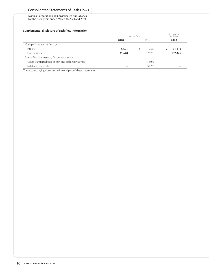# Consolidated Statements of Cash Flows

Toshiba Corporation and Consolidated Subsidiaries For the fiscal years ended March 31, 2020 and 2019

## **Supplemental disclosure of cash flow information**

|                                                       |   | Thousands of<br>US dollars |   |           |  |         |
|-------------------------------------------------------|---|----------------------------|---|-----------|--|---------|
|                                                       |   | 2020                       |   | 2019      |  | 2020    |
| Cash paid during the fiscal year:                     |   |                            |   |           |  |         |
| Interest                                              | ¥ | 5,571                      | ¥ | 10.383    |  | 51,110  |
| Income taxes                                          |   | 21,478                     |   | 70,263    |  | 197,046 |
| Sale of Toshiba Memory Corporation stock:             |   |                            |   |           |  |         |
| Assets transferred (net of cash and cash equivalents) |   |                            |   | 1,372,076 |  |         |
| Liabilities relinquished                              |   |                            |   | 538,760   |  |         |

The accompanying notes are an integral part of these statements.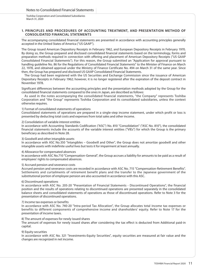## **1. PRINCIPLES AND PROCEDURES OF ACCOUNTING TREATMENT, AND PRESENTATION METHOD OF CONSOLIDATED FINANCIAL STATEMENTS**

The accompanying consolidated financial statements are presented in accordance with accounting principles generally accepted in the United States of America ("US GAAP").

The Group issued American Depository Receipts in February 1962, and European Depository Receipts in February 1970. By doing so, the Group prepared and disclosed consolidated financial statements based on the terminology, forms and preparation methods required in connection with offering and placement of American Depository Receipts ("US GAAP Consolidated Financial Statements"). For this reason, the Group submitted an "Application for approval pursuant to handling guideline No. 86 for the Regulations of Consolidated Financial Statements" to the Minister of Finance on March 22, 1978, and obtained approval under the Ministry of Finance Certificate No. 494 on March 31 of the same year. Since then, the Group has prepared and disclosed US GAAP Consolidated Financial Statements.

The Group had been registered with the US Securities and Exchange Commission since the issuance of American Depositary Receipts in February 1962; however, it is no longer registered after the expiration of the deposit contract in November 1978.

Significant differences between the accounting principles and the presentation methods adopted by the Group for the consolidated financial statements compared to the ones in Japan, are described as follows:

As used in the notes accompanying the consolidated financial statements, "the Company" represents Toshiba Corporation and "the Group" represents Toshiba Corporation and its consolidated subsidiaries, unless the context otherwise requires.

#### 1) Format of consolidated statements of operations

Consolidated statements of operations are prepared in a single-step income statement, under which profit or loss is presented by deducting total costs and expenses from total sales and other income.

#### 2) Consolidation of variable interest entities

In accordance with Accounting Standards Codification ("ASC") No. 810 "Consolidation" ("ASC No. 810"), the consolidated financial statements include the accounts of the variable interest entities ("VIEs") for which the Group is the primary beneficiary as described in Note 28.

#### 3) Goodwill and other intangible assets

In accordance with ASC No.350 "Intangibles – Goodwill and Other", the Group does not amortize goodwill and other intangible assets with indefinite useful lives but tests it for impairment at least annually.

#### 4) Allowance for compensated absences

In accordance with ASC No.710 "Compensation-General", the Group accrues a liability for amounts to be paid as a result of employees' rights to compensated absences.

#### 5) Accrued pension and severance costs

Accrued pension and severance costs are recorded in accordance with ASC No. 715 "Compensation-Retirement Benefits". Settlements and curtailments of retirement benefit plans and the transfer to the Japanese government of the substitutional portion of employee pension are also accounted in accordance with this ASC.

#### 6) Discontinued operations

In accordance with ASC No. 205-20 "Presentation of Financial Statements - Discontinued Operations", the financial position and the results of operations relating to discontinued operations are presented separately in the consolidated balance sheets and consolidated statements of operations as those of discontinued operations. Refer to Note 3 for the presentation of discontinued operations.

#### 7) Income tax expenses or benefits

In accordance with ASC No. 740-20 "Intra-period Tax Allocation", the Group allocates total income tax expenses or benefits to different components of comprehensive income and shareholders' equity. Refer to Note 17 for the presentation of income taxes.

#### 8) The amount of expenses for newly issued shares

The amount of expenses for newly issued shares after considering the tax effect is deducted from Additional paid-in capital.

#### 9) Equity securities

In accordance with ASC No. 321 "Investments-Equity Securities", equity securities are measured at fair value and the changes are recognized in net income.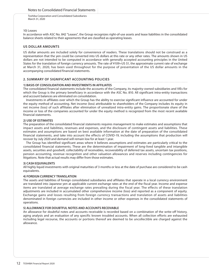## 10) Leases

In accordance with ASC No. 842 "Leases", the Group recognizes right-of-use assets and lease liabilities in the consolidated balance sheets related to their agreements that are classified as operating leases.

## **US DOLLAR AMOUNTS**

US dollar amounts are included solely for convenience of readers. These translations should not be construed as a representation that the yen could be converted into US dollars at this rate or any other rates. The amounts shown in US dollars are not intended to be computed in accordance with generally accepted accounting principles in the United States for the translation of foreign currency amounts. The rate of ¥109=US \$1, the approximate current rate of exchange at March 31, 2020, has been used throughout for the purpose of presentation of the US dollar amounts in the accompanying consolidated financial statements.

## **2. SUMMARY OF SIGNIFICANT ACCOUNTING POLICIES**

#### **1) BASIS OF CONSOLIDATION AND INVESTMENTS IN AFFILIATES**

The consolidated financial statements include the accounts of the Company, its majority-owned subsidiaries and VIEs for which the Group is the primary beneficiary in accordance with the ASC No. 810. All significant intra-entity transactions and account balances are eliminated on consolidation.

Investments in affiliates over which the Group has the ability to exercise significant influence are accounted for under the equity method of accounting. Net income (loss) attributable to shareholders of the Company includes its equity in net income (loss) of such affiliates after elimination of unrealized intra-entity gains. The proportionate share of the income or loss of the companies accounted for under the equity method is recognized from the most recent available financial statements.

#### **2) USE OF ESTIMATES**

The preparation of the consolidated financial statements requires management to make estimates and assumptions that impact assets and liabilities, revenues and expenses, and the disclosure of contingent assets and liabilities. These estimates and assumptions are based on best available information at the date of preparation of the consolidated financial statements, and take into account the effects of COVID-19, including the assumptions that production will recover by July 2020 and demand will remain low for at least 1 year.

The Group has identified significant areas where it believes assumptions and estimates are particularly critical to the consolidated financial statements. These are the determination of impairment of long-lived tangible and intangible assets, securities and goodwill, collectability of receivables, recoverability of deferred tax assets, uncertain tax positions, pension accounting, revenue recognition and other valuation allowances and reserves including contingencies for litigations. Note that actual results may differ from those estimates.

## **3) CASH EQUIVALENTS**

All highly liquid investments with original maturities of 3 months or less at the date of purchase are considered to be cash equivalents.

## **4) FOREIGN CURRENCY TRANSLATION**

The assets and liabilities of foreign consolidated subsidiaries and affiliates that operate in a local currency environment are translated into Japanese yen at applicable current exchange rates at the end of the fiscal year. Income and expense items are translated at average exchange rates prevailing during the fiscal year. The effects of these translation adjustments are included in accumulated other comprehensive income (loss) and reported as a component of equity. Exchange gains and losses resulting from foreign currency transactions and translation of assets and liabilities denominated in foreign currencies are included in other income or other expenses in the consolidated statements of operations.

## **5) ALLOWANCE FOR DOUBTFUL NOTES AND ACCOUNTS RECEIVABLE**

An allowance for doubtful notes and accounts receivable is recorded based on a combination of the write-off history, aging analysis and an evaluation of any specific known troubled accounts. When all collection efforts are exhausted including legal recourse, the accounts or portions thereof are deemed to be uncollectible are charged against the allowance.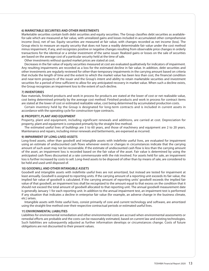#### **6) MARKETABLE SECURITIES AND OTHER INVESTMENTS**

Marketable securities contain both debt securities and equity securities. The Group classifies debt securities as availablefor-sale which are measured at fair value, with unrealized gains and losses included in accumulated other comprehensive income (loss), net of tax. Equity securities are measured at fair value, with changes recorded as net income (loss). The Group elects to measure an equity security that does not have a readily determinable fair value under the cost method minus impairment, if any, and recognizes positive or negative changes resulting from observable price changes in orderly transactions for the identical or a similar investment of the same issuer. Realized gains or losses on the sale of securities are based on the average cost of a particular security held at the time of sale.

Other investments without quoted market prices are stated at cost.

Decreases in the fair value of equity securities measured at cost are evaluated qualitatively for indicators of impairment. Any resulting impairments are recorded as a loss for the estimated decline in fair value. In addition, debt securities and other investments are regularly reviewed for other-than-temporary impairments in the carrying amount based on criteria that include the length of time and the extent to which the market value has been less than cost, the financial condition and near-term prospects of the issuer and the Group's intent and ability to retain marketable securities and investment securities for a period of time sufficient to allow for any anticipated recovery in market value. When such a decline exists, the Group recognizes an impairment loss to the extent of such decline.

#### **7) INVENTORIES**

Raw materials, finished products and work in process for products are stated at the lower of cost or net realizable value, cost being determined primarily by the average cost method. Finished products and work in process for contract items are stated at the lower of cost or estimated realizable value, cost being determined by accumulated production costs.

Certain inventory held by the Group is designated for long-term contracts and is included in current assets in accordance with the operating cycle for construction-type contracts.

#### **8) PROPERTY, PLANT AND EQUIPMENT**

Property, plant and equipment, including significant renewals and additions, are carried at cost. Depreciation for property, plant and equipment is computed primarily by the straight-line method.

The estimated useful lives of buildings are 3 to 60 years, and those of machinery and equipment are 2 to 20 years. Maintenance and repairs, including minor renewals and betterments, are expensed as incurred.

#### **9) IMPAIRMENT OF LONG-LIVED ASSETS**

Long-lived assets, other than goodwill and intangible assets with indefinite useful lives, are evaluated for impairment using an estimate of undiscounted cash flows whenever events or changes in circumstances indicate that the carrying amount of such asset may not be recoverable. If the estimate of undiscounted cash flow is less than the carrying amount of the asset, an impairment loss is recorded based on the fair value of the asset. Fair value is determined by using the anticipated cash flows discounted at a rate commensurate with the risk involved. For assets held for sale, an impairment loss is further increased by costs to sell. Long-lived assets to be disposed of other than by means of sale, are considered to be held and used until disposed of.

#### **10) GOODWILL AND OTHER INTANGIBLE ASSETS**

Goodwill and intangible assets with indefinite useful lives are not amortized, but instead are tested for impairment at least annually. Goodwill is assigned to reporting units. If the carrying amount of a reporting unit exceeds its fair value, the implied fair value of goodwill is calculated. If the carrying amount of reporting units' goodwill exceeds the implied fair value of that goodwill, an impairment loss shall be recognized to the amount equal to that excess on the condition that it should not exceed the total amount of goodwill allocated to that reporting unit. The annual goodwill measurement date is generally January 1 for each reporting unit. In addition to the annual impairment test, an impairment test is performed if any situation that indicates a decline in enterprise fair value (for example, an adverse change in the business climate, etc.) arises.

Intangible assets with finite useful lives, consist primarily of core and current technology and software, are amortized using the straight-line method over their respective contractual periods or estimated useful lives.

#### **11) ENVIRONMENTAL LIABILITIES**

Liabilities for environmental remediation and other environmental costs are accrued when environmental assessments or remedial efforts are probable and the costs can be reasonably estimated, based on current law and existing technologies. Such liabilities are subsequently adjusted as further information develops or circumstances change. Costs of future obligations are not discounted to their present values.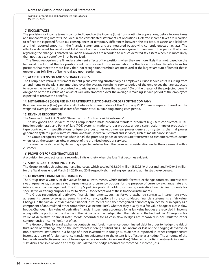## **12) INCOME TAXES**

The provision for income taxes is computed based on the income (loss) from continuing operations, before income taxes and noncontrolling interests included in the consolidated statements of operations. Deferred income taxes are recorded to reflect the expected future tax consequences of temporary differences between the tax basis of assets and liabilities and their reported amounts in the financial statements, and are measured by applying currently enacted tax laws. The effect on deferred tax assets and liabilities of a change in tax rates is recognized in income in the period that a law regarding the change is enacted. Valuation allowances are recorded to reduce deferred tax assets when it is more likely than not that a tax benefit will not be realized.

The Group recognizes the financial statement effects of tax positions when they are more likely than not, based on the technical merits, that the tax positions will be sustained upon examination by the tax authorities. Benefits from tax positions that meet the more-likely-than-not recognition threshold are measured at the largest amount of benefit that is greater than 50% likely of being realized upon settlement.

## **13) ACCRUED PENSION AND SEVERANCE COSTS**

The Group have various retirement benefit plans covering substantially all employees. Prior service costs resulting from amendments to the plans are amortized over the average remaining service period of the employees that are expected to receive the benefits. Unrecognized actuarial gains and losses that exceed 10% of the greater of the projected benefit obligation or the fair value of plan assets are also amortized over the average remaining service period of the employees expected to receive the benefits.

#### **14) NET EARNINGS (LOSS) PER SHARE ATTRIBUTABLE TO SHAREHOLDERS OF THE COMPANY**

Basic net earnings (loss) per share attributable to shareholders of the Company ("EPS") are computed based on the weighted-average number of shares of common stock outstanding during each period.

#### **15) REVENUE RECOGNITION**

The Group adopted ASC No.606 "Revenue from Contracts with Customers".

The key goods and services of the Group include mass-produced standard products (e.g., semiconductors, multifunction peripherals, and Point of Sale (POS) systems), made-to-order products under a construction-type or productiontype contract with specifications unique to a customer (e.g., nuclear power generation systems, thermal power generation systems, public infrastructure and train, industrial systems) and services, such as maintenance services.

The Group recognizes revenue when (or as) the promised goods or services are transferred to customers, which occurs when (or as) the customers obtain control of the promised goods or services.

The revenue is calculated by deducting expected rebates from the promised consideration under the agreement with a customer.

## **16) PROVISION FOR CONTRACT LOSSES**

A provision for contract losses is recorded in its entirety when the loss first becomes evident.

#### **17) SHIPPING AND HANDLING COSTS**

The Group includes shipping and handling costs, which totaled ¥35,899 million (\$329,349 thousand) and ¥40,042 million for the fiscal years ended March 31, 2020 and 2019 respectively, in selling, general and administrative expenses.

#### **18) DERIVATIVE FINANCIAL INSTRUMENTS**

The Group uses a variety of derivative financial instruments, which include forward exchange contracts, interest rate swap agreements, currency swap agreements and currency options for the purpose of currency exchange rate and interest rate risk management. The Group's policies prohibit holding or issuing derivative financial instruments for speculative or trading purposes. Refer to Note 20 for descriptions of these financial instruments.

The Group recognizes all derivative financial instruments, such as forward exchange contracts, interest rate swap agreements, currency swap agreements and currency options in the consolidated financial statements at fair value. Changes in the fair value of derivative financial instruments are either recognized periodically in income or in equity as a component of accumulated other comprehensive income (loss), whether they qualify as a fair value hedge or a cash flow hedge. Changes in fair value of derivative financial instruments accounted for as fair value hedges are recorded in income along with the portion of the change in the fair value of the hedged item that relates to the hedged risk. Changes in fair value of derivative financial instruments accounted for as cash flow hedges are recorded in accumulated other comprehensive income (loss), net of tax.

The Group utilizes forward exchange contracts and foreign-currency-denominated debt in order to hedge the risk of fluctuation of exchange rate on the investments in foreign subsidiaries. The income or loss on the hedging derivative or non derivative instrument in a hedge of a net investment in foreign subsidiaries is reported in other comprehensive income as a part of foreign currency translation adjustment to the extent it is effective as a hedge. The amounts of the hedge whose effectiveness cannot be recognized are recorded in income (loss). When all or partial investments in foreign subsidiaries are sold or when an entity is liquidated, the hedge amounts are recorded in income (loss).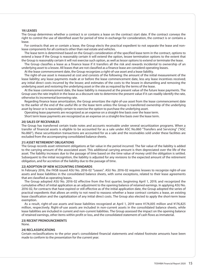#### **19) LEASES**

The Group determines whether a contract is or contains a lease on the contract start date. If the contract conveys the right to control the use of identified asset for period of time in exchange for consideration, the contract is or contains a lease.

For contracts that are or contain a lease, the Group elects the practical expedient to not separate the lease and nonlease components for all contracts other than real estate and vehicles.

The lease term is determined based on the Group's consideration of the specified lease term in the contract, options to extend a lease if the Group is reasonably certain it will extend the option, lessee termination options to the extent that the Group is reasonably certain it will not exercise such option, as well as lessor options to extend or terminate the lease.

The Group classifies a lease as a finance lease if it transfers all the risk and rewards incidental to ownership of an underlying asset to a lessee. All leases that are not classified as a finance lease are considerd operating leases.

At the lease commencement date, the Group recognizes a right-of-use asset and a lease liability.

The right-of-use asset is measured at cost and consists of the following: the amount of the initial measurement of the lease liability; any lease payments made at or before the lease commencement date, less any lease incentives received; any initial direct costs incurred by the lessee; and estimates of the costs to the lessee in dismantling and removing the underlying asset and restoring the underlying asset or the site as required by the terms of the lease.

At the lease commencement date, the lease liability is measured at the present value of the future lease payments. The Group uses the rate implicit in the lease as a discount rate to determine the present value if it can readily identify the rate, otherwise its incremental borrowing rate.

Regarding finance lease amortization, the Group amortizes the right-of-use asset from the lease commencement date to the earlier of the end of the useful life or the lease term unless the Group is transferred ownership of the underlying asset by lessor or is reasonably certain to exercise the option to purchase the underlying asset.

Operating lease payments are recognized as an expense on a straight-line basis over the lease term.

Short term lease payments are recognized as an expense on a straight-line basis over the lease term.

#### **20) SALES OF RECEIVABLES**

The Group has transferred certain trade notes and accounts receivable under several securitization programs. When a transfer of financial assets is eligible to be accounted for as a sale under ASC No.860 "Transfers and Servicing" ("ASC No.860"), these securitization transactions are accounted for as a sale and the receivables sold under these facilities are excluded from the accompanying consolidated balance sheets.

#### **21) ASSET RETIREMENT OBLIGATIONS**

The Group records asset retirement obligations at fair value in the period incurred. The fair value of the liability is added to the carrying amount of the associated asset. This additional carrying amount is then depreciated over the life of the asset. The liability increases due to the passage of time based on the time value of money until the obligation is settled. Subsequent to the initial recognition, the liability is adjusted for any revisions to the expected amount of the retirement obligation, and for accretion of the liability due to the passage of time.

#### **22) ADOPTION OF NEW ACCOUNTING STANDARDS**

In February 2016, the FASB issued ASU No. 2016-02 "Leases". ASU No. 2016-02 requires lessees to recognize right-of-use assets and lease liabilities in the consolidated balance sheets, with some exceptions, related to their lease agreements that are classified as operating leases.

The Group adopted ASU No. 2016-02 effective from the first quarter, beginning April 1, 2019, and recognized the cumulative effect of initial application as an adjustment to the opening balance of retained earnings. In applying ASU No. 2016-02, for contracts that have expired or still effective as of the initial application date, the Group adopted the series of practical expedients that allows an entity to not need to reassess whether a lease contract contains a lease, an existing lease classification and the capitalization of any initial direct costs. The Group also elected to apply the short-term lease exemption.

As a result, right-of-use assets and lease liabilities recognized at April 1, 2019 were ¥174,005 million and ¥176,825 million, respectively. Right-of-use assets are included in non-current assets in the consolidated balance sheets, while lease liabilities are included in current and non-current liabilities. The Group assessed the impact on the opening balance of retained earnings, other items within profit or loss, and the consolidated statement of cash flows as immaterial.

#### **23) RECENT PRONOUNCEMENTS**

None.

#### **24) RECLASSIFICATIONS**

Certain reclassifications to the prior year's consolidated financial statements and related footnote amounts have been made to conform to the presentation for the current year.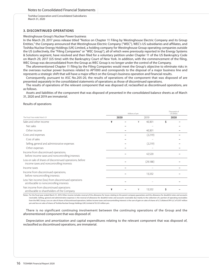## **3. DISCONTINUED OPERATIONS**

#### Westinghouse Group's Nuclear Power business

In the March 29, 2017 press release titled "Notice on Chapter 11 Filing by Westinghouse Electric Company and its Group Entities," the Company announced that Westinghouse Electric Company ("WEC"), WEC's US subsidiaries and affiliates, and Toshiba Nuclear Energy Holdings (UK) Limited, a holding company for Westinghouse Group operating companies outside the US (collectively, the "Filing Companies" or "WEC Group"), all of which were previously reported in the Energy Systems & Solutions segment, have resolved and then filed for a voluntary petition under Chapter 11 of the US Bankruptcy Code on March 29, 2017 (US time) with the Bankruptcy Court of New York. In addition, with the commencement of the filing, WEC Group was deconsolidated from the Group as WEC Group is no longer under the control of the Company.

The aforementioned Chapter 11 filing by the Filing Companies would meet the Group's objective to eliminate risks in the overseas nuclear power business related to AP1000 and corresponds to the disposal of a major business line and represents a strategic shift that will have a major effect on the Group's business operation and financial results.

Consequently, pursuant to ASC No.205-20, the results of operations of the component that was disposed of are presented separately in the consolidated statements of operations as those of discontinued operations.

The results of operations of the relevant component that was disposed of, reclassified as discontinued operations, are as follows.

Assets and liabilities of the component that was disposed of presented in the consolidated balance sheets as of March 31, 2020 and 2019 are immaterial.

#### Results of operations

|                                                                                                        |   |      | Thousands of<br>US dollars |           |      |  |  |
|--------------------------------------------------------------------------------------------------------|---|------|----------------------------|-----------|------|--|--|
| The Fiscal Year ended March 31                                                                         |   | 2020 |                            | 2019      | 2020 |  |  |
| Sales and other income                                                                                 | ¥ |      | ¥                          | 40,301    | Ś    |  |  |
| Net sales                                                                                              |   |      |                            |           |      |  |  |
| Other income                                                                                           |   |      |                            | 40,301    |      |  |  |
| Costs and expenses                                                                                     |   |      |                            | (2,219)   |      |  |  |
| Cost of sales                                                                                          |   |      |                            |           |      |  |  |
| Selling, general and administrative expenses                                                           |   |      |                            | (2,219)   |      |  |  |
| Other expenses                                                                                         |   |      |                            |           |      |  |  |
| Income from discontinued operations,<br>before income taxes and noncontrolling interests               |   |      |                            | 42,520    |      |  |  |
| Loss on sale of shares of discontinued operations, before<br>income taxes and noncontrolling interests |   |      |                            | (29, 188) |      |  |  |
| Income taxes                                                                                           |   |      |                            |           |      |  |  |
| Income from discontinued operations,<br>before noncontrolling interests                                |   |      |                            | 13,332    |      |  |  |
| Less: Net income (loss) from discontinued operations<br>attributable to noncontrolling interests       |   |      |                            |           |      |  |  |
| Net income from discontinued operations<br>attributable to shareholders of the Company                 | ¥ |      | ¥                          | 13,332    | S    |  |  |

Notes: For the fiscal year ended March 31, 2019, Other income includes reversal of the allowance for losses relating to the parent company guarantees and the allowance for doubtful notes and accounts receivable. Selling, general and administrative expenses is the reversal of allowance for doubtful notes and accounts receivable due mainly to the collection of a portion of operating receivables from the WEC Group. Loss on sale of shares of discontinued operations, before income taxes and noncontrolling interests is the sum of gain on sales of shares of LC Collateral SPV LLC of 5,937 million yen and loss on sales of shares of Toshiba Nuclear Energy Holdings (UK) Limited of 35,125 million yen.

There is no significant continuing involvement between the continuing operations of the Group and the aforementioned component that was disposed of.

Depreciation and amortization and capital expenditures relating to the relevant component that was disposed of, reclassified as discontinued operations, are immaterial.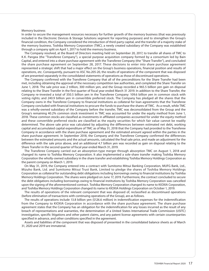#### Memory business

In order to secure the management resources necessary for further growth of the memory business (that was previously included in the Electronic Devices & Storage Solutions segment for reporting purposes) and to strengthen the Group's financial condition, the Company considered the introduction of third-party capital, and the transfer of a majority stake of the memory business. Toshiba Memory Corporation (TMC), a newly created subsidiary of the Company was established through a company split on April 1, 2017 to hold the memory business.

The Company resolved, at the Board of Directors meeting held on September 20, 2017, to transfer all shares of TMC to K.K. Pangea (the "Transferee Company"), a special purpose acquisition company formed by a consortium led by Bain Capital, and entered into a share purchase agreement with the Transferee Company (the "Share Transfer"), and concluded the share purchase agreement on September 28, 2017. These decisions to enter into share purchase agreement represented a strategic shift that had a major effect on the Group's business operations, financial position and results of operations, etc. Consequently, pursuant to ASC No.205-20, the results of operations of the component that was disposed of are presented separately in the consolidated statements of operations as those of discontinued operations.

The Company confirmed with the Transferee Company that all of the preconditions for the Share Transfer had been met, including obtaining the approval of the necessary competition law authorities, and completed the Share Transfer on June 1, 2018. The sale price was 2 trillion, 300 million yen, and the Group recorded a 965.5 billion yen gain on disposal relating to the Share Transfer in the first quarter of fiscal year ended March 31 2019. In addition to the Share Transfer, the Company re-invested a total of 350.5 billion yen in the Transferee Company: 109.6 billion yen in common stock with voting rights; and 240.9 billion yen in convertible preferred stock. The Company has pledged all the shares that the Company owns in the Transferee Company to financial institutions as collateral for loan agreements that the Transferee Company concluded with financial institutions to procure the funds to purchase the shares of TMC. As a result, while TMC was a wholly-owned subsidiary of the Company before the transfer, TMC was deconsolidated from the Group and the Group's remaining 40.2% common stock investment in TMC was accounted for under the equity method from June 1, 2018. These common stocks are classified as investments in affiliated companies accounted for under the equity method and these convertible preferred stocks are classified as the equity securities for which fair value cannot be readily determined. The above sale price was calculated by adjusting the differences between estimated net debt, working capital and accumulated capital expenditure of TMC as of May 31, 2018 that the Company had provided to the Transferee Company in accordance with the share purchase agreement and the estimated amount agreed within the parties in the share purchase agreement. In September 2018, the Company and the Transferee Company confirmed the differences between the estimated amounts and the actual amounts, calculated the final sale price, and made an adjustment for the difference with the sale price above, and an additional 4.7 billion yen was recorded as gain on disposal relating to the Share Transfer in the second quarter of fiscal year ended March 31, 2019.

The Transferee Company carried out an absorption-type merger through absorption TMC on August 1, 2018 and changed its name to Toshiba Memory Corporation. It also implemented a sole-share transfer making Toshiba Memory Corporation the wholly-owned subsidiary in the share transfer and establishing Toshiba Memory Holdings Corporation as the parent company on March 1, 2019.

On May 31, 2019, the Company entered into a contract with Sumitomo Mitsui Banking Corporation, MUFG Bank, Ltd., Mizuho Bank, Ltd. and Sumitomo Mitsui Trust Bank, Limited to pledge the shares of Toshiba Memory Holdings Corporation as collateral for outstanding debt obligations including borrowings owing to financial institutions by Toshiba Memory Holdings Corporation. The shares were pledged on June 17, 2019. Furthermore, the contract concluded to secure the debt obligations including borrowings owing to financial institutions by Toshiba Memory Corporation was cancelled upon the signing of the aforementioned contract. Toshiba Memory Corporation changed its name to KIOXIA Corporation, and Toshiba Memory Holdings Corporation changed its name to KIOXIA Holdings Corporation on October 1, 2019.

The results of operations of the relevant component that was disposed of, reclassified as discontinued operations (before elimination of transactions with continuing operations of the Group), are as follows.

The results of operations include 13.8 billion yen (\$126.6 million) in indemnification expenses for the indemnification from the Company to KIOXIA Corporation in accordance with the share purchase agreement. The share purchase agreement states that the Company has an obligation for the indemnification for any losses incurred as the result of any breach of representations and warranties, the determination of a United States International Trade Commission (USITC) investigation, specific litigations and other patent claims, and any patent license agreements with certain counterparties specified in advance, and other conditions specified in the agreement.

Assets and liabilities of the component that was disposed of presented in the consolidated balance sheets as of March 31, 2020 and 2019 are immaterial.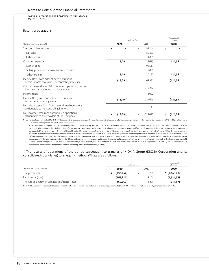## Results of operations

|                                                                                                        | Millions of yen | Thousands of<br>US dollars |                 |
|--------------------------------------------------------------------------------------------------------|-----------------|----------------------------|-----------------|
| The Fiscal Year ended March 31                                                                         | 2020            | 2019                       | 2020            |
| Sales and other income                                                                                 | ¥               | ¥<br>191,246               | \$              |
| Net sales                                                                                              |                 | 189,387                    |                 |
| Other income                                                                                           |                 | 1,859                      |                 |
| Costs and expenses                                                                                     | 13,794          | 122,695                    | 126,551         |
| Cost of sales                                                                                          |                 | 92,613                     |                 |
| Selling, general and administrative expenses                                                           |                 | 9,830                      |                 |
| Other expenses                                                                                         | 13,794          | 20,252                     | 126,551         |
| Income (loss) from discontinued operations,<br>before income taxes and noncontrolling interests        | (13,794)        | 68,551                     | (126, 551)      |
| Gain on sale of shares of discontinued operations, before<br>income taxes and noncontrolling interests |                 | 970,237                    |                 |
| Income taxes                                                                                           |                 | 11,092                     |                 |
| Income (loss) from discontinued operations,<br>before noncontrolling interests                         | (13,794)        | 1,027,696                  | (126, 551)      |
| Less: Net income (loss) from discontinued operations<br>attributable to noncontrolling interests       |                 | (1)                        |                 |
| Net income (loss) from discontinued operations<br>attributable to shareholders of the Company          | (13,794)<br>¥   | ¥<br>1,027,697             | (126, 551)<br>S |

Notes: For the fiscal year ended March 31, 2019, the results of operations include the cumulative results of operations for the memory business for the two months from April 1, 2018 and 15.5 billion yen in indemnification expenses, included within Other expenses.

 Because the company split related to the memory business of the Company on April 1, 2017 was implemented with a view to introducing third-party capital, and full controlling interest was not expected to be continued, the eligibility criteria for tax purposes was not met and the company split was to be treated as a non-qualified split. A non-qualified split was treated as if the transfer was conducted at the market value at the time of the split, and a difference between the market value and the carrying amount was taxable as gain or loss on the transfer. While the market values of assets and liabilities taken over in the company split were fixed in line with the conclusion of the share purchase agreement and tax expenses were recorded, a valuation allowance was recorded for deferred tax assets associated with the non-qualified split in fiscal year ended March 31, 2018. As a result, although the gain on sale was recognized in the current fiscal year for accounting purposes, a tax amount for the gain on the transfer for the difference between the market value and the carrying amount of the memory business at the time of the company split in fiscal year ended March 31, 2018 was already recognized for tax purposes. Consequently, a major disparity has arisen between the statutory effective tax rate of 30.6% in fiscal year ended March 31, 2019 and the income tax expense and income before income taxes and noncontrolling interests of the memory business.

The results of operations of the period subsequent to transfer of KIOXIA Group (KIOXIA Corporation and its consolidated subsidiaries) to an equity method affiliate are as follows.

|                                                     |            | Millions of ven |       | Thousands of<br>US dollars |
|-----------------------------------------------------|------------|-----------------|-------|----------------------------|
| The Fiscal Year ended March 31                      | 2020       |                 | 2019  | 2020                       |
| The pretax loss                                     | (236, 452) |                 | (721) | \$ (2,169,284)             |
| Net income (loss)                                   | (165, 826) |                 | 8,106 | (1,521,339)                |
| The Group's equity in earnings of affiliates (loss) | (66, 662)  |                 | 3.259 | (611,578)                  |

Note: KIOXIA Corporation conducted Purchase Price Allocation procedures based on fair value as of the acquisition date (June 1, 2018), which it completed in fiscal year ended March 31, 2019.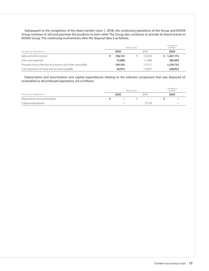Subsequent to the completion of the share transfer (June 1, 2018), the continuing operations of the Group and KIOXIA Group continue to sell and purchase the products to each other The Group also continues to provide its brand license to KIOXIA Group. The continuing involvements after the disposal date is as follows.

|                                                            | Millions of yen | Thousands of<br>US dollars |             |
|------------------------------------------------------------|-----------------|----------------------------|-------------|
| The Fiscal Year ended March 31                             | 2020            | 2019                       | 2020        |
| Sales and other income                                     | 138.122         | 121.053                    | \$1,267,174 |
| Costs and expenses                                         | 31.098          | 111.806                    | 285,303     |
| Proceeds from collection of accounts and other receivables | 139.163         | 173.711                    | 1,276,725   |
| Cash payments of notes and accounts payable                | 46,974          | 112.927                    | 430.954     |

Depreciation and amortization and capital expenditures relating to the relevant component that was disposed of, reclassified as discontinued operations, are as follows:

| The Fiscal Year ended March 31<br>Depreciation and amortization<br>Capital expenditures |      |                          | Thousands of<br>US dollars |                                 |      |   |
|-----------------------------------------------------------------------------------------|------|--------------------------|----------------------------|---------------------------------|------|---|
|                                                                                         | 2020 |                          | 2019                       |                                 | 2020 |   |
|                                                                                         |      | $\overline{\phantom{m}}$ |                            | $\hspace{0.1mm}-\hspace{0.1mm}$ |      | - |
|                                                                                         |      | $\overline{\phantom{m}}$ |                            | 37.579                          |      |   |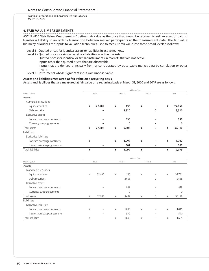## **4. FAIR VALUE MEASUREMENTS**

ASC No.820 "Fair Value Measurements" defines fair value as the price that would be received to sell an asset or paid to transfer a liability in an orderly transaction between market participants at the measurement date. The fair value hierarchy prioritizes the inputs to valuation techniques used to measure fair value into three broad levels as follows;

Level 1 - Quoted prices for identical assets or liabilities in active markets.

Level 2 - Quoted prices for similar assets or liabilities in active markets.

Quoted prices for identical or similar instruments in markets that are not active.

Inputs other than quoted prices that are observable.

 Inputs that are derived principally from or corroborated by observable market data by correlation or other means.

Level 3 - Instruments whose significant inputs are unobservable.

## **Assets and liabilities measured at fair value on a recurring basis**

Assets and liabilities that are measured at fair value on a recurring basis at March 31, 2020 and 2019 are as follows:

|                               | Millions of yen |         |   |              |                 |                          |       |              |  |
|-------------------------------|-----------------|---------|---|--------------|-----------------|--------------------------|-------|--------------|--|
| March 31, 2020                |                 | Level 1 |   | Level 2      | Level 3         |                          | Total |              |  |
| Assets:                       |                 |         |   |              |                 |                          |       |              |  |
| Marketable securities:        |                 |         |   |              |                 |                          |       |              |  |
| Equity securities             | ¥               | 27,707  | ¥ | 133          | ¥               |                          | ¥     | 27,840       |  |
| Debt securities               |                 |         |   | 3,520        |                 | $\bf{0}$                 |       | 3,520        |  |
| Derivative assets:            |                 |         |   |              |                 |                          |       |              |  |
| Forward exchange contracts    |                 |         |   | 950          |                 |                          |       | 950          |  |
| Currency swap agreements      |                 |         |   | $\bf{0}$     |                 |                          |       | $\bf{0}$     |  |
| Total assets                  | ¥               | 27,707  | ¥ | 4,603        | ¥               | $\bf{0}$                 | ¥     | 32,310       |  |
| Liabilities:                  |                 |         |   |              |                 |                          |       |              |  |
| Derivative liabilities:       |                 |         |   |              |                 |                          |       |              |  |
| Forward exchange contracts    | ¥               |         | ¥ | 1,792        | ¥               |                          | ¥     | 1,792        |  |
| Interest rate swap agreements |                 |         |   | 307          |                 | -                        |       | 307          |  |
| <b>Total liabilities</b>      | ¥               |         | ¥ | 2,099        | ¥               | $\overline{\phantom{0}}$ | ¥     | 2,099        |  |
|                               |                 |         |   |              |                 |                          |       |              |  |
|                               |                 |         |   |              | Millions of yen |                          |       |              |  |
| March 31, 2019                |                 | Level 1 |   | Level 2      |                 | Level 3                  |       | Total        |  |
| Assets:                       |                 |         |   |              |                 |                          |       |              |  |
| Marketable securities:        |                 |         |   |              |                 |                          |       |              |  |
| Equity securities             | ¥               | 32,636  | ¥ | 115          | ¥               |                          | ¥     | 32,751       |  |
| Debt securities               |                 |         |   | 2,558        |                 | $\mathbf 0$              |       | 2,558        |  |
| Derivative assets:            |                 |         |   |              |                 |                          |       |              |  |
| Forward exchange contracts    |                 |         |   | 819          |                 |                          |       | 819          |  |
| Currency swap agreements      |                 |         |   | $\mathbf{0}$ |                 |                          |       | $\mathbf{0}$ |  |
| Total assets                  | ¥               | 32,636  | ¥ | 3,492        | ¥               | $\mathbf 0$              | ¥     | 36,128       |  |
| Liabilities:                  |                 |         |   |              |                 |                          |       |              |  |
| Derivative liabilities:       |                 |         |   |              |                 |                          |       |              |  |
| Forward exchange contracts    | ¥               |         | ¥ | 1,015        | ¥               |                          | ¥     | 1,015        |  |
| Interest rate swap agreements |                 |         |   | 590          |                 | $\overline{\phantom{0}}$ |       | 590          |  |
| <b>Total liabilities</b>      | ¥               |         | ¥ | 1,605        | ¥               |                          | ¥     | 1.605        |  |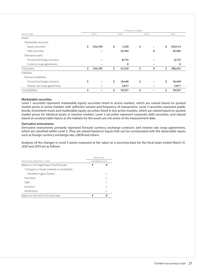|                               | Thousands of US dollars |         |    |         |         |          |       |         |  |  |
|-------------------------------|-------------------------|---------|----|---------|---------|----------|-------|---------|--|--|
| March 31, 2020                | Level 1                 |         |    | Level 2 | Level 3 |          | Total |         |  |  |
| Assets:                       |                         |         |    |         |         |          |       |         |  |  |
| Marketable securities:        |                         |         |    |         |         |          |       |         |  |  |
| Equity securities             | \$                      | 254,193 | \$ | 1,220   | \$      |          | \$    | 255,413 |  |  |
| Debt securities               |                         |         |    | 32,294  |         | 0        |       | 32,294  |  |  |
| Derivative assets:            |                         |         |    |         |         |          |       |         |  |  |
| Forward exchange contracts    |                         |         |    | 8,715   |         |          |       | 8,715   |  |  |
| Currency swap agreements      |                         |         |    | 0       |         |          |       | 0       |  |  |
| Total assets                  | \$.                     | 254,193 | \$ | 42,229  | \$      | $\bf{0}$ | \$    | 296,422 |  |  |
| Liabilities:                  |                         |         |    |         |         |          |       |         |  |  |
| Derivative liabilities:       |                         |         |    |         |         |          |       |         |  |  |
| Forward exchange contracts    | \$                      |         | \$ | 16,440  | \$      |          | \$    | 16,440  |  |  |
| Interest rate swap agreements |                         |         |    | 2,817   |         |          |       | 2,817   |  |  |
| Total liabilities             | \$                      |         | \$ | 19,257  | \$      |          | \$    | 19,257  |  |  |

#### **Marketable securities**

Level 1 securities represent marketable equity securities listed in active markets, which are valued based on quoted market prices in active markets with sufficient volume and frequency of transactions. Level 2 securities represent public bonds, investment trusts and marketable equity securities listed in less active markets, which are valued based on quoted market prices for identical assets in inactive markets. Level 3 securities represent corporate debt securities, and valued based on unobservable inputs as the markets for the assets are not active at the measurement date.

#### **Derivative instruments**

Derivative instruments primarily represent forward currency exchange contracts and interest rate swap agreements, which are classified within Level 2. They are valued based on inputs that can be corroborated with the observable inputs such as foreign currency exchange rate, LIBOR and others.

Analyses of the changes in Level 3 assets measured at fair value on a recurring basis for the fiscal years ended March 31, 2020 and 2019 are as follows:

|                                                 | Millions of yen       |  |
|-------------------------------------------------|-----------------------|--|
| The Fiscal Year ended March 31, 2020            | Marketable securities |  |
| Balance at the beginning of the fiscal year     |                       |  |
| Total gains or losses (realized or unrealized): |                       |  |
| Included in gains (losses):                     |                       |  |
| Purchases                                       |                       |  |
| Sales                                           |                       |  |
| <i><u><b>Issuances</b></u></i>                  |                       |  |
| Settlements                                     |                       |  |
| Balance at the end of the fiscal year           |                       |  |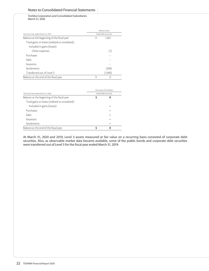## Notes to Consolidated Financial Statements

Toshiba Corporation and Consolidated Subsidiaries March 31, 2020

|                                                 |   | Millions of yen       |  |  |  |
|-------------------------------------------------|---|-----------------------|--|--|--|
| The Fiscal Year ended March 31, 2019            |   | Marketable securities |  |  |  |
| Balance at the beginning of the fiscal year     | ¥ | 1.201                 |  |  |  |
| Total gains or losses (realized or unrealized): |   |                       |  |  |  |
| Included in gains (losses):                     |   |                       |  |  |  |
| Other expenses                                  |   | (1)                   |  |  |  |
| Purchases                                       |   |                       |  |  |  |
| Sales                                           |   |                       |  |  |  |
| Issuances                                       |   |                       |  |  |  |
| Settlements                                     |   | (200)                 |  |  |  |
| Transferred out of Level 3                      |   | (1,000)               |  |  |  |
| Balance at the end of the fiscal year           | ¥ |                       |  |  |  |

|                                                 | Thousands of US dollars |
|-------------------------------------------------|-------------------------|
| The Fiscal Year ended March 31, 2020            | Marketable securities   |
| Balance at the beginning of the fiscal year     |                         |
| Total gains or losses (realized or unrealized): |                         |
| Included in gains (losses):                     |                         |
| Purchases                                       |                         |
| Sales                                           |                         |
| <b>Issuances</b>                                |                         |
| Settlements                                     |                         |
| Balance at the end of the fiscal year           |                         |

At March 31, 2020 and 2019, Level 3 assets measured at fair value on a recurring basis consisted of corporate debt securities. Also, as observable market data became available, some of the public bonds and corporate debt securities were transferred out of Level 3 for the fiscal year ended March 31, 2019.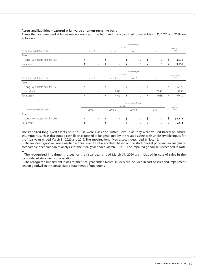#### **Assets and liabilities measured at fair value on a non-recurring basis**

Assets that are measured at fair value on a non-recurring basis and the recognized losses at March 31, 2020 and 2019 are as follows:

|                                      |    |                          |    |                          |            | Millions of yen         |       |                |        |            |
|--------------------------------------|----|--------------------------|----|--------------------------|------------|-------------------------|-------|----------------|--------|------------|
|                                      |    |                          |    |                          | Fair value |                         |       |                |        | Impairment |
| The Fiscal Year ended March 31, 2020 |    | Level 1                  |    | Level 2                  |            | Level 3                 | Total |                | losses |            |
| Assets:                              |    |                          |    |                          |            |                         |       |                |        |            |
| Long-lived assets held for use       | ¥  |                          | ¥  | $\overline{\phantom{0}}$ | ¥          | 0                       | ¥     | $\bf{0}$       | ¥      | 3,838      |
| Total assets                         | ¥  | -                        | ¥  | $\overline{\phantom{0}}$ | ¥          | $\bf{0}$                | ¥     | $\bf{0}$       | ¥      | 3,838      |
|                                      |    |                          |    |                          |            | Millions of yen         |       |                |        |            |
|                                      |    |                          |    |                          | Fair value |                         |       |                |        | Impairment |
| The Fiscal Year ended March 31, 2019 |    | Level 1                  |    | Level 2                  |            | Level 3                 |       | Total          | losses |            |
| Assets:                              |    |                          |    |                          |            |                         |       |                |        |            |
| Long-lived assets held for use       | ¥  |                          | ¥  |                          | ¥          | $\mathbf{0}$            | ¥     | $\overline{0}$ | ¥      | 6,572      |
| Goodwill                             |    |                          |    | 7,943                    |            |                         |       | 7,943          |        | 9,838      |
| Total assets                         | ¥  | $\overline{\phantom{a}}$ | ¥  | 7,943                    | ¥          | 0                       | ¥     | 7,943          | ¥      | 16,410     |
|                                      |    |                          |    |                          |            | Thousands of US dollars |       |                |        |            |
|                                      |    |                          |    |                          | Fair value |                         |       |                |        | Impairment |
| The Fiscal Year ended March 31, 2020 |    | Level 1                  |    | Level 2                  |            | Level 3                 |       | Total          |        | losses     |
| Assets:                              |    |                          |    |                          |            |                         |       |                |        |            |
| Long-lived assets held for use       | \$ |                          | \$ |                          | \$         | $\bf{0}$                | \$    | $\bf{0}$       | \$     | 35,211     |
| Total assets                         | \$ | -                        | \$ | -                        | \$         | $\bf{0}$                | \$    | $\bf{0}$       | \$     | 35,211     |

The impaired long-lived assets held for use were classified within Level 3 as they were valued based on future assumptions such as discounted cash flows expected to be generated by the related assets with unobservable inputs for the fiscal years ended March 31, 2020 and 2019. The impaired long-lived assets is described in Note 16.

The impaired goodwill was classified within Level 2 as it was valued based on the stock market price and an analysis of comparable peer companies analysis for the fiscal year ended March 31, 2019.The impaired goodwill is described in Note 9.

The recognized impairment losses for the fiscal year ended March 31, 2020 are included in cost of sales in the consolidated statements of operations.

The recognized impairment losses for the fiscal year ended March 31, 2019 are included in cost of sales and impairment loss on goodwill in the consolidated statements of operations.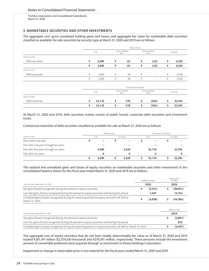## **5. MARKETABLE SECURITIES AND OTHER INVESTMENTS**

The aggregate cost, gross unrealized holding gains and losses, and aggregate fair value for marketable debt securities classified as available-for-sale securities by security type at March 31, 2020 and 2019 are as follows:

|                 |    |                                                                 |    | Millions of yen           |                            |                          |    |            |
|-----------------|----|-----------------------------------------------------------------|----|---------------------------|----------------------------|--------------------------|----|------------|
|                 |    | Cost                                                            |    | Gross unrealized<br>gains | Gross unrealized<br>losses |                          |    | Fair value |
| March 31, 2020: |    |                                                                 |    |                           |                            |                          |    |            |
| Debt securities | ¥  | 3,500                                                           | ¥  | 63                        | ¥                          | (43)                     | ¥  | 3,520      |
|                 | ¥  | 3,500                                                           | ¥  | 63                        | ¥                          | (43)                     | ¥  | 3,520      |
| March 31, 2019: |    |                                                                 |    |                           |                            |                          |    |            |
| Debt securities | ¥  | 2,500                                                           | ¥  | 58                        | ¥                          | $\overline{\phantom{0}}$ | ¥  | 2,558      |
|                 | ¥  | 2,500                                                           | ¥  | 58                        | ¥                          | $\overline{\phantom{0}}$ | ¥  | 2,558      |
|                 |    |                                                                 |    |                           | Thousands of US dollars    |                          |    |            |
|                 |    | Gross unrealized<br>Gross unrealized<br>Cost<br>losses<br>gains |    |                           |                            | Fair value               |    |            |
| March 31, 2020: |    |                                                                 |    |                           |                            |                          |    |            |
| Debt securities | \$ | 32,110                                                          | \$ | 578                       | \$                         | (394)                    | \$ | 32,294     |
|                 | \$ | 32,110                                                          | \$ | 578                       | \$                         | (394)                    | \$ | 32,294     |

At March 31, 2020 and 2019, debt securities mainly consist of public bonds, corporate debt securities and investment trusts.

Contractual maturities of debt securities classified as available-for-sale at March 31, 2020 are as follows:

|                                        |       | Millions of yen          |            |       |        |        | Thousands of US dollars |        |  |  |
|----------------------------------------|-------|--------------------------|------------|-------|--------|--------|-------------------------|--------|--|--|
| March 31, 2020                         | Cost  |                          | Fair value |       | Cost   |        | Fair value              |        |  |  |
| Due within one year                    |       | $\overline{\phantom{0}}$ |            |       |        |        |                         |        |  |  |
| Due after one year through five years  |       | -                        |            |       |        |        |                         |        |  |  |
| Due after five years through ten years | 3,500 |                          | 3,520      |       | 32,110 |        | 32,294                  |        |  |  |
| Due after ten years                    |       | 0                        |            | 0     |        |        |                         |        |  |  |
|                                        |       | 3.500                    |            | 3.520 |        | 32,110 |                         | 32,294 |  |  |

The realized and unrealized gains and losses of equity securities on marketable securities and other investments in the consolidated balance sheets for the fiscal year ended March 31, 2020 and 2019 are as follows:

|                                                                                                                                                                                                                                |   | Millions of yen | Thousands of<br>US dollars<br>2020 |                 |  |
|--------------------------------------------------------------------------------------------------------------------------------------------------------------------------------------------------------------------------------|---|-----------------|------------------------------------|-----------------|--|
| The Fiscal Year ended March 31, 2020                                                                                                                                                                                           |   | 2020            |                                    |                 |  |
| Net gains (losses) recognized during the period on equity securities                                                                                                                                                           | ¥ | (3, 341)        |                                    | (30, 651)       |  |
| Less: Net gains (losses) recognized during the period on equity securities sold during the period                                                                                                                              |   | 1,497           |                                    | 13,734          |  |
| Unrealized gains (losses) recognized during the reporting period on equity securities still held at<br>March 31, 2020                                                                                                          | ¥ | (4,838)         |                                    | (44, 385)       |  |
|                                                                                                                                                                                                                                |   |                 |                                    | Millions of yen |  |
| The first the state of the company of the state of the state of the state of the state of the state of the state of the state of the state of the state of the state of the state of the state of the state of the state of th |   |                 |                                    | $\cdots$        |  |

| The Fiscal Year ended March 31, 2019                                                                               | 2019    |
|--------------------------------------------------------------------------------------------------------------------|---------|
| Net gains (losses) recognized during the period on equity securities                                               | (3,681) |
| Less: Net gains (losses) recognized during the period on equity securities sold during the period                  | 816     |
| Unrealized gains (losses) recognized during the reporting period on equity securities still held at March 31, 2019 | (4.497) |

The aggregate cost of equity securities that do not have readily determinable fair value as of March 31, 2020 and 2019 totaled ¥281,147 million (\$2,579,330 thousand) and ¥279,291 million, respectively. These amounts include the investment amount of convertible preferred stock acquired through re-investment in Kioxia Holdings Corporation.

Impairment or change in observable price is not material for the fiscal years ended March 31, 2020 and 2019.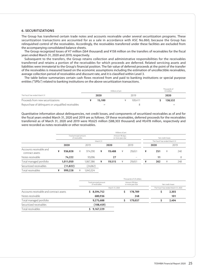## **6. SECURITIZATIONS**

The Group has transferred certain trade notes and accounts receivable under several securitization programs. These securitization transactions are accounted for as a sale in accordance with ASC No.860, because the Group has relinquished control of the receivables. Accordingly, the receivables transferred under these facilities are excluded from the accompanying consolidated balance sheets.

The Group recognized losses of ¥7 million (\$64 thousand) and ¥158 million on the transfers of receivables for the fiscal years ended March 31, 2020 and 2019, respectively.

Subsequent to the transfers, the Group retains collection and administrative responsibilities for the receivables transferred and retains a portion of the receivables for which proceeds are deferred. Related servicing assets and liabilities were immaterial to the Group's financial position. The fair value of deferred proceeds at the point of the transfer of the receivables is measured based on the economic assumptions including the estimation of uncollectible receivables, average collection period of receivables and discount rate, and it is classified within Level 3.

The table below summarizes certain cash flows received from and paid to banking institutions or special purpose entities ("SPEs") related to banking institutions on the above securitization transactions.

|                                                     |        | Millions of ven |         | Thousands of<br>US dollars |
|-----------------------------------------------------|--------|-----------------|---------|----------------------------|
| The Fiscal Year ended March 31                      | 2020   |                 | 2019    | 2020                       |
| Proceeds from new securitizations                   | 15.100 |                 | 109.411 | 138,532                    |
| Repurchase of delinguent or unqualified receivables | -      |                 |         | -                          |

Quantitative information about delinquencies, net credit losses, and components of securitized receivables as of and for the fiscal years ended March 31, 2020 and 2019 are as follows. Of these receivables, deferred proceeds for the receivables transferred as of March 31, 2020 and 2019 were ¥9,625 million (\$88,303 thousand) and ¥9,478 million, respectively and were recorded as notes receivable or other receivables.

|                                            |   |                        |                |           |          |        | Millions of yen                    |        |   |                                |                   |      |
|--------------------------------------------|---|------------------------|----------------|-----------|----------|--------|------------------------------------|--------|---|--------------------------------|-------------------|------|
|                                            |   | Total principal amount | of receivables |           |          |        | Amount 90 days<br>or more past due |        |   |                                | Net credit losses |      |
|                                            |   |                        |                |           | March 31 |        |                                    |        |   | The Fiscal Year ended March 31 |                   |      |
|                                            |   | 2020                   |                | 2019      |          | 2020   |                                    | 2019   |   | 2020                           |                   | 2019 |
| Accounts receivable and<br>contract assets | ¥ | 936,828                | ¥              | 974.290   | ¥        | 19,488 | ¥                                  | 29,651 | ¥ | 251                            | ¥                 | 240  |
| Notes receivable                           |   | 74,222                 |                | 93,096    |          | 27     |                                    |        |   | 11                             |                   | 8    |
| Total managed portfolio                    |   | 1,011,050              |                | 1,067,386 | ¥        | 19,515 | ¥                                  | 29,651 | ¥ | 262                            | ¥                 | 248  |
| Securitized receivables                    |   | (11,822)               |                | (24,062)  |          |        |                                    |        |   |                                |                   |      |
| Total receivables                          | ¥ | 999,228                | ¥              | 1.043.324 |          |        |                                    |        |   |                                |                   |      |

|                                         |                                          | Thousands of US dollars            |                                      |
|-----------------------------------------|------------------------------------------|------------------------------------|--------------------------------------|
|                                         | Total principal amount<br>of receivables | Amount 90 days<br>or more past due | Net credit losses                    |
|                                         | March 31, 2020                           |                                    | The Fiscal Year ended March 31, 2020 |
| Accounts receivable and contract assets | \$8,594,752                              | 178,789                            | 2,303                                |
| Notes receivable                        | 680.936                                  | 248                                | 101                                  |
| Total managed portfolio                 | 9,275,688                                | 179,037                            | 2,404                                |
| Securitized receivables                 | (108, 459)                               |                                    |                                      |
| Total receivables                       | 9,167,229                                |                                    |                                      |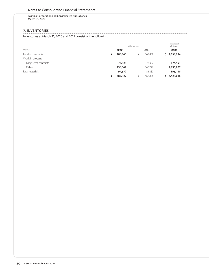# **7. INVENTORIES**

Inventories at March 31, 2020 and 2019 consist of the following:

|                     | Millions of yen | Thousands of<br>US dollars |                 |
|---------------------|-----------------|----------------------------|-----------------|
| March 31            | 2020            | 2019                       | 2020            |
| Finished products   | 180,863<br>¥    | 168,888<br>¥               | 1,659,294<br>S. |
| Work in process:    |                 |                            |                 |
| Long-term contracts | 73,525          | 78,407                     | 674,541         |
| Other               | 130,367         | 140,226                    | 1,196,027       |
| Raw materials       | 97,572          | 81,357                     | 895,156         |
|                     | 482,327<br>¥    | 468,878<br>¥               | 4,425,018       |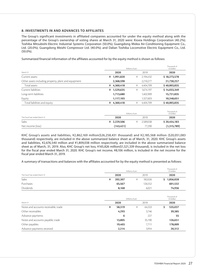## **8. INVESTMENTS IN AND ADVANCES TO AFFILIATES**

The Group's significant investments in affiliated companies accounted for under the equity method along with the percentage of the Group's ownership of voting shares at March 31, 2020 were: Kioxia Holdings Corporation (40.2%); Toshiba Mitsubishi-Electric Industrial Systems Corporation (50.0%); Guangdong Midea Air-Conditioning Equipment Co., Ltd. (20.0%); Guangdong Meizhi Compressor Ltd. (40.0%); and Dalian Toshiba Locomotive Electric Equipment Co., Ltd. (50.0%).

Summarized financial information of the affiliates accounted for by the equity method is shown as follows:

|                                                      |   | Millions of yen | Thousands of<br>US dollars |           |              |
|------------------------------------------------------|---|-----------------|----------------------------|-----------|--------------|
| March 31                                             |   | 2020            |                            | 2019      | 2020         |
| Current assets                                       | ¥ | 1,991,820       | ¥                          | 2,194,432 | \$18,273,578 |
| Other assets including property, plant and equipment |   | 2,368,598       |                            | 2,210,277 | 21,730,257   |
| Total assets                                         | ¥ | 4,360,418       | ¥                          | 4.404.709 | \$40,003,835 |
| Current liabilities                                  | ¥ | 1,529,635       | ¥                          | 1.674.197 | \$14,033,349 |
| Long-term liabilities                                |   | 1,713,680       |                            | 1,402,909 | 15,721,835   |
| Equity                                               |   | 1,117,103       |                            | 1,327,603 | 10,248,651   |
| Total liabilities and equity                         |   | 4,360,418       | ¥                          | 4.404.709 | \$40,003,835 |

|                                | Millions of yen |           | Thousands of<br>US dollars |
|--------------------------------|-----------------|-----------|----------------------------|
| The Fiscal Year ended March 31 | 2020            | 2019      | 2020                       |
| Sales                          | 42,229,506      | 2,589,038 | \$20,454,183               |
| Net income (loss)              | (143, 421)      | 77,290    | (1,315,789)                |

KHC Group's assets and liabilities, ¥2,862,169 million(\$26,258,431 thousand) and ¥2,185,568 million (\$20,051,083 thousand) respectively, are included in the above summarized balance sheet as of March, 31, 2020. KHC Group's assets and liabilities, ¥2,676,540 million and ¥1,809,038 million respectively, are included in the above summarized balance sheet as of March, 31, 2019. Also, KHC Group's net loss, ¥165,826 million(\$1,521,339 thousand), is included in the net loss for the fiscal year ended March 31, 2020. KHC Group's net income, ¥8,106 million, is included in the net income for the fiscal year ended March 31, 2019.

A summary of transactions and balances with the affiliates accounted for by the equity method is presented as follows:

|                                |   |         | Millions of yen |         | Thousands of<br>US dollars |
|--------------------------------|---|---------|-----------------|---------|----------------------------|
| The Fiscal Year ended March 31 |   | 2020    |                 | 2019    | 2020                       |
| Sales                          | ¥ | 202,307 |                 | 182,026 | 1,856,028                  |
| Purchases                      |   | 65,567  |                 | 126,552 | 601,532                    |
| Dividends                      |   | 8,168   |                 | 6.021   | 74,936                     |

|                                      | Millions of yen | Thousands of<br>US dollars |         |
|--------------------------------------|-----------------|----------------------------|---------|
| March 31                             | 2020            | 2019                       | 2020    |
| Notes and accounts receivable, trade | ¥<br>58,319     | 64,333<br>¥                | 535,037 |
| Other receivables                    | 4,293           | 3,746                      | 39,385  |
| Advance payments                     | 6               | 227                        | 55      |
| Notes and accounts payable, trade    | 13,805          | 35,190                     | 126,651 |
| Other payables                       | 19,403          | 7,711                      | 178,009 |
| Advance payments received            | 2,214           | 3,954                      | 20,312  |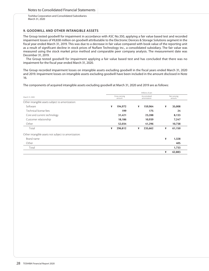## **9. GOODWILL AND OTHER INTANGIBLE ASSETS**

The Group tested goodwill for impairment in accordance with ASC No.350, applying a fair value based test and recorded impairment losses of ¥9,838 million on goodwill attributable to the Electronic Devices & Storage Solutions segment in the fiscal year ended March 31, 2019. This was due to a decrease in fair value compared with book value of the reporting unit as a result of significant decline in stock prices of Nuflare Technology inc., a consolidated subsidiary. The fair value was measured using the stock market price method and comparable peer company analysis. The measurement date was December 31, 2019.

The Group tested goodwill for impairment applying a fair value based test and has concluded that there was no impairment for the fiscal year ended March 31, 2020.

The Group recorded impairment losses on intangible assets excluding goodwill in the fiscal years ended March 31, 2020 and 2019. Impairment losses on intangible assets excluding goodwill have been included in the amount disclosed in Note 16.

The components of acquired intangible assets excluding goodwill at March 31, 2020 and 2019 are as follows:

|                                                      | Millions of yen |                          |   |                             |   |                        |  |  |
|------------------------------------------------------|-----------------|--------------------------|---|-----------------------------|---|------------------------|--|--|
| March 31, 2020                                       |                 | Gross carrying<br>amount |   | Accumulated<br>amortization |   | Net carrying<br>amount |  |  |
| Other intangible assets subject to amortization:     |                 |                          |   |                             |   |                        |  |  |
| Software                                             | ¥               | 194,972                  | ¥ | 159,964                     | ¥ | 35,008                 |  |  |
| Technical license fees                               |                 | 199                      |   | 175                         |   | 24                     |  |  |
| Core and current technology                          |                 | 31,421                   |   | 23,288                      |   | 8,133                  |  |  |
| Customer relationship                                |                 | 18,186                   |   | 10,939                      |   | 7,247                  |  |  |
| Other                                                |                 | 52,034                   |   | 41,296                      |   | 10,738                 |  |  |
| Total                                                | ¥               | 296,812                  | ¥ | 235,662                     | ¥ | 61,150                 |  |  |
| Other intangible assets not subject to amortization: |                 |                          |   |                             |   |                        |  |  |
| Brand name                                           |                 |                          |   |                             | ¥ | 1,328                  |  |  |
| Other                                                |                 |                          |   |                             |   | 405                    |  |  |
| Total                                                |                 |                          |   |                             |   | 1,733                  |  |  |
|                                                      |                 |                          |   |                             | ¥ | 62,883                 |  |  |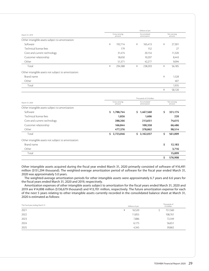|                                                      |   |                          |   | Millions of yen             |   |                        |
|------------------------------------------------------|---|--------------------------|---|-----------------------------|---|------------------------|
| March 31, 2019                                       |   | Gross carrying<br>amount |   | Accumulated<br>amortization |   | Net carrying<br>amount |
| Other intangible assets subject to amortization:     |   |                          |   |                             |   |                        |
| Software                                             | ¥ | 192.714                  | ¥ | 165.413                     | ¥ | 27.301                 |
| Technical license fees                               |   | 179                      |   | 152                         |   | 27                     |
| Core and current technology                          |   | 31,474                   |   | 20,154                      |   | 11,320                 |
| Customer relationship                                |   | 18,650                   |   | 10,207                      |   | 8,443                  |
| Other                                                |   | 51,371                   |   | 42,277                      |   | 9,094                  |
| Total                                                | ¥ | 294,388                  | ¥ | 238,203                     | ¥ | 56,185                 |
| Other intangible assets not subject to amortization: |   |                          |   |                             |   |                        |
| Brand name                                           |   |                          |   |                             | ¥ | 1,528                  |
| Other                                                |   |                          |   |                             |   | 407                    |
| Total                                                |   |                          |   |                             |   | 1,935                  |
|                                                      |   |                          |   |                             | ¥ | 58,120                 |

|                                                      |                          | Thousands of US dollars     |                        |
|------------------------------------------------------|--------------------------|-----------------------------|------------------------|
| March 31, 2020                                       | Gross carrying<br>amount | Accumulated<br>amortization | Net carrying<br>amount |
| Other intangible assets subject to amortization:     |                          |                             |                        |
| Software                                             | Ś.<br>1,788,744          | 1,467,560<br>Ś.             | \$<br>321,174          |
| Technical license fees                               | 1,826                    | 1.606                       | 220                    |
| Core and current technology                          | 288,266                  | 213,651                     | 74,615                 |
| Customer relationship                                | 166,844                  | 100,358                     | 66,486                 |
| Other                                                | 477,376                  | 378,862                     | 98,514                 |
| Total                                                | 2,723,046<br>\$.         | \$2,162,037                 | \$<br>561,009          |
| Other intangible assets not subject to amortization: |                          |                             |                        |
| Brand name                                           |                          |                             | \$<br>12,183           |
| Other                                                |                          |                             | 3,716                  |
| Total                                                |                          |                             | 15,899                 |
|                                                      |                          |                             | \$<br>576,908          |

Other intangible assets acquired during the fiscal year ended March 31, 2020 primarily consisted of software of ¥16,491 million (\$151,294 thousand). The weighted-average amortization period of software for the fiscal year ended March 31, 2020 was approximately 5.0 years.

The weighted-average amortization periods for other intangible assets were approximately 6.7 years and 6.6 years for the fiscal years ended March 31, 2020 and 2019, respectively.

Amortization expenses of other intangible assets subject to amortization for the fiscal years ended March 31, 2020 and 2019 are ¥14,898 million (\$136,679 thousand) and ¥13,701 million, respectively. The future amortization expense for each of the next 5 years relating to other intangible assets currently recorded in the consolidated balance sheet at March 31, 2020 is estimated as follows:

| The Fiscal year ending March 31 | Millions of yen |        | Thousands of<br>US dollars |  |
|---------------------------------|-----------------|--------|----------------------------|--|
| 2021                            |                 | 16,520 | 151,560                    |  |
| 2022                            |                 | 11,855 | 108,761                    |  |
| 2023                            |                 | 7,886  | 72,349                     |  |
| 2024                            |                 | 6,175  | 56,651                     |  |
| 2025                            |                 | 4,345  | 39,862                     |  |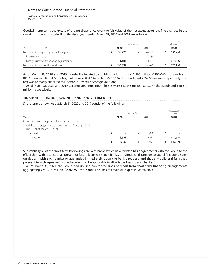Goodwill represents the excess of the purchase price over the fair value of the net assets acquired. The changes in the carrying amount of goodwill for the fiscal years ended March 31, 2020 and 2019 are as follows:

|                                             | Millions of yen |         |  |         |  | Thousands of<br>US dollars |  |
|---------------------------------------------|-----------------|---------|--|---------|--|----------------------------|--|
| The Fiscal Year ended March 31              |                 | 2020    |  | 2019    |  | 2020                       |  |
| Balance at the beginning of the fiscal year |                 | 58,475  |  | 67.162  |  | 536.468                    |  |
| Impairment losses                           |                 | -       |  | (9,838) |  |                            |  |
| Foreign currency translation adjustments    |                 | (1,681) |  | 1.151   |  | (15, 422)                  |  |
| Balance at the end of the fiscal year       |                 | 56.794  |  | 58.475  |  | 521.046                    |  |

As of March 31, 2020 and 2019, goodwill allocated to Building Solutions is ¥10,905 million (\$100,046 thousand) and ¥11,223 million, Retail & Printing Solutions is ¥34,546 million (\$316,936 thousand) and ¥35,656 million, respectively. The rest was primarily allocated to Electronic Devices & Storage Solutions.

As of March 31, 2020 and 2019, accumulated impairment losses were ¥43,943 million (\$403,147 thousand) and ¥46,514 million, respectively.

## **10. SHORT-TERM BORROWINGS AND LONG-TERM DEBT**

Short-term borrowings at March 31, 2020 and 2019 consist of the following:

|                                                                                            | Millions of yen |                          |   |        | Thousands of<br>US dollars |         |  |
|--------------------------------------------------------------------------------------------|-----------------|--------------------------|---|--------|----------------------------|---------|--|
| March 31                                                                                   |                 | 2020                     |   | 2019   |                            | 2020    |  |
| Loans and overdrafts, principally from banks, with                                         |                 |                          |   |        |                            |         |  |
| weighted-average interest rate of 1.65% at March 31, 2020,<br>and 1.65% at March 31, 2019: |                 |                          |   |        |                            |         |  |
| Secured                                                                                    | ¥               | $\overline{\phantom{0}}$ | ¥ | 19.000 |                            |         |  |
| Unsecured                                                                                  |                 | 13,339                   |   | 7.991  |                            | 122,376 |  |
|                                                                                            | ¥               | 13,339                   | ¥ | 26.991 |                            | 122,376 |  |

Substantially all of the short-term borrowings are with banks which have written basic agreements with the Group to the effect that, with respect to all present or future loans with such banks, the Group shall provide collateral (including sums on deposit with such banks) or guaranties immediately upon the bank's request, and that any collateral furnished pursuant to such agreements or otherwise shall be applicable to all indebtedness to such banks.

As of March 31, 2020, the Group had unused committed lines of credit from short-term financing arrangements aggregating ¥258,000 million (\$2,366,972 thousand). The lines of credit will expire in March 2023.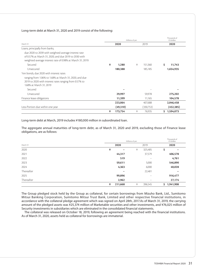Long-term debt at March 31, 2020 and 2019 consist of the following:

|                                                                                                                                                                             | Millions of yen |          |      |           |     | Thousands of<br>US dollars |
|-----------------------------------------------------------------------------------------------------------------------------------------------------------------------------|-----------------|----------|------|-----------|-----|----------------------------|
| March 31                                                                                                                                                                    | 2020            |          | 2019 |           |     | 2020                       |
| Loans, principally from banks,                                                                                                                                              |                 |          |      |           |     |                            |
| due 2020 to 2039 with weighted-average interest rate<br>of 0.57% at March 31, 2020, and due 2019 to 2030 with<br>weighted-average interest rate of 0.98% at March 31, 2019: |                 |          |      |           |     |                            |
| Secured                                                                                                                                                                     | ¥               | 1,280    | ¥    | 151,360   | \$  | 11,743                     |
| Unsecured                                                                                                                                                                   | 180,388         |          |      | 185,185   |     | 1,654,935                  |
| Yen bonds, due 2020 with interest rates                                                                                                                                     |                 |          |      |           |     |                            |
| ranging from 1.06% to 1.68% at March 31, 2020, and due<br>2019 to 2020 with interest rates ranging from 0.57% to<br>1.68% at March 31, 2019                                 |                 |          |      |           |     |                            |
| Secured                                                                                                                                                                     |                 |          |      |           |     |                            |
| Unsecured                                                                                                                                                                   |                 | 29,997   |      | 59,978    |     | 275,202                    |
| Finance lease obligations                                                                                                                                                   |                 | 11,399   |      | 11,165    |     | 104,578                    |
|                                                                                                                                                                             | 223,064         |          |      | 407,688   |     | 2,046,458                  |
| Less-Portion due within one year                                                                                                                                            |                 | (49,310) |      | (330,753) |     | (452, 385)                 |
|                                                                                                                                                                             | ¥<br>173,754    |          | ¥    | 76,935    | \$. | 1,594,073                  |

Long-term debt at March, 2019 includes ¥180,000 million in subordinated loan.

The aggregate annual maturities of long-term debt, as of March 31, 2020 and 2019, excluding those of Finance lease obligations, are as follows:

|            | Millions of yen               | Thousands of<br>US dollars |                  |
|------------|-------------------------------|----------------------------|------------------|
| March 31   | 2020                          | 2019                       | 2020             |
| 2020       | ¥<br>$\overline{\phantom{0}}$ | ¥<br>325,485               | \$               |
| 2021       | 44,317                        | 37,579                     | 406,578          |
| 2022       | 519                           | $\overline{\phantom{0}}$   | 4,761            |
| 2023       | 59,611                        | 5,000                      | 546,890          |
| 2024       | 4,363                         | 6,000                      | 40,028           |
| Thereafter | $\overline{\phantom{0}}$      | 22,481                     |                  |
| 2025       | 99,896                        | $\overline{\phantom{0}}$   | 916,477          |
| Thereafter | 2,962                         | $\hspace{0.05cm}$          | 27,174           |
|            | 211,668<br>¥                  | ¥<br>396,545               | 1,941,908<br>\$. |

The Group pledged stock held by the Group as collateral, for certain borrowings from Mizuho Bank, Ltd., Sumitomo Mitsui Banking Corporation, Sumitomo Mitsui Trust Bank, Limited and other respective financial institutions, in accordance with the collateral pledge agreement which was signed on April 28th, 2017.As of March 31, 2019, the carrying amount of the pledged assets was ¥25,374 million of Marketable securities and other investments, and ¥76,025 million of Security investments in subsidiaries which are eliminated in the consolidated financial statements.

The collateral was released on October 18, 2019, following an agreement being reached with the financial institutions. As of March 31, 2020, assets held as collateral for borrowings are immaterial.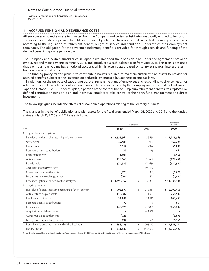## **11. ACCRUED PENSION AND SEVERANCE COSTS**

All employees who retire or are terminated from the Company and certain subsidiaries are usually entitled to lump-sum severance indemnities or pension benefits determined by reference to service credits allocated to employees each year according to the regulation of retirement benefit, length of service and conditions under which their employment terminates. The obligation for the severance indemnity benefit is provided for through accruals and funding of the defined benefit corporate pension plan.

The Company and certain subsidiaries in Japan have amended their pension plan under the agreement between employees and managements in January 2011, and introduced a cash balance plan from April 2011. This plan is designed that each plan participant has a notional account, which is accumulated based on salary standards, interest rates in financial markets and others.

The funding policy for the plans is to contribute amounts required to maintain sufficient plan assets to provide for accrued benefits, subject to the limitation on deductibility imposed by Japanese income tax laws.

In addition, for the purpose of supporting post-retirement life plans of employees and responding to diverse needs for retirement benefits, a defined contribution pension plan was introduced by the Company and some of its subsidiaries in Japan on October 1, 2015. Under this plan, a portion of the contribution to lump-sum retirement benefits was replaced by defined contribution pension plan and individual employees take control of their own fund management and direct investments.

The following figures include the effects of discontinued operations relating to the Memory business.

The changes in the benefit obligation and plan assets for the fiscal years ended March 31, 2020 and 2019 and the funded status at March 31, 2020 and 2019 are as follows:

|                                                               | Millions of yen | Thousands of<br>US dollars |                 |  |
|---------------------------------------------------------------|-----------------|----------------------------|-----------------|--|
| March 31                                                      | 2020            | 2019                       |                 |  |
| Change in benefit obligation:                                 |                 |                            |                 |  |
| Benefit obligation at the beginning of the fiscal year        | 1,338,364<br>¥  | ¥<br>1,435,536             | \$12,278,569    |  |
| Service cost                                                  | 39,483          | 40,947                     | 362,229         |  |
| Interest cost                                                 | 6,114           | 7,924                      | 56,092          |  |
| Plan participants' contributions                              | 72              | 179                        | 661             |  |
| Plan amendments                                               | 1,805           |                            | 16,560          |  |
| Actuarial loss                                                | (19, 560)       | 20,406                     | (179, 450)      |  |
| Benefits paid                                                 | (74, 989)       | (74, 634)                  | (687, 972)      |  |
| Acquisitions and divestitures                                 |                 | (92, 182)                  |                 |  |
| Curtailments and settlements                                  | (728)           | (303)                      | (6, 679)        |  |
| Foreign currency exchange impact                              | (204)           | 491                        | (1,872)         |  |
| Benefit obligation at the end of the fiscal year              | ¥ 1,290,357     | ¥<br>1,338,364             | \$11,838,138    |  |
| Change in plan assets:                                        |                 |                            |                 |  |
| Fair value of plan assets at the beginning of the fiscal year | 903,877<br>¥    | ¥<br>948,811               | 8,292,450<br>\$ |  |
| Actual return on plan assets                                  | (28, 187)       | 11,421                     | (258, 597)      |  |
| Employer contributions                                        | 32,856          | 31,822                     | 301,431         |  |
| Plan participants' contributions                              | 72              | 179                        | 661             |  |
| Benefits paid                                                 | (48, 973)       | (46,859)                   | (449, 294)      |  |
| Acquisitions and divestitures                                 |                 | (41,968)                   |                 |  |
| Curtailments and settlements                                  | (728)           |                            | (6, 679)        |  |
| Foreign currency exchange impact                              | (192)           | 471                        | (1,761)         |  |
| Fair value of plan assets at the end of the fiscal year       | 858,725<br>¥    | ¥<br>903,877               | \$7,878,211     |  |
| Funded status                                                 | (431, 632)<br>¥ | ¥<br>(434, 487)            | \$ (3,959,927)  |  |

Notes: 1) Major acquisitions and divestitures for the fiscal year ended March 31, 2019 represent the effects of the sale of the Memory business and PC business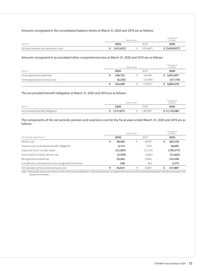## Amounts recognized in the consolidated balance sheets at March 31, 2020 and 2019 are as follows:

|                                     | Millions of ven | Thousands of<br>US dollars |                |
|-------------------------------------|-----------------|----------------------------|----------------|
| March 31                            | 2020            | 2019                       | 2020           |
| Accrued pension and severance costs | (431, 632)      | (434, 487)                 | \$ (3,959,927) |

## Amounts recognized in accumulated other comprehensive loss at March 31, 2020 and 2019 are as follows:

|                                 | Millions of yen |         |  |          | Thousands of<br>US dollars |
|---------------------------------|-----------------|---------|--|----------|----------------------------|
| March 31                        |                 | 2020    |  | 2019     | 2020                       |
| Unrecognized actuarial loss     |                 | 430.735 |  | 424.465  | \$3,951,697                |
| Unrecognized prior service cost |                 | (6,226) |  | (10,394) | (57, 119)                  |
|                                 |                 | 424.509 |  | 414.071  | \$3,894,578                |

## The accumulated benefit obligation at March 31, 2020 and 2019 are as follows:

|                                | Millions of yen |  |           | Thousands of<br>US dollars |
|--------------------------------|-----------------|--|-----------|----------------------------|
| March 31                       | 2020            |  | 2019      | 2020                       |
| Accumulated benefit obligation | 4 1,211,675     |  | 1.307.001 | \$11,116,284               |

## The components of the net periodic pension and severance cost for the fiscal years ended March 31, 2020 and 2019 are as follows:

|                                                       | Millions of yen | Thousands of<br>US dollars |           |
|-------------------------------------------------------|-----------------|----------------------------|-----------|
| The Fiscal Year ended March 31<br>Service cost        | 2020            | 2019                       | 2020      |
|                                                       | 39,483<br>¥     | 40.947<br>¥                | 362,229   |
| Interest cost on projected benefit obligation         | 6,114           | 7.924                      | 56,092    |
| Expected return on plan assets                        | (21, 307)       | (21,243)                   | (195,477) |
| Amortization of prior service cost                    | (2,359)         | (3,005)                    | (21, 642) |
| Recognized actuarial loss                             | 23,362          | 20,965                     | 214,330   |
| Curtailment and settlement loss recognized and others | 248             | 303                        | 2,275     |
| Net periodic pension and severance cost               | 45.541<br>¥     | 45.891<br>¥                | 417.807   |

Notes: 1) Net periodic pension and severance cost for the fiscal year ended March 31, 2019 includes pension cost related to the income (loss) from discontinued operations of the Memory business in the amounts of ¥720 million.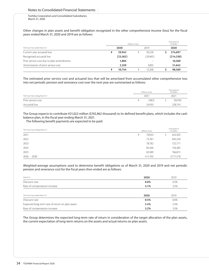Other changes in plan assets and benefit obligation recognized in the other comprehensive income (loss) for the fiscal years ended March 31, 2020 and 2019 are as follows:

|                                           | Millions of yen |           |  |          |  | Thousands of<br>US dollars |
|-------------------------------------------|-----------------|-----------|--|----------|--|----------------------------|
| The Fiscal Year ended March 31            |                 | 2020      |  | 2019     |  | 2020                       |
| Current year actuarial loss               | ¥               | 29,942    |  | 30,228   |  | 274,697                    |
| Recognized actuarial loss                 |                 | (23, 362) |  | (20,965) |  | (214, 330)                 |
| Prior service cost due to plan amendments |                 | 1,805     |  |          |  | 16,560                     |
| Amortization of prior service cost        |                 | 2.359     |  | 3.005    |  | 21.642                     |
|                                           | ¥               | 10.744    |  | 12.268   |  | 98,569                     |

The estimated prior service cost and actuarial loss that will be amortized from accumulated other comprehensive loss into net periodic pension and severance cost over the next year are summarized as follows:

|                                 |      | Millions of ven | Thousands of<br>US dollars |         |  |
|---------------------------------|------|-----------------|----------------------------|---------|--|
| The Fiscal Year ending March 31 | 2021 |                 | 2021                       |         |  |
| Prior service cost              |      | (983)           |                            | (9,018) |  |
| Actuarial loss                  |      | 24,933          |                            | 228,743 |  |

The Group expects to contribute ¥21,022 million (\$192,862 thousand) to its defined benefit plans, which includes the cash balance plan, in the fiscal year ending March 31, 2021.

The following benefit payments are expected to be paid:

| The Fiscal Year ending March 31 | Millions of yen | Thousands of<br>US dollars |
|---------------------------------|-----------------|----------------------------|
| 2021                            | 70,033<br>¥     | 642,505                    |
| 2022                            | 75,781          | 695,239                    |
| 2023                            | 78,782          | 722,771                    |
| 2024                            | 82,446          | 756,385                    |
| 2025                            | 83,589          | 766,872                    |
| $2026 - 2030$                   | 411,102         | 3,771,578                  |

Weighted-average assumptions used to determine benefit obligations as of March 31, 2020 and 2019 and net periodic pension and severance cost for the fiscal years then ended are as follows:

| March 31                                         | 2020 | 2019 |
|--------------------------------------------------|------|------|
| Discount rate                                    | 0.6% | 0.5% |
| Rate of compensation increase                    | 3.1% | 3.2% |
| The Fiscal Year ended March 31                   | 2020 | 2019 |
| Discount rate                                    | 0.5% | 0.6% |
| Expected long-term rate of return on plan assets | 2.4% | 2.4% |
| Rate of compensation increase                    | 3.2% | 3.5% |

The Group determines the expected long-term rate of return in consideration of the target allocation of the plan assets, the current expectation of long-term returns on the assets and actual returns on plan assets.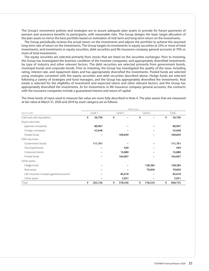The Group's investment policies and strategies are to assure adequate plan assets to provide for future payments of pension and severance benefits to participants, with reasonable risks. The Group designs the basic target allocation of the plan assets to mirror the best portfolio based on estimation of mid-term and long-term return on the investments.

The Group periodically reviews the actual return on the investments and adjusts the portfolio to achieve the assumed long-term rate of return on the investments. The Group targets its investments in equity securities at 25% or more of total investments, and investments in equity securities, debt securities and life insurance company general accounts at 70% or more of total investments.

The equity securities are selected primarily from stocks that are listed on the securities exchanges. Prior to investing, the Group has investigated the business condition of the investee companies, and appropriately diversified investments by type of industry and other relevant factors. The debt securities are selected primarily from government bonds, municipal bonds and corporate bonds. Prior to investing, the Group has investigated the quality of the issue, including rating, interest rate, and repayment dates and has appropriately diversified the investments. Pooled funds are selected using strategies consistent with the equity securities and debt securities described above. Hedge funds are selected following a variety of strategies and fund managers, and the Group has appropriately diversified the investments. Real estate is selected for the eligibility of investment and expected return and other relevant factors, and the Group has appropriately diversified the investments. As for investments in life insurance company general accounts, the contracts with the insurance companies include a guaranteed interest and return of capital.

The three levels of input used to measure fair value are more fully described in Note 4. The plan assets that are measured at fair value at March 31, 2020 and 2019 by asset category are as follows:

|                                         | Millions of yen |         |   |         |   |         |   |         |  |  |  |
|-----------------------------------------|-----------------|---------|---|---------|---|---------|---|---------|--|--|--|
| March 31, 2020                          |                 | Level 1 |   | Level 2 |   | Level 3 |   | Total   |  |  |  |
| Cash and cash equivalents               | ¥               | 26,750  | ¥ |         | ¥ |         | ¥ | 26,750  |  |  |  |
| Equity securities:                      |                 |         |   |         |   |         |   |         |  |  |  |
| Japanese companies                      |                 | 80,967  |   |         |   |         |   | 80,967  |  |  |  |
| Foreign companies                       |                 | 42,648  |   |         |   |         |   | 42,648  |  |  |  |
| Pooled funds                            |                 |         |   | 109,839 |   |         |   | 109,839 |  |  |  |
| Debt securities:                        |                 |         |   |         |   |         |   |         |  |  |  |
| Government bonds                        |                 | 111,761 |   |         |   |         |   | 111,761 |  |  |  |
| Municipal bonds                         |                 |         |   | 939     |   |         |   | 939     |  |  |  |
| Corporate bonds                         |                 |         |   | 15,880  |   |         |   | 15,880  |  |  |  |
| Pooled funds                            |                 |         |   | 164,067 |   |         |   | 164,067 |  |  |  |
| Other assets:                           |                 |         |   |         |   |         |   |         |  |  |  |
| Hedge funds                             |                 |         |   |         |   | 138,384 |   | 138,384 |  |  |  |
| Real estate                             |                 |         |   |         |   | 79,859  |   | 79,859  |  |  |  |
| Life insurance company general accounts |                 |         |   | 85,610  |   |         |   | 85,610  |  |  |  |
| Other assets                            |                 |         |   | 2,021   |   |         |   | 2,021   |  |  |  |
| Total                                   | ¥               | 262,126 | ¥ | 378,356 | ¥ | 218,243 | ¥ | 858,725 |  |  |  |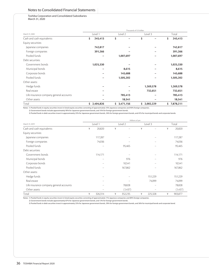## Notes to Consolidated Financial Statements

#### Toshiba Corporation and Consolidated Subsidiaries March 31, 2020

|                                         | Thousands of US dollars |           |                 |        |         |             |    |             |  |  |
|-----------------------------------------|-------------------------|-----------|-----------------|--------|---------|-------------|----|-------------|--|--|
| March 31, 2020                          |                         | Level 1   | Level 2         |        | Level 3 |             |    | Total       |  |  |
| Cash and cash equivalents               | \$                      | 245,413   | \$              |        | \$      |             | \$ | 245,413     |  |  |
| Equity securities:                      |                         |           |                 |        |         |             |    |             |  |  |
| Japanese companies                      |                         | 742,817   |                 |        |         |             |    | 742,817     |  |  |
| Foreign companies                       |                         | 391,266   |                 |        |         |             |    | 391,266     |  |  |
| Pooled funds                            |                         |           | 1,007,697       |        |         |             |    | 1,007,697   |  |  |
| Debt securities:                        |                         |           |                 |        |         |             |    |             |  |  |
| Government bonds                        |                         | 1,025,330 |                 |        |         |             |    | 1,025,330   |  |  |
| Municipal bonds                         |                         |           |                 | 8,615  |         |             |    | 8,615       |  |  |
| Corporate bonds                         |                         |           | 145,688         |        |         |             |    | 145,688     |  |  |
| Pooled funds                            |                         |           | 1,505,202       |        |         |             |    | 1,505,202   |  |  |
| Other assets:                           |                         |           |                 |        |         |             |    |             |  |  |
| Hedge funds                             |                         |           |                 |        |         | 1,269,578   |    | 1,269,578   |  |  |
| Real estate                             |                         |           |                 |        |         | 732,651     |    | 732,651     |  |  |
| Life insurance company general accounts |                         |           | 785,413         |        |         |             |    | 785,413     |  |  |
| Other assets                            |                         |           |                 | 18,541 |         |             |    | 18,541      |  |  |
| Total                                   | \$.                     | 2,404,826 | 3,471,156<br>Ś. |        |         | \$2,002,229 |    | \$7,878,211 |  |  |

Notes: 1) Pooled funds in equity securities invest in listed equity securities consisting of approximately 10% Japanese companies and 90% foreign companies.

2) Government bonds include approximately 90% for Japanese government bonds, and 10% for foreign government bonds.

3) Pooled funds in debt securities invest in approximately 25% for Japanese government bonds, 34% for foreign government bonds, and 41% for municipal bonds and corporate bonds.

|                                         | Millions of yen |                          |   |          |   |         |       |         |  |  |  |
|-----------------------------------------|-----------------|--------------------------|---|----------|---|---------|-------|---------|--|--|--|
| March 31, 2019                          |                 | Level 1                  |   | Level 2  |   | Level 3 | Total |         |  |  |  |
| Cash and cash equivalents               | ¥               | 20,820                   | ¥ |          | ¥ |         | ¥     | 20,820  |  |  |  |
| Equity securities:                      |                 |                          |   |          |   |         |       |         |  |  |  |
| Japanese companies                      |                 | 117,287                  |   |          |   |         |       | 117,287 |  |  |  |
| Foreign companies                       |                 | 74,036                   |   |          |   |         |       | 74,036  |  |  |  |
| Pooled funds                            |                 | $\qquad \qquad -$        |   | 95,465   |   | -       |       | 95,465  |  |  |  |
| Debt securities:                        |                 |                          |   |          |   |         |       |         |  |  |  |
| Government bonds                        |                 | 114,171                  |   |          |   |         |       | 114,171 |  |  |  |
| Municipal bonds                         |                 | $\overline{\phantom{0}}$ |   | 976      |   |         |       | 976     |  |  |  |
| Corporate bonds                         |                 |                          |   | 10,541   |   |         |       | 10,541  |  |  |  |
| Pooled funds                            |                 |                          |   | 167,862  |   |         |       | 167,862 |  |  |  |
| Other assets:                           |                 |                          |   |          |   |         |       |         |  |  |  |
| Hedge funds                             |                 |                          |   |          |   | 151,229 |       | 151,229 |  |  |  |
| Real estate                             |                 |                          |   |          |   | 74,099  |       | 74,099  |  |  |  |
| Life insurance company general accounts |                 |                          |   | 78,828   |   |         |       | 78,828  |  |  |  |
| Other assets                            |                 |                          |   | (1, 437) |   |         |       | (1,437) |  |  |  |
| Total                                   | ¥               | 326,314                  | ¥ | 352,235  | ¥ | 225,328 | ¥     | 903,877 |  |  |  |

Notes: 1) Pooled funds in equity securities invest in listed equity securities consisting of approximately 11% Japanese companies and 89% foreign companies.

2) Government bonds include approximately 87% for Japanese government bonds, and 13% for foreign government bonds.

3) Pooled funds in debt securities invest in approximately 25% for Japanese government bonds, 39% for foreign government bonds, and 36% for municipal bonds and corporate bond.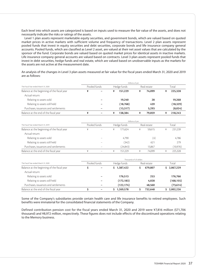Each level into which assets are categorized is based on inputs used to measure the fair value of the assets, and does not necessarily indicate the risks or ratings of the assets.

Level 1 plan assets represent marketable equity securities, and government bonds, which are valued based on quoted market prices in active markets with sufficient volume and frequency of transactions. Level 2 plan assets represent pooled funds that invest in equity securities and debt securities, corporate bonds and life insurance company general accounts. Pooled funds, which are classified as Level 2 asset, are valued at their net asset values that are calculated by the sponsor of the fund. Corporate bonds are valued based on quoted market prices for identical assets in inactive markets. Life insurance company general accounts are valued based on contracts. Level 3 plan assets represent pooled funds that invest in debt securities, hedge funds and real estate, which are valued based on unobservable inputs as the markets for the assets are not active at the measurement date.

An analysis of the changes in Level 3 plan assets measured at fair value for the fiscal years ended March 31, 2020 and 2019 are as follows:

|                                             | Millions of yen |                 |   |             |   |             |       |           |  |
|---------------------------------------------|-----------------|-----------------|---|-------------|---|-------------|-------|-----------|--|
| The Fiscal Year ended March 31, 2020        | Pooled funds    |                 |   | Hedge funds |   | Real estate | Total |           |  |
| Balance at the beginning of the fiscal year | ¥               | $\qquad \qquad$ | ¥ | 151.229     | ¥ | 74.099      |       | 225,328   |  |
| Actual return:                              |                 |                 |   |             |   |             |       |           |  |
| Relating to assets sold                     |                 |                 |   | 19,240      |   | 28          |       | 19,268    |  |
| Relating to assets still held               |                 |                 |   | (18, 768)   |   | 439         |       | (18, 329) |  |
| Purchases, issuances and settlements        |                 |                 |   | (13, 317)   |   | 5.293       |       | (8,024)   |  |
| Balance at the end of the fiscal year       | ¥               |                 |   | 138,384     | ¥ | 79,859      |       | 218,243   |  |

|                                                                                     | Millions of yen |                          |  |             |   |             |       |           |  |  |
|-------------------------------------------------------------------------------------|-----------------|--------------------------|--|-------------|---|-------------|-------|-----------|--|--|
| The Fiscal Year ended March 31, 2019<br>Balance at the beginning of the fiscal year | Pooled funds    |                          |  | Hedge funds |   | Real estate | Total |           |  |  |
|                                                                                     |                 | $\overline{\phantom{0}}$ |  | 171.624     | ¥ | 59.615      | ¥     | 231.239   |  |  |
| Actual return:                                                                      |                 |                          |  |             |   |             |       |           |  |  |
| Relating to assets sold                                                             |                 |                          |  | 4,790       |   | (4)         |       | 4,786     |  |  |
| Relating to assets still held                                                       |                 |                          |  | (342)       |   | 621         |       | 279       |  |  |
| Purchases, issuances and settlements                                                |                 |                          |  | (24, 843)   |   | 13.867      |       | (10, 976) |  |  |
| Balance at the end of the fiscal year                                               |                 |                          |  | 151.229     |   | 74.099      |       | 225.328   |  |  |

|                                                                                     | Thousands of US dollars |                          |             |  |             |  |             |  |  |  |
|-------------------------------------------------------------------------------------|-------------------------|--------------------------|-------------|--|-------------|--|-------------|--|--|--|
| The Fiscal Year ended March 31, 2020<br>Balance at the beginning of the fiscal year |                         | Pooled funds             | Hedge funds |  | Real estate |  | Total       |  |  |  |
|                                                                                     |                         | -                        | \$1,387,422 |  | 679.807     |  | \$2,067,229 |  |  |  |
| Actual return:                                                                      |                         |                          |             |  |             |  |             |  |  |  |
| Relating to assets sold                                                             |                         |                          | 176,513     |  | 253         |  | 176.766     |  |  |  |
| Relating to assets still held                                                       |                         | $\overline{\phantom{0}}$ | (172, 183)  |  | 4.028       |  | (168, 155)  |  |  |  |
| Purchases, issuances and settlements                                                |                         |                          | (122, 174)  |  | 48.560      |  | (73, 614)   |  |  |  |
| Balance at the end of the fiscal year                                               |                         |                          | 1,269,578   |  | 732.648     |  | \$2,002,226 |  |  |  |

Some of the Company's subsidiaries provide certain health care and life insurance benefits to retired employees. Such benefits were immaterial for the consolidated financial statements of the Company.

Defined contribution pension cost for the fiscal years ended March 31, 2020 and 2019 were ¥7,816 million (\$71,706 thousand) and ¥8,972 million, respectively. These figures does not include effects of the discontinued operations relating to the Memory business.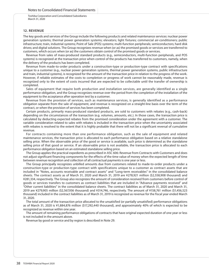## **12. REVENUE**

The key goods and services of the Group include the following products and related maintenance services: nuclear power generation systems; thermal power generation systems; elevators; light fixtures; commercial air-conditioners; public infrastructure; train, industrial systems; Point of Sale (POS) systems; multi-function peripherals; semiconductors; hard disk drives; and digital solutions. The Group recognizes revenue when (or as) the promised goods or services are transferred to customers, which occurs when (or as) the customers obtain control of the promised goods or services.

Revenue from sales of mass-produced standard products (e.g., semiconductors, multi-function peripherals, and POS systems) is recognized at the transaction price when control of the products has transferred to customers, namely, when the delivery of the products has been completed.

Revenue from made-to-order products under a construction-type or production-type contract with specifications unique to a customer (e.g., nuclear power generation systems, thermal power generation systems, public infrastructure and train, industrial systems), is recognized for the amount of the transaction price in relation to the progress of the work. However, if reliable estimates of the costs to completion or progress of work cannot be reasonably made, revenue is recognized only to the extent of costs incurred that are expected to be collectable until the transfer of ownership is completed.

Sales of equipment that require both production and installation services, are generally identified as a single performance obligation, and the Group recognizes revenue over the period from the completion of the installation of the equipment to the acceptance after operation test by a customer.

Revenue from the provision of services, such as maintenance services, is generally identified as a performance obligation separate from the sale of equipment, and revenue is recognized on a straight-line basis over the term of the contract, or when the provision of services has been completed.

Certain products, primarily mass-produced standard products, are sold to customers with rebates (e.g., cash-back) depending on the circumstances of the transaction (e.g. volumes, amounts, etc.). In those cases, the transaction price is calculated by deducting expected rebates from the promised consideration under the agreement with a customer. The variable consideration related to sales with rebates is included in the transaction price when the uncertainty associated with rebates is resolved to the extent that it is highly probable that there will not be a significant reversal of cumulative revenue.

For contracts containing more than one performance obligation, such as the sale of equipment and related maintenance services, the transaction price is allocated to each performance obligation based on a relative standalone selling price. When the observable price of the good or service is available, such price is determined as the standalone selling price of that good or service. If an observable price is not available, the transaction price is allocated to each performance obligation based on an estimated standalone selling price.

The Group applies the practical expedients as prescribed in ASC 606: Revenue from Contracts with Customers and does not adjust significant financing components for the effects of the time value of money when the expected length of time between revenue recognition and collection of all contractual payments is one year or less.

The Group principally recognizes unbilled amounts due from customers related to made-to-order products under a construction-type or production-type contract with specifications unique to a customer as contract assets that are included in "Notes, accounts receivable and contract assets" and "Long-term receivables" in the consolidated balance sheets. The contract assets as of March 31, 2020 and March 31, 2019 are ¥278,921 million (\$2,558,908 thousand) and ¥281,334, respectively. The Group also recognizes the amount of consideration received from customers before control of goods or services transfers to customers as contract liabilities that are included in "Advance payments received" and "Other current liabilities" in the consolidated balance sheets. The contract liabilities as of March 31, 2020 and March 31, 2019 are ¥279,905 million (\$2,567,936 thousand) and ¥314,746, respectively. The amount of ¥158,761 million (\$1,456,523 thousand) included in the contract liabilities as of March 31, 2019 is recognized as revenue for the fiscal year ended March 31, 2020.

The total amount of the transaction price allocated to the unsatisfied (or partially unsatisfied) performance obligations as of March 31, 2020 is ¥1,884,876 million (\$17,292,440 thousand), and approximately 40% of which is expected to be recognized as revenue within one year.

The amount of remaining performance obligations of contracts that have original expected duration of one year or less is not included in the amount above.

Revenue by good or service and by region is described in Note 29.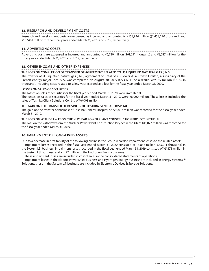## **13. RESEARCH AND DEVELOPMENT COSTS**

Research and development costs are expensed as incurred and amounted to ¥158,946 million (\$1,458,220 thousand) and ¥167,481 million for the fiscal years ended March 31, 2020 and 2019, respectively.

## **14. ADVERTISING COSTS**

Advertising costs are expensed as incurred and amounted to ¥6,720 million (\$61,651 thousand) and ¥8,517 million for the fiscal years ended March 31, 2020 and 2019, respectively.

## **15. OTHER INCOME AND OTHER EXPENSES**

#### **THE LOSS ON COMPLETION OF TRANSFER OF AGREEMENT RELATED TO US LIQUEFIED NATURAL GAS (LNG)**

The transfer of US liquefied natural gas (LNG) agreement to Total Gas & Power Asia Private Limited, a subsidiary of the French energy major Total S.A, was completed on August 30, 2019 (US CDT) . As a result, ¥89,155 million (\$817,936 thousand), including costs related to sales, was recorded as a loss for the fiscal year ended March 31, 2020.

#### **LOSSES ON SALES OF SECURITIES**

The losses on sales of securities for the fiscal year ended March 31, 2020, were immaterial.

The losses on sales of securities for the fiscal year ended March 31, 2019, were ¥8,000 million. These losses included the sales of Toshiba Client Solutions Co., Ltd of ¥6,008 million.

## **THE GAIN ON THE TRANSFER OF BUSINESS OF TOSHIBA GENERAL HOSPITAL**

The gain on the transfer of business of Toshiba General Hospital of ¥23,882 million was recorded for the fiscal year ended March 31, 2019.

## **THE LOSS ON WITHDRAW FROM THE NUCLEAR POWER PLANT CONSTRUCTION PROJECT IN THE UK**

The loss on the withdraw from the Nuclear Power Plant Construction Project in the UK of ¥11,027 million was recorded for the fiscal year ended March 31, 2019.

## **16. IMPAIRMENT OF LONG-LIVED ASSETS**

Due to a decrease in profitability of the following business, the Group recorded impairment losses to the related assets. Impairment losses recorded in the fiscal year ended March 31, 2020 consisted of ¥3,838 million (\$35,211 thousand) in the System LSI business. Impairment losses recorded in the fiscal year ended March 31, 2019 consisted of ¥5,375 million in the System LSI business, and ¥1,197 million in the Hydrogen Energy business.

These impairment losses are included in cost of sales in the consolidated statements of operations.

Impairment losses in the Electric Power Sales business and Hydrogen Energy business are included in Energy Systems & Solutions, those in the System LSI business are included in Electronic Devices & Storage Solutions.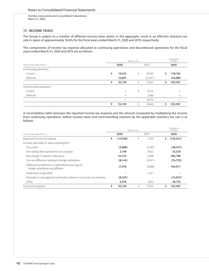## **17. INCOME TAXES**

The Group is subject to a number of different income taxes which, in the aggregate, result in an effective statutory tax rate in Japan of approximately 30.6% for the fiscal years ended March 31, 2020 and 2019, respectively.

The components of income tax expense allocated to continuing operations and discontinued operations for the fiscal years ended March 31, 2020 and 2019 are as follows:

|                                |   |        | Thousands of<br>US dollars |          |    |         |
|--------------------------------|---|--------|----------------------------|----------|----|---------|
| The Fiscal Year ended March 31 |   | 2020   |                            |          |    | 2020    |
| Continuing operations:         |   |        |                            |          |    |         |
| Current                        | ¥ | 19,423 | ¥                          | 30,793   | \$ | 178,192 |
| Deferred                       |   | 15,697 |                            | (15,241) |    | 144,009 |
|                                | ¥ | 35,120 | ¥                          | 15,552   | \$ | 322,201 |
| Discontinued operations:       |   |        |                            |          |    |         |
| Current                        |   |        | ¥                          | 8,314    |    |         |
| Deferred                       |   |        |                            | 2,600    |    |         |
|                                |   |        |                            | 10,914   |    |         |
|                                | ¥ | 35,120 | ¥                          | 26.466   | Ś  | 322,201 |

A reconciliation table between the reported income tax expense and the amount computed by multiplying the income from continuing operations, before income taxes and noncontrolling interests by the applicable statutory tax rate is as follows:

|                                                                                              |   | Millions of yen |   | Thousands of<br>US dollars |   |            |
|----------------------------------------------------------------------------------------------|---|-----------------|---|----------------------------|---|------------|
| The Fiscal Year ended March 31                                                               |   | 2020            |   | 2019                       |   | 2020       |
| Expected income tax expense                                                                  | ¥ | (14, 556)       | ¥ | 3,339                      | S | (133, 541) |
| Increase (decrease) in taxes resulting from:                                                 |   |                 |   |                            |   |            |
| Tax credits                                                                                  |   | (3,080)         |   | (2,562)                    |   | (28, 257)  |
| Non-deductible expenses for tax purposes                                                     |   | 2,749           |   | 9,622                      |   | 25,220     |
| Net change in valuation allowance                                                            |   | 44,123          |   | 9,208                      |   | 404,798    |
| Tax rate difference relating to foreign subsidiaries                                         |   | (8, 145)        |   | (8,241)                    |   | (74, 725)  |
| Deferred tax liabilities on undistributed earnings of<br>foreign subsidiaries and affiliates |   | 17,976          |   | (3,008)                    |   | 164,917    |
| Impairment of goodwill                                                                       |   |                 |   | 2,541                      |   |            |
| Decrease in unrecognized tax benefits related to uncertain tax positions                     |   | (8, 167)        |   |                            |   | (74, 927)  |
| Other                                                                                        |   | 4,220           |   | 4,653                      |   | 38,716     |
| Income tax expense                                                                           | ¥ | 35,120          | ¥ | 15,552                     | S | 322,201    |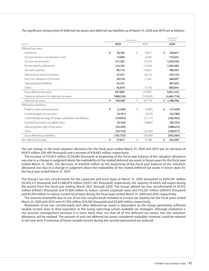|                                                               |   | Millions of yen |   | Thousands of<br>US dollars |    |             |
|---------------------------------------------------------------|---|-----------------|---|----------------------------|----|-------------|
| March 31                                                      |   | 2020            |   | 2019                       |    | 2020        |
| Deferred tax assets:                                          |   |                 |   |                            |    |             |
| Inventories                                                   | ¥ | 18,183          | ¥ | 16,671                     | Ŝ. | 166,817     |
| Accrued pension and severance costs                           |   | 12,606          |   | 34,282                     |    | 115,651     |
| Tax loss carryforwards                                        |   | 211,387         |   | 151,933                    |    | 1,939,330   |
| Pension liability adjustment                                  |   | 115,102         |   | 115,020                    |    | 1,055,982   |
| Accrued expenses                                              |   | 85,714          |   | 116,621                    |    | 786,367     |
| Depreciation and amortization                                 |   | 47,427          |   | 60,123                     |    | 435,110     |
| Loss from valuation of securities                             |   | 39,316          |   | 51,567                     |    | 360,697     |
| Operating lease liabilities                                   |   | 42,251          |   |                            |    | 387,624     |
| Other                                                         |   | 65,819          |   | 73,770                     |    | 603,844     |
| Gross deferred tax assets                                     |   | 637,805         |   | 619,987                    |    | 5,851,422   |
| Valuation allowance for deferred tax assets                   |   | (508, 236)      |   | (518,209)                  |    | (4,662,716) |
| Deferred tax assets                                           | ¥ | 129,569         | ¥ | 101,778                    |    | \$1,188,706 |
| Deferred tax liabilities:                                     |   |                 |   |                            |    |             |
| Property, plant and equipment                                 | ¥ | (1, 358)        | ¥ | (2,466)                    | \$ | (12, 459)   |
| Unrealized gains on securities                                |   | (3,791)         |   | (5,629)                    |    | (34,780)    |
| Undistributed earnings of foreign subsidiaries and affiliates |   | (19, 942)       |   | (21, 171)                  |    | (182, 954)  |
| Goodwill and other intangible assets                          |   | (9, 126)        |   | (10,866)                   |    | (83, 725)   |
| Operating lease right-of-use assets                           |   | (42, 359)       |   |                            |    | (388, 615)  |
| Other                                                         |   | (25, 176)       |   | (20, 158)                  |    | (230,971)   |
| Gross deferred tax liabilities                                |   | (101, 752)      |   | (60,290)                   |    | (933, 504)  |
| Net deferred tax assets                                       | ¥ | 27,817          | ¥ | 41,488                     | \$ | 255,202     |

The significant components of deferred tax assets and deferred tax liabilities as of March 31, 2020 and 2019 are as follows:

The net change in the total valuation allowance for the fiscal years ended March 31, 2020 and 2019 was an decrease of ¥9,973 million (\$91,495 thousand) and a increase of ¥18,683 million, respectively.

The increase of ¥14,615 million (\$134,083 thousand) at beginning-of-the-fiscal-year balance of the valuation allowance was due to a change in judgment about the realizability of the related deferred tax assets in future years for the fiscal year ended March 31, 2020. The decrease of ¥24,834 million at the beginning-of-the-fiscal-year balance of the valuation allowance was due to a change in judgment about the realizability of the related deferred tax assets in future years for the fiscal year ended March 31, 2019.

The Group's tax loss carryforwards for the corporate and local taxes at March 31, 2020 amounted to ¥594,291 million (\$5,452,211 thousand) and ¥1,086,879 million (\$9,971,367 thousand), respectively, the majority of which will expire during the period from the fiscal year ending March 2021 through 2030. The Group utilized tax loss carryforwards of ¥5,412 million (\$49,651 thousand) and ¥7,268 million to reduce current corporate taxes and ¥10,291 million (\$94,413 thousand) and ¥4,764 million to reduce current local taxes during the fiscal years ended March 31, 2020 and 2019, respectively.

The amount of benefits due to use of tax loss carryforwards included in income tax expense for the fiscal years ended March 31, 2020 and 2019 were ¥1,764 million (\$16,183 thousand) and ¥2,469 million, respectively.

Realization of tax loss carryforwards and other deferred tax assets is dependent on the Group generating sufficient taxable income prior to their expiration or the Group exercising certain available tax strategies. Although realization is not assured, management believes it is more likely than not that all of the deferred tax assets, less the valuation allowance, will be realized. The amount of such net deferred tax assets considered realizable, however, could be reduced in the near term if estimates of future taxable income during the carryforward period are reduced.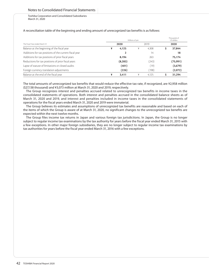Millions of yen Thousands of US dollars The Fiscal Year ended March 31 **2020** 2019 **2020** Balance at the beginning of the fiscal year **¥ 4,125** ¥ 4,308 **\$ 37,844** Additions for tax positions of the current fiscal year **18** 18 Additions for tax positions of prior fiscal years **8,194** 263 **75,174** Reductions for tax positions of prior fiscal years **(8,283)** (243) **(75,991)** Lapse of statute of limitations or closed audits **(401)** (19) **(3,679)** Foreign currency translation adjustments **(226)** (198) **(2,072)** Balance at the end of the fiscal year **¥ 3,411** ¥ 4,125 **\$ 31,294**

A reconciliation table of the beginning and ending amount of unrecognized tax benefits is as follows:

The total amounts of unrecognized tax benefits that would reduce the effective tax rate, if recognized, are ¥2,958 million (\$27,138 thousand) and ¥3,073 million at March 31, 2020 and 2019, respectively.

The Group recognizes interest and penalties accrued related to unrecognized tax benefits in income taxes in the consolidated statements of operations. Both interest and penalties accrued in the consolidated balance sheets as of March 31, 2020 and 2019, and interest and penalties included in income taxes in the consolidated statements of operations for the fiscal years ended March 31, 2020 and 2019 were immaterial.

The Group believes its estimates and assumptions of unrecognized tax benefits are reasonable and based on each of the items of which the Group is aware of at March 31, 2020, no significant changes to the unrecognized tax benefits are expected within the next twelve months.

The Group files income tax returns in Japan and various foreign tax jurisdictions. In Japan, the Group is no longer subject to regular income tax examinations by the tax authority for years before the fiscal year ended March 31, 2015 with a few exceptions. In other major foreign subsidiaries, they are no longer subject to regular income tax examinations by tax authorities for years before the fiscal year ended March 31, 2016 with a few exceptions.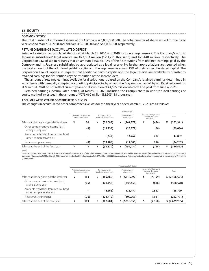## **18. EQUITY**

#### **COMMON STOCK**

The total number of authorized shares of the Company is 1,000,000,000. The total number of shares issued for the fiscal years ended March 31, 2020 and 2019 are 455,000,000 and 544,000,000, respectively.

#### **RETAINED EARNINGS (ACCUMULATED DEFICIT)**

Retained earnings (accumulated deficit) as at March 31, 2020 and 2019 include a legal reserve. The Company's and its Japanese subsidiaries' legal reserve are ¥23,083 million (\$211,771 thousand) and ¥21,448 million, respectively. The Corporation Law of Japan requires that an amount equal to 10% of the distributions from retained earnings paid by the Company and its Japanese subsidiaries be appropriated as a legal reserve. No further appropriations are required when the total amount of the additional paid-in capital and the legal reserve equals 25% of their respective stated capital. The Corporation Law of Japan also requires that additional paid-in capital and the legal reserve are available for transfer to retained earnings for distributions by the resolution of the shareholders.

The amount of retained earnings available for distributions is based on the Company's retained earnings determined in accordance with generally accepted accounting principles in Japan and the Corporation Law of Japan. Retained earnings at March 31, 2020 do not reflect current year-end distribution of ¥4,535 million which will be paid from June 4, 2020.

Retained earnings (accumulated deficit) at March 31, 2020 included the Group's share in undistributed earnings of equity method investees in the amount of ¥273,060 million (\$2,505,138 thousand).

#### **ACCUMULATED OTHER COMPREHENSIVE LOSS**

The changes in accumulated other comprehensive loss for the fiscal year ended March 31, 2020 are as follows:

|                                                                   |                                                  | Millions of yen |   |                                             |   |                                  |   |                                                                 |   |            |  |  |
|-------------------------------------------------------------------|--------------------------------------------------|-----------------|---|---------------------------------------------|---|----------------------------------|---|-----------------------------------------------------------------|---|------------|--|--|
|                                                                   | Net unrealized gains and<br>losses on securities |                 |   | Foreign currency<br>translation adjustments |   | Pension liability<br>adjustments |   | Net unrealized gains and<br>losses on derivative<br>instruments |   | Total      |  |  |
| Balance at the beginning of the fiscal year                       | ¥                                                | 20              | ¥ | (20, 085)                                   | ¥ | (241,772)                        | ¥ | (474)                                                           | ¥ | (262, 311) |  |  |
| Other comprehensive income (loss)<br>arising during year          |                                                  | (8)             |   | (13, 238)                                   |   | (25, 772)                        |   | (66)                                                            |   | (39,084)   |  |  |
| Amounts reclassified from accumulated<br>other comprehensive loss |                                                  |                 |   | (247)                                       |   | 14.767                           |   | 282                                                             |   | 14,802     |  |  |
| Net current year change                                           |                                                  | (8)             |   | (13, 485)                                   |   | (11,005)                         |   | 216                                                             |   | (24, 282)  |  |  |
| Balance at the end of the fiscal year                             | ¥                                                | 12              | ¥ | (33,570)                                    | ¥ | (252,777)                        | ¥ | (258)                                                           | ¥ | (286, 593) |  |  |

#### (Note)

The impact on Net current year change, due to the tender offer for the shares of 3 listed subsidiaries consists of Net unrealized gains and losses on securities of ¥16 million (\$147 thousand), Foreign currency translation adjustments of ¥186 million (\$1,706 thousand), Pension liability adjustments of ¥(3,077 million) (\$(28,229) thousand), and Net unrealized gains and losses on derivative instruments of ¥10 million (\$92 thousand).

|                                                                   |                                                  |                                             | Thousands of US dollars          |                                                                 |                |
|-------------------------------------------------------------------|--------------------------------------------------|---------------------------------------------|----------------------------------|-----------------------------------------------------------------|----------------|
|                                                                   | Net unrealized gains and<br>losses on securities | Foreign currency<br>translation adjustments | Pension liability<br>adjustments | Net unrealized gains and<br>losses on derivative<br>instruments | Total          |
| Balance at the beginning of the fiscal year                       | \$<br>183                                        | (184, 266)                                  | \$ (2,218,092)                   | (4,349)                                                         | \$ (2,406,524) |
| Other comprehensive income (loss)<br>arising during year          | (74)                                             | (121,450)                                   | (236, 440)                       | (606)                                                           | (358, 570)     |
| Amounts reclassified from accumulated<br>other comprehensive loss |                                                  | (2, 265)                                    | 135.477                          | 2.587                                                           | 135,799        |
| Net current year change                                           | (74)                                             | (123, 715)                                  | (100, 963)                       | 1.981                                                           | (222,771)      |
| Balance at the end of the fiscal year                             | 109                                              | (307, 981)                                  | \$ (2,319,055)                   | (2,368)                                                         | \$ (2,629,295) |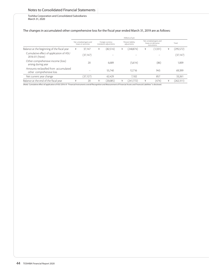# Notes to Consolidated Financial Statements

Toshiba Corporation and Consolidated Subsidiaries March 31, 2020

## The changes in accumulated other comprehensive loss for the fiscal year ended March 31, 2019 are as follows:

|                                                                   |   |                                                  |   |                                             |   | Millions of yen                  |   |                                                                 |   |           |
|-------------------------------------------------------------------|---|--------------------------------------------------|---|---------------------------------------------|---|----------------------------------|---|-----------------------------------------------------------------|---|-----------|
|                                                                   |   | Net unrealized gains and<br>losses on securities |   | Foreign currency<br>translation adjustments |   | Pension liability<br>adjustments |   | Net unrealized gains and<br>losses on derivative<br>instruments |   | Total     |
| Balance at the beginning of the fiscal year                       | ¥ | 37.147                                           | ¥ | (82,514)                                    | ¥ | (248,874)                        | ¥ | (1, 331)                                                        | ¥ | (295,572) |
| Cumulative effect of application of ASU<br>2016-01 (Note)         |   | (37, 147)                                        |   |                                             |   |                                  |   |                                                                 |   | (37,147)  |
| Other comprehensive income (loss)<br>arising during year          |   | 20                                               |   | 6.689                                       |   | (5,614)                          |   | (86)                                                            |   | 1,009     |
| Amounts reclassified from accumulated<br>other comprehensive loss |   |                                                  |   | 55.740                                      |   | 12.716                           |   | 943                                                             |   | 69.399    |
| Net current year change                                           |   | (37, 127)                                        |   | 62.429                                      |   | 7.102                            |   | 857                                                             |   | 33,261    |
| Balance at the end of the fiscal year                             | ¥ | 20                                               | ¥ | (20,085)                                    |   | (241,772)                        | ¥ | (474)                                                           | ¥ | (262,311) |

(Note) Cumulative effect of application of ASU 2016-01 "Financial Instruments overall Recognition and Measurement of Financial Assets and Financial Liabilities" is disclosed.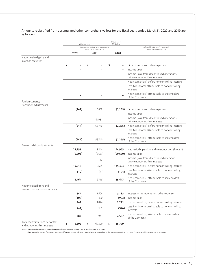Amounts reclassified from accumulated other comprehensive loss for the fiscal years ended March 31, 2020 and 2019 are as follows:

|                                                                    | Millions of yen |                                                                   | Thousands of<br>US dollars |                                                                                |  |  |  |  |
|--------------------------------------------------------------------|-----------------|-------------------------------------------------------------------|----------------------------|--------------------------------------------------------------------------------|--|--|--|--|
|                                                                    |                 | Amounts reclassified from accumulated<br>other comprehensive loss |                            | Affected line item in Consolidated<br>Statements of Operations                 |  |  |  |  |
|                                                                    | 2020            | 2019                                                              | 2020                       |                                                                                |  |  |  |  |
| Net unrealized gains and<br>losses on securities                   |                 |                                                                   |                            |                                                                                |  |  |  |  |
|                                                                    | ¥               | ¥                                                                 | \$                         | Other income and other expenses                                                |  |  |  |  |
|                                                                    |                 |                                                                   |                            | Income taxes                                                                   |  |  |  |  |
|                                                                    |                 |                                                                   |                            | Income (loss) from discontinued operations,<br>before noncontrolling interests |  |  |  |  |
|                                                                    |                 |                                                                   | $\qquad \qquad -$          | Net income (loss) before noncontrolling interests                              |  |  |  |  |
|                                                                    |                 |                                                                   |                            | Less: Net income attributable to noncontrolling<br>interests                   |  |  |  |  |
|                                                                    |                 |                                                                   |                            | Net income (loss) attributable to shareholders<br>of the Company               |  |  |  |  |
| Foreign currency<br>translation adjustments                        |                 |                                                                   |                            |                                                                                |  |  |  |  |
|                                                                    | (247)           | 10,809                                                            | (2, 265)                   | Other income and other expenses                                                |  |  |  |  |
|                                                                    |                 |                                                                   |                            | Income taxes                                                                   |  |  |  |  |
|                                                                    |                 | 44,931                                                            |                            | Income (loss) from discontinued operations,<br>before noncontrolling interests |  |  |  |  |
|                                                                    | (247)           | 55,740                                                            | (2, 265)                   | Net income (loss) before noncontrolling interests                              |  |  |  |  |
|                                                                    |                 |                                                                   |                            | Less: Net income attributable to noncontrolling<br>interests                   |  |  |  |  |
|                                                                    | (247)           | 55,740                                                            | (2, 265)                   | Net income (loss) attributable to shareholders<br>of the Company               |  |  |  |  |
| Pension liability adjustments                                      | 21,251          | 18,246                                                            | 194,963                    | Net periodic pension and severance cost (Note 1)                               |  |  |  |  |
|                                                                    | (6, 503)        | (5,583)                                                           | (59,660)                   | Income taxes                                                                   |  |  |  |  |
|                                                                    |                 | 12                                                                |                            | Income (loss) from discontinued operations,<br>before noncontrolling interests |  |  |  |  |
|                                                                    | 14,748          | 12,675                                                            | 135,303                    | Net income (loss) before noncontrolling interests                              |  |  |  |  |
|                                                                    | (19)            | (41)                                                              | (174)                      | Less: Net income attributable to noncontrolling<br>interests                   |  |  |  |  |
|                                                                    | 14,767          | 12,716                                                            | 135,477                    | Net income (loss) attributable to shareholders<br>of the Company               |  |  |  |  |
| Net unrealized gains and<br>losses on derivative instruments       |                 |                                                                   |                            |                                                                                |  |  |  |  |
|                                                                    | 347             | 1,504                                                             |                            | <b>3,183</b> Interest, other income and other expenses                         |  |  |  |  |
|                                                                    | (106)           | (460)                                                             | (972)                      | Income taxes                                                                   |  |  |  |  |
|                                                                    | 241             | 1,044                                                             | 2,211                      | Net income (loss) before noncontrolling interests                              |  |  |  |  |
|                                                                    | (41)            | 101                                                               | (376)                      | Less: Net income attributable to noncontrolling<br>interests                   |  |  |  |  |
|                                                                    | 282             | 943                                                               | 2,587                      | Net income (loss) attributable to shareholders<br>of the Company               |  |  |  |  |
| Total reclassifications-net of tax<br>and noncontrolling interests | ¥<br>14,802     | ¥<br>69,399                                                       | \$<br>135,799              |                                                                                |  |  |  |  |

Notes: 1) Details of the computation of net periodic pension and severance cost are disclosed in Note 11.

2) Increase (decrease) of amounts reclassified from accumulated other comprehensive loss indicates decrease (increase) of income in Consolidated Statements of Operations.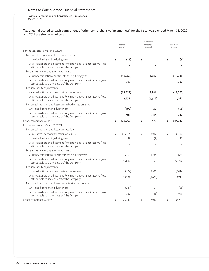# Notes to Consolidated Financial Statements

Toshiba Corporation and Consolidated Subsidiaries March 31, 2020

Tax effect allocated to each component of other comprehensive income (loss) for the fiscal years ended March 31, 2020 and 2019 are shown as follows:

|                                                                                                                          | Millions of yen |                   |   |                          |   |                      |
|--------------------------------------------------------------------------------------------------------------------------|-----------------|-------------------|---|--------------------------|---|----------------------|
|                                                                                                                          |                 | Pre-tax<br>amount |   | Tax benefit<br>(expense) |   | Net-of-tax<br>amount |
| For the year ended March 31, 2020:                                                                                       |                 |                   |   |                          |   |                      |
| Net unrealized gains and losses on securities:                                                                           |                 |                   |   |                          |   |                      |
| Unrealized gains arising during year                                                                                     | ¥               | (12)              | ¥ | 4                        | ¥ | (8)                  |
| Less: reclassification adjustment for gains included in net income (loss)<br>attributable to shareholders of the Company |                 |                   |   |                          |   |                      |
| Foreign currency translation adjustments:                                                                                |                 |                   |   |                          |   |                      |
| Currency translation adjustments arising during year                                                                     |                 | (14, 265)         |   | 1.027                    |   | (13, 238)            |
| Less: reclassification adjustment for gains included in net income (loss)<br>attributable to shareholders of the Company |                 | (247)             |   |                          |   | (247)                |
| Pension liability adjustments:                                                                                           |                 |                   |   |                          |   |                      |
| Pension liability adjustments arising during year                                                                        |                 | (31, 723)         |   | 5,951                    |   | (25,772)             |
| Less: reclassification adjustment for gains included in net income (loss)<br>attributable to shareholders of the Company |                 | 21,279            |   | (6, 512)                 |   | 14,767               |
| Net unrealized gains and losses on derivative instruments:                                                               |                 |                   |   |                          |   |                      |
| Unrealized gains arising during year                                                                                     |                 | (195)             |   | 129                      |   | (66)                 |
| Less: reclassification adjustment for gains included in net income (loss)<br>attributable to shareholders of the Company |                 | 406               |   | (124)                    |   | 282                  |
| Other comprehensive loss                                                                                                 | ¥               | (24, 757)         | ¥ | 475                      | ¥ | (24, 282)            |
| For the year ended March 31, 2019:                                                                                       |                 |                   |   |                          |   |                      |
| Net unrealized gains and losses on securities:                                                                           |                 |                   |   |                          |   |                      |
| Cumulative effect of application of ASU 2016-01                                                                          | ¥               | (45, 164)         | ¥ | 8.017                    | ¥ | (37, 147)            |
| Unrealized gains arising during year                                                                                     |                 | 29                |   | (9)                      |   | 20                   |
| Less: reclassification adjustment for gains included in net income (loss)<br>attributable to shareholders of the Company |                 |                   |   |                          |   |                      |
| Foreign currency translation adjustments:                                                                                |                 |                   |   |                          |   |                      |
| Currency translation adjustments arising during year                                                                     |                 | 5,455             |   | 1,234                    |   | 6.689                |
| Less: reclassification adjustment for gains included in net income (loss)<br>attributable to shareholders of the Company |                 | 55.649            |   | 91                       |   | 55,740               |
| Pension liability adjustments:                                                                                           |                 |                   |   |                          |   |                      |
| Pension liability adjustments arising during year                                                                        |                 | (9, 194)          |   | 3,580                    |   | (5,614)              |
| Less: reclassification adjustment for gains included in net income (loss)<br>attributable to shareholders of the Company |                 | 18,322            |   | (5,606)                  |   | 12,716               |
| Net unrealized gains and losses on derivative instruments:                                                               |                 |                   |   |                          |   |                      |
| Unrealized gains arising during year                                                                                     |                 | (237)             |   | 151                      |   | (86)                 |
| Less: reclassification adjustment for gains included in net income (loss)<br>attributable to shareholders of the Company |                 | 1,359             |   | (416)                    |   | 943                  |
| Other comprehensive loss                                                                                                 | ¥               | 26,219            | ¥ | 7.042                    | ¥ | 33,261               |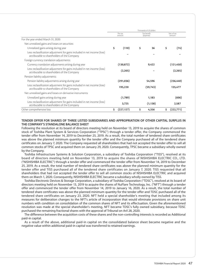|                                                                                                                          | Thousands of US dollars |                   |    |                          |    |                      |
|--------------------------------------------------------------------------------------------------------------------------|-------------------------|-------------------|----|--------------------------|----|----------------------|
|                                                                                                                          |                         | Pre-tax<br>amount |    | Tax benefit<br>(expense) |    | Net-of-tax<br>amount |
| For the year ended March 31, 2020:                                                                                       |                         |                   |    |                          |    |                      |
| Net unrealized gains and losses on securities:                                                                           |                         |                   |    |                          |    |                      |
| Unrealized gains arising during year                                                                                     | \$                      | (110)             | \$ | 36                       | \$ | (74)                 |
| Less: reclassification adjustment for gains included in net income (loss)<br>attributable to shareholders of the Company |                         |                   |    |                          |    |                      |
| Foreign currency translation adjustments:                                                                                |                         |                   |    |                          |    |                      |
| Currency translation adjustments arising during year                                                                     |                         | (130, 872)        |    | 9.422                    |    | (121, 450)           |
| Less: reclassification adjustment for gains included in net income (loss)<br>attributable to shareholders of the Company |                         | (2, 265)          |    |                          |    | (2, 265)             |
| Pension liability adjustments:                                                                                           |                         |                   |    |                          |    |                      |
| Pension liability adjustments arising during year                                                                        |                         | (291, 036)        |    | 54,596                   |    | (236, 440)           |
| Less: reclassification adjustment for gains included in net income (loss)<br>attributable to shareholders of the Company |                         | 195,220           |    | (59, 743)                |    | 135,477              |
| Net unrealized gains and losses on derivative instruments.                                                               |                         |                   |    |                          |    |                      |
| Unrealized gains arising during year                                                                                     |                         | (1,789)           |    | 1.183                    |    | (606)                |
| Less: reclassification adjustment for gains included in net income (loss)<br>attributable to shareholders of the Company |                         | 3,725             |    | (1, 138)                 |    | 2,587                |
| Other comprehensive loss                                                                                                 | \$                      | (227, 127)        | \$ | 4.356                    | Ŝ  | (222,771)            |

#### **TENDER OFFER FOR SHARES OF THREE LISTED SUBSIDIARIES AND APPROPRIATION OF OTHER CAPITAL SURPLUS IN THE COMPANY'S STANDALONE BALANCE SHEET**

Following the resolution at its board of directors meeting held on November 13, 2019 to acquire the shares of common stock of Toshiba Plant System & Services Corporation ("TPSC") through a tender offer, the Company commenced the tender offer from November 14, 2019 to December 25, 2019. As a result, the total number of tendered share certificates was above the planned minimum quantity for the tender offer and the Company purchased all of the tendered share certificates on January 7, 2020. The Company requested all shareholders that had not accepted the tender offer to sell all common stocks of TPSC and acquired them on January 29, 2020. Consequently, TPSC became a subsidiary wholly owned by the Company.

Toshiba Infrastructure Systems & Solution Corporation, a subsidiary of Toshiba Corporation ("TISS"), resolved at its board of directors meeting held on November 13, 2019 to acquire the shares of NISHISHIBA ELECTRIC CO., LTD. ("NISHISHIBA ELECTRIC") through a tender offer and commenced the tender offer from November 14, 2019 to December 25, 2019. As a result, the total number of tendered share certificates was above the planned minimum quantity for the tender offer and TISS purchased all of the tendered share certificates on January 7, 2020. TISS requested that all shareholders that had not accepted the tender offer to sell all common stocks of NISHISHIBA ELECTRIC and acquired them on March 1, 2020. Consequently, NISHISHIBA ELECTRIC became a subsidiary wholly owned by TISS.

Toshiba Electronic Devices & Storage Corporation, a subsidiary of Toshiba Corporation ("TDSC"), resolved at its board of directors meeting held on November 13, 2019 to acquire the shares of NuFlare Technology, Inc. ("NFT") through a tender offer and commenced the tender offer from November 14, 2019 to January 16, 2020. As a result, the total number of tendered share certificates was above the planned minimum quantity for the tender offer and TDSC purchased all of the tendered share certificates on January 23, 2020. NFT held a special shareholder's meeting that included among its measures for deliberation changes to the NFT's article of incorporation that would eliminate provisions on share unit numbers with condition on consolidation of the common shares of NFT and its effectuation. Given the aforementioned resolution was made at the special shareholder's meeting, NFT became TDSC's fully owned subsidiary, because TDSC purchased the remaining fractional shares with the approval of Tribunal on Aril 28, 2020.

The difference between the acquisition costs of these shares and the non-controlling interests is recorded as Additional paid-in capital.

As a result of the above, additional paid-in capital on the consolidated balance sheet became negative and the negative value within additional paid-in capital was transferred to retained earnings.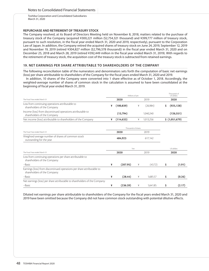## **REPURCHASE AND RETIREMENT OF TREASURY STOCK**

The Company resolved, at its Board of Directors Meeting held on November 8, 2018, matters related to the purchase of treasury stock of the Company (acquired ¥300,221 million (\$2,754,321 thousand) and ¥399,777 million of treasury stock, pursuant to such resolution, in the fiscal year ended March 31, 2020 and 2019, respectively), pursuant to the Corporation Law of Japan. In addition, the Company retired the acquired shares of treasury stock on June 24, 2019, September 12, 2019 and November 19, 2019 (retired ¥304,827 million (\$2,796,578 thousand)) in the fiscal year ended March 31, 2020 and on December 25, 2018 and March 28, 2019 (retired ¥392,449 million in the fiscal year ended March 31, 2019). With regards to the retirement of treasury stock, the acquisition cost of the treasury stock is subtracted from retained earnings.

## **19. NET EARNINGS PER SHARE ATTRIBUTABLE TO SHAREHOLDERS OF THE COMPANY**

The following reconciliation table of the numerators and denominators sets forth the computation of basic net earnings (loss) per share attributable to shareholders of the Company for the fiscal years ended March 31, 2020 and 2019.

In addition, 10 shares of the Company were converted into 1 share effective as of October 1, 2018. Accordingly, the weighted-average number of shares of common stock in the calculation is assumed to have been consolidated at the beginning of fiscal year ended March 31, 2019.

|                                                                                                        |   | Millions of yen     |      |           |     | Thousands of<br>US dollars |
|--------------------------------------------------------------------------------------------------------|---|---------------------|------|-----------|-----|----------------------------|
| The Fiscal Year ended March 31                                                                         |   | 2020                | 2019 |           |     | 2020                       |
| Loss from continuing operations attributable to<br>shareholders of the Company                         | ¥ | (100, 839)          | ¥    | (26,984)  | \$. | (925, 128)                 |
| Income (loss) from discontinued operations attributable to<br>shareholders of the Company              |   | (13,794)            |      | 1,040,240 |     | (126, 551)                 |
| Net income (loss) attributable to shareholders of the Company                                          | ¥ | (114, 633)          | ¥    | 1,013,256 |     | \$(1,051,679)              |
|                                                                                                        |   | Thousands of shares |      |           |     |                            |
| The Fiscal Year ended March 31                                                                         |   | 2020                |      | 2019      |     |                            |
| Weighted-average number of shares of common stock<br>outstanding for the year                          |   | 484,923             |      | 617,142   |     |                            |
|                                                                                                        |   | Yen                 |      |           |     | US dollars                 |
| The Fiscal Year ended March 31                                                                         |   | 2020                | 2019 |           |     | 2020                       |
| Loss from continuing operations per share attributable to<br>shareholders of the Company:              |   |                     |      |           |     |                            |
| -Basic                                                                                                 | ¥ | (207.95)            | ¥    | (43.72)   | \$  | (1.91)                     |
| Earnings (loss) from discontinued operations per share attributable to<br>shareholders of the Company: |   |                     |      |           |     |                            |
| -Basic                                                                                                 | ¥ | (28.44)             | ¥    | 1.685.57  | \$  | (0.26)                     |
| Net earnings (loss) per share attributable to shareholders of the Company:                             |   |                     |      |           |     |                            |
| $-Basic$                                                                                               | ¥ | (236.39)            | ¥    | 1.641.85  | \$  | (2.17)                     |

Diluted net earnings per share attributable to shareholders of the Company for the fiscal years ended March 31, 2020 and 2019 have been omitted because the Company did not have common stock outstanding with potential dilutive effects.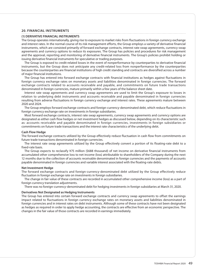## **20. FINANCIAL INSTRUMENTS**

#### **(1) DERIVATIVE FINANCIAL INSTRUMENTS**

The Group operates internationally, giving rise to exposure to market risks from fluctuations in foreign currency exchange and interest rates. In the normal course of its risk management efforts, the Group employs a variety of derivative financial instruments, which are consisted primarily of forward exchange contracts, interest rate swap agreements, currency swap agreements and currency options to reduce its exposures. The Group has policies and procedures for risk management and the approval, reporting and monitoring of derivative financial instruments. The Group's policies prohibit holding or issuing derivative financial instruments for speculative or trading purposes.

The Group is exposed to credit-related losses in the event of nonperformance by counterparties to derivative financial instruments, but the Group does not anticipate any credit-related loss from nonperformance by the counterparties because the counterparties are financial institutions of high credit standing and contracts are diversified across a number of major financial institutions.

The Group has entered into forward exchange contracts with financial institutions as hedges against fluctuations in foreign currency exchange rates on monetary assets and liabilities denominated in foreign currencies. The forward exchange contracts related to accounts receivable and payable, and commitments on future trade transactions denominated in foreign currencies, mature primarily within a few years of the balance sheet date.

Interest rate swap agreements and currency swap agreements are used to limit the Group's exposure to losses in relation to underlying debt instruments and accounts receivable and payable denominated in foreign currencies resulting from adverse fluctuations in foreign currency exchange and interest rates. These agreements mature between 2020 and 2024.

The Group employs forward exchange contracts and foreign-currency-denominated debt, which reduce fluctuations in foreign currency exchange rate on investments in foreign subsidiaries.

Most forward exchange contracts, interest rate swap agreements, currency swap agreements and currency options are designated as either cash flow hedges or net investment hedges as discussed below, depending on its characteristic such as: accounts receivable and payable denominated in foreign currencies, investments in foreign subsidiaries or commitments on future trade transactions and the interest rate characteristics of the underlying debt.

#### **Cash Flow Hedge**

The forward exchange contracts utilized by the Group effectively reduce fluctuation in cash flow from commitments on future trade transactions denominated in foreign currencies.

The interest rate swap agreements utilized by the Group effectively convert a portion of its floating-rate debt to a fixed-rate basis.

The Group expects to reclassify ¥75 million (\$688 thousand) of net income on derivative financial instruments from accumulated other comprehensive loss to net income (loss) attributable to shareholders of the Company during the next 12 months due to the collection of accounts receivable denominated in foreign currencies and the payments of accounts payable denominated in foreign currencies and variable interest associated with the floating-rate debts.

#### **Net Investment Hedge**

The forward exchange contracts and foreign-currency-denominated debt utilized by the Group effectively reduce fluctuation in foreign exchange rate on investments in foreign subsidiaries.

The change in fair value of these contracts are recorded in accumulated other comprehensive income (loss) as a part of foreign currency translation adjustments.

There was no foreign-currency-denominated debt for hedging investments in foreign subsidiaries at March 31, 2020.

#### **Derivatives Not Designated as Hedging Instruments**

The Group has entered into certain forward exchange contracts and currency swap agreements to offset the earnings impact related to fluctuations in foreign currency exchange rates on monetary assets and liabilities denominated in foreign currencies and in interest rates on debt instruments. Although some of these contracts have not been designated as hedges as required in order to apply hedge accounting, the contracts are effective from an economic perspective. The changes in the fair value of those contracts are recorded in earnings immediately.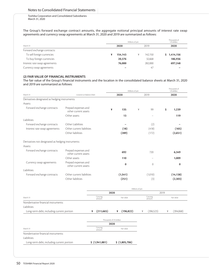The Group's forward exchange contract amounts, the aggregate notional principal amounts of interest rate swap agreements and currency swap agreements at March 31, 2020 and 2019 are summarized as follows:

|                               | Millions of ven          | Thousands of<br>US dollars |             |
|-------------------------------|--------------------------|----------------------------|-------------|
| March 31                      | 2020                     | 2019                       | 2020        |
| Forward exchange contracts:   |                          |                            |             |
| To sell foreign currencies    | 154.143<br>¥             | 142.150<br>¥               | \$1,414,156 |
| To buy foreign currencies     | 20,376                   | 32,668                     | 186,936     |
| Interest rate swap agreements | 76,000                   | 282,000                    | 697,248     |
| Currency swap agreements      | $\overline{\phantom{0}}$ | 47                         |             |

## **(2) FAIR VALUE OF FINANCIAL INSTRUMENTS**

The fair value of the Group's financial instruments and the location in the consolidated balance sheets at March 31, 2020 and 2019 are summarized as follows:

|                                                               |                                              |   |                         |   | Millions of yen |                 |                    |      | Thousands of<br>US dollars |
|---------------------------------------------------------------|----------------------------------------------|---|-------------------------|---|-----------------|-----------------|--------------------|------|----------------------------|
| March 31                                                      | Location at balance sheet                    |   |                         |   | 2020            |                 | 2019               | 2020 |                            |
| Derivatives designated as hedging instruments:                |                                              |   |                         |   |                 |                 |                    |      |                            |
| Assets:                                                       |                                              |   |                         |   |                 |                 |                    |      |                            |
| Forward exchange contracts                                    | Prepaid expenses and<br>other current assets |   | ¥                       |   | 135             | ¥               | 99                 | \$   | 1,239                      |
|                                                               | Other assets                                 |   |                         |   | 13              |                 |                    |      | 119                        |
| Liabilities:                                                  |                                              |   |                         |   |                 |                 |                    |      |                            |
| Forward exchange contracts                                    | Other Liabilities                            |   |                         |   |                 |                 | (2)                |      |                            |
| Interest rate swap agreements                                 | Other current liabilities                    |   |                         |   | (18)            |                 | (418)              |      | (165)                      |
|                                                               | Other liabilities                            |   |                         |   | (289)           |                 | (172)              |      | (2,651)                    |
| Derivatives not designated as hedging instruments:<br>Assets: |                                              |   |                         |   |                 |                 |                    |      |                            |
| Forward exchange contracts                                    | Prepaid expenses and                         |   |                         |   |                 |                 |                    |      |                            |
|                                                               | other current assets                         |   |                         |   | 692             |                 | 720                |      | 6,349                      |
|                                                               | Other assets                                 |   |                         |   | 110             |                 |                    |      | 1,009                      |
| Currency swap agreements                                      | Prepaid expenses and<br>other current assets |   |                         |   | $\bf{0}$        |                 | $\overline{0}$     |      | 0                          |
| Liabilities:                                                  |                                              |   |                         |   |                 |                 |                    |      |                            |
| Forward exchange contracts                                    | Other current liabilities                    |   |                         |   | (1, 541)        |                 | (1,010)            |      | (14, 138)                  |
|                                                               | Other liabilities                            |   |                         |   | (251)           |                 | (3)                |      | (2,303)                    |
|                                                               |                                              |   |                         |   |                 | Millions of yen |                    |      |                            |
|                                                               |                                              |   | 2020                    |   |                 |                 |                    | 2019 |                            |
| March 31                                                      |                                              |   | Carrying<br>amount      |   | Fair value      |                 | Carrying<br>amount |      | Fair value                 |
| Nonderivative financial instruments:                          |                                              |   |                         |   |                 |                 |                    |      |                            |
| Liabilities:                                                  |                                              |   |                         |   |                 |                 |                    |      |                            |
| Long-term debt, including current portion                     |                                              | ¥ | (211, 665)              | ¥ | (196, 822)      | ¥               | (396, 523)         | ¥    | (394,068)                  |
|                                                               |                                              |   |                         |   |                 |                 |                    |      |                            |
|                                                               |                                              |   | Thousands of US dollars |   |                 |                 |                    |      |                            |
|                                                               |                                              |   | 2020                    |   |                 |                 |                    |      |                            |
| March 31                                                      |                                              |   | Carrying<br>amount      |   | Fair value      |                 |                    |      |                            |
| Nonderivative financial instruments:                          |                                              |   |                         |   |                 |                 |                    |      |                            |
| Liabilities:                                                  |                                              |   |                         |   |                 |                 |                    |      |                            |
| Long-term debt, including current portion                     |                                              |   | \$(1,941,881)           |   | \$(1,805,706)   |                 |                    |      |                            |
|                                                               |                                              |   |                         |   |                 |                 |                    |      |                            |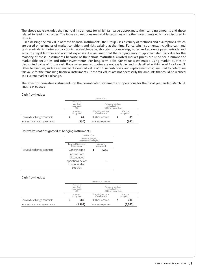The above table excludes the financial instruments for which fair value approximate their carrying amounts and those related to leasing activities. The table also excludes marketable securities and other investments which are disclosed in Note 4.

In assessing the fair value of these financial instruments, the Group uses a variety of methods and assumptions, which are based on estimates of market conditions and risks existing at that time. For certain instruments, including cash and cash equivalents, notes and accounts receivable-trade, short-term borrowings, notes and accounts payable-trade and accounts payable-other and accrued expenses, it is assumed that the carrying amount approximated fair value for the majority of these instruments because of their short maturities. Quoted market prices are used for a number of marketable securities and other investments. For long-term debt, fair value is estimated using market quotes or discounted value of future cash flows when market quotes are not available, and is classified within Level 2 or Level 3. Other techniques, such as estimated discounted value of future cash flows, and replacement cost, are used to determine fair value for the remaining financial instruments. These fair values are not necessarily the amounts that could be realized in a current market exchange.

The effect of derivative instruments on the consolidated statements of operations for the fiscal year ended March 31, 2020 is as follows:

#### Cash flow hedge:

|                               |                                                  | Millions of yen                              |                                                                      |                      |  |
|-------------------------------|--------------------------------------------------|----------------------------------------------|----------------------------------------------------------------------|----------------------|--|
|                               | Amount of<br>gain (loss)<br>recognized in<br>OСI |                                              | Amount of gain (loss)<br>reclassified from<br>OCI into income (loss) |                      |  |
|                               | Amount<br>recognized                             | <b>Financial Statement</b><br>Classification |                                                                      | Amount<br>recognized |  |
| Forward exchange contracts    | 64                                               | Other income                                 |                                                                      | 85                   |  |
| Interest rate swap agreements | (130)                                            | Interest expenses                            |                                                                      | (367)                |  |

#### Derivatives not designated as hedging instruments:

|                            | Millions of yen                                                                  |  |                      |  |  |  |
|----------------------------|----------------------------------------------------------------------------------|--|----------------------|--|--|--|
|                            | Amount of gain (loss)<br>recognized in income (loss)                             |  |                      |  |  |  |
|                            | <b>Financial Statement</b><br>Classification                                     |  | Amount<br>recognized |  |  |  |
| Forward exchange contracts | Other income                                                                     |  | 7,657                |  |  |  |
|                            | Income from<br>discontinued<br>operations, before<br>noncontrolling<br>interests |  |                      |  |  |  |

#### Cash flow hedge:

|                               |                                                                                                                                                                           |                      | Thousands of US dollars                                              |  |          |
|-------------------------------|---------------------------------------------------------------------------------------------------------------------------------------------------------------------------|----------------------|----------------------------------------------------------------------|--|----------|
|                               |                                                                                                                                                                           | OСI                  | Amount of gain (loss)<br>reclassified from<br>OCI into income (loss) |  |          |
|                               | Amount of<br>gain (loss)<br>recognized in<br><b>Financial Statement</b><br>Amount<br>Classification<br>recognized<br>Other income<br>587<br>(1, 193)<br>Interest expenses | Amount<br>recognized |                                                                      |  |          |
| Forward exchange contracts    |                                                                                                                                                                           |                      |                                                                      |  | 780      |
| Interest rate swap agreements |                                                                                                                                                                           |                      |                                                                      |  | (3, 367) |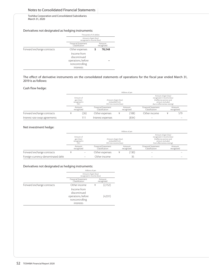## Notes to Consolidated Financial Statements

Toshiba Corporation and Consolidated Subsidiaries March 31, 2020

## Derivatives not designated as hedging instruments:

|                            | Thousands of US dollars<br>Amount of gain (loss)<br>recognized in income (loss)  |  |                      |  |  |  |
|----------------------------|----------------------------------------------------------------------------------|--|----------------------|--|--|--|
|                            |                                                                                  |  |                      |  |  |  |
|                            | <b>Financial Statement</b><br>Classification                                     |  | Amount<br>recognized |  |  |  |
| Forward exchange contracts | Other expenses                                                                   |  | 70,248               |  |  |  |
|                            | Income from<br>discontinued<br>operations, before<br>noncontrolling<br>interests |  |                      |  |  |  |

The effect of derivative instruments on the consolidated statements of operations for the fiscal year ended March 31, 2019 is as follows:

## Cash flow hedge:

|                               |                                                  |                                                                      | Millions of yen      |                                                                                                                                      |  |                          |
|-------------------------------|--------------------------------------------------|----------------------------------------------------------------------|----------------------|--------------------------------------------------------------------------------------------------------------------------------------|--|--------------------------|
|                               | Amount of<br>gain (loss)<br>recognized in<br>OСI | Amount of gain (loss)<br>reclassified from<br>OCI into income (loss) |                      | Amount of gain (loss)<br>recognized in income (loss)<br>(Ineffective portion and<br>amount excluded<br>due to effectiveness testing) |  |                          |
|                               | Amount<br>recognized                             | Financial Statement<br>Classification                                | Amount<br>recognized | <b>Financial Statement</b><br>Classification                                                                                         |  | Amount<br>recognized     |
| Forward exchange contracts    | (26)                                             | Other expenses                                                       | 108)                 | Other income                                                                                                                         |  | 579                      |
| Interest rate swap agreements | 111                                              | Interest expenses                                                    | (834)                | $\overline{\phantom{0}}$                                                                                                             |  | $\overline{\phantom{a}}$ |

## Net investment hedge:

|                                   | Millions of yen                                  |                                              |                       |                      |                                                                                                                                    |                      |  |  |  |  |
|-----------------------------------|--------------------------------------------------|----------------------------------------------|-----------------------|----------------------|------------------------------------------------------------------------------------------------------------------------------------|----------------------|--|--|--|--|
|                                   | Amount of<br>gain (loss)<br>recognized in<br>OCI | reclassified from<br>OCI into income (loss)  | Amount of gain (loss) |                      | Amount of gain (loss)<br>recognized in income (loss)<br>(Ineffective portion and<br>amount excluded<br>from effectiveness testing) |                      |  |  |  |  |
|                                   | Amount<br>recognized                             | <b>Financial Statement</b><br>Classification |                       | Amount<br>recognized | Financial Statement<br>Classification                                                                                              | Amount<br>recognized |  |  |  |  |
| Forward exchange contracts        |                                                  | Other expenses                               |                       | 130)                 |                                                                                                                                    |                      |  |  |  |  |
| Foreign-currency-denominated debt |                                                  | Other income                                 |                       | 35                   | $\hspace{0.05cm}$                                                                                                                  |                      |  |  |  |  |

## Derivatives not designated as hedging instruments:

|                            | Millions of yen<br>Amount of gain (loss)<br>recognized in income (loss)          |   |                      |  |  |  |
|----------------------------|----------------------------------------------------------------------------------|---|----------------------|--|--|--|
|                            |                                                                                  |   |                      |  |  |  |
|                            | <b>Financial Statement</b><br>Classification                                     |   | Amount<br>recognized |  |  |  |
| Forward exchange contracts | Other income                                                                     | ¥ | (2, 152)             |  |  |  |
|                            | Income from<br>discontinued<br>operations, before<br>noncontrolling<br>interests |   | (4,331)              |  |  |  |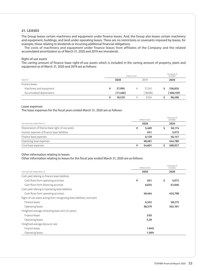## **21. LEASES**

The Group leases certain machinery and equipment under finance leases. And, the Group also leases certain machinery and equipment, buildings, and land under operating leases. There are no restrictions or covenants imposed by leases, for example, those relating to dividends or incurring additional financial obligations.

The costs of machinery and equipment under finance leases from affiliates of the Company and the related accumulated amortization as of March 31, 2020 and 2019 are immaterial.

#### Right-of-use assets

The carring amount of finance lease right-of-use assets which is included in the carring amount of property, plant and equipment as of March 31, 2020 and 2019 are as follows:

|                          |   | Thousands of<br>US dollars |          |            |
|--------------------------|---|----------------------------|----------|------------|
| March 31                 |   | 2020                       | 2019     | 2020       |
| Finance leases           |   |                            |          |            |
| Machinery and equipment  |   | 27,995                     | 27,242   | 256,835    |
| Accumulated depreciation |   | (17, 466)                  | (18,008) | (160, 239) |
|                          | ¥ | 10,529                     | 9,234    | 96,596     |

#### Lease expenses

The lease expenses for the fiscal years ended March 31, 2020 are as follows:

|                                                   | Millions of yen<br>2020 |        |  | Thousands of<br>US dollars |
|---------------------------------------------------|-------------------------|--------|--|----------------------------|
| The Fiscal Year ended March 31                    |                         |        |  | 2020                       |
| Depreciation of finance lease right-of-use assets |                         | 5.469  |  | 50,174                     |
| Interest expenses of finance lease liabilities    |                         | 651    |  | 5,973                      |
| Finance lease expenses                            |                         | 6.120  |  | 56,147                     |
| Operating lease expenses                          |                         | 48.481 |  | 444,780                    |
| Total lease expenses                              | ¥                       | 54.601 |  | 500.927                    |

#### Other information relating to leases

Other information relating to leases for the fiscal year ended March 31, 2020 are as follows:

|                                                                          | Millions of yen | Thousands of<br>US dollars |
|--------------------------------------------------------------------------|-----------------|----------------------------|
| The Fiscal Year ended March 31                                           | 2020            | 2020                       |
| Cash paid relating to finance lease liabilities                          |                 |                            |
| Cash flows from operating activities                                     | ¥<br>651        | \$<br>5,972                |
| Cash flows from financing activities                                     | 6,654           | 61,046                     |
| Cash paid relating to operating lease liabilities                        |                 |                            |
| Cash flows from operating activities                                     | 49,464          | 453,798                    |
| Right-of-use assets arising from recognising lease liabilities (noncash) |                 |                            |
| Finance leases                                                           | 6,352           | 58,275                     |
| Operating leases                                                         | 38,379          | 352,101                    |
| Weighted-average remaining lease term (in years)                         |                 |                            |
| Finance leases                                                           | 3.03            |                            |
| Operating leases                                                         | 5.20            |                            |
| Weighted-average discount rate                                           |                 |                            |
| Finance leases                                                           | 1.94%           |                            |
| Operating leases                                                         | 1.50%           |                            |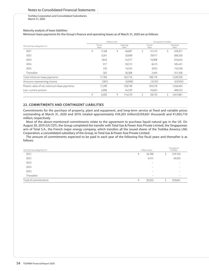### Maturity analysis of lease liabilities

Minimum lease payments for the Group's finance and operating leases as of March 31, 2020 are as follows:

|                                             |   | Millions of yen                                               |   | Thousands of US dollars |                     |   |           |
|---------------------------------------------|---|---------------------------------------------------------------|---|-------------------------|---------------------|---|-----------|
| The Fiscal Year ending March 31             |   | Finance<br>Operating<br>Finance<br>leases<br>leases<br>leases |   |                         | Operating<br>leases |   |           |
| 2021                                        | ¥ | 5,168                                                         | ¥ | 46,687                  | \$<br>47.413        | Ŝ | 428,321   |
| 2022                                        |   | 3,261                                                         |   | 33,608                  | 29,917              |   | 308,330   |
| 2023                                        |   | 1,843                                                         |   | 24,377                  | 16,908              |   | 223,642   |
| 2024                                        |   | 917                                                           |   | 20,212                  | 8,413               |   | 185,431   |
| 2025                                        |   | 333                                                           |   | 14,524                  | 3,055               |   | 133,248   |
| Thereafter                                  |   | 262                                                           |   | 26,308                  | 2,404               |   | 241,358   |
| Total minimum lease payments                |   | 11,784                                                        |   | 165,716                 | 108,110             |   | 1,520,330 |
| Amounts representing interest               |   | (385)                                                         |   | (6,968)                 | (3,532)             |   | (63, 926) |
| Present value of net minimum lease payments |   | 11,399                                                        |   | 158,748                 | 104,578             |   | 1,456,404 |
| Less-current portion                        |   | 4,996                                                         |   | 44,529                  | 45,835              |   | 408,523   |
|                                             | ¥ | 6,403                                                         | ¥ | 114.219                 | \$<br>58.743        |   | 1.047.881 |

## **22. COMMITMENTS AND CONTINGENT LIABILITIES**

Commitments for the purchase of property, plant and equipment, and long-term service at fixed and variable prices outstanding at March 31, 2020 and 2019, totaled approximately ¥39,203 million(\$359,661 thousand) and ¥1,063,710 million, respectively.

Most of the above-mentioned commitments relate to the agreement to purchase liquid natural gas in the US. On August 30, 2019 (US CDT), the Group completed the transfer with Total Gas & Power Asia Private Limited, the Singaporean arm of Total S.A., the French major energy company, which transfers all the issued shares of the Toshiba America LNG Corporation, a consolidated subsidiary of the Group, to Total Gas & Power Asia Private Limited.

The amount of commitments expected to be paid in each year of the following five fiscal years and thereafter is as follows:

| The Fiscal Year ending March 31 | Millions of yen                 | Thousands of<br>US dollars |                          |  |
|---------------------------------|---------------------------------|----------------------------|--------------------------|--|
| 2021                            | 34,788<br>¥                     |                            | 319,156                  |  |
| 2022                            | 4,415                           |                            | 40,505                   |  |
| 2023                            | -                               |                            |                          |  |
| 2024                            | $\hspace{0.05cm}$               |                            |                          |  |
| 2025                            | -                               |                            |                          |  |
| Thereafter                      | $\hspace{0.1mm}-\hspace{0.1mm}$ |                            | $\overline{\phantom{a}}$ |  |
| Total of commitments            | 39,203<br>¥                     |                            | 359,661                  |  |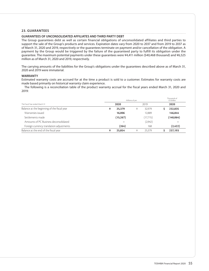## **23. GUARANTEES**

#### **GUARANTEES OF UNCONSOLIDATED AFFILIATES AND THIRD PARTY DEBT**

The Group guarantees debt as well as certain financial obligations of unconsolidated affiliates and third parties to support the sale of the Group's products and services. Expiration dates vary from 2020 to 2037 and from 2019 to 2037 as of March 31, 2020 and 2019, respectively or the guarantees terminate on payment and/or cancellation of the obligation. A payment by the Group would be triggered by the failure of the guaranteed party to fulfill its obligation under the guarantee. The maximum potential payments under these guarantees were ¥4,411 million (\$40,468 thousand) and ¥6,525 million as of March 31, 2020 and 2019, respectively.

The carrying amounts of the liabilities for the Group's obligations under the guarantees described above as of March 31, 2020 and 2019 were immaterial.

#### **WARRANTY**

Estimated warranty costs are accrued for at the time a product is sold to a customer. Estimates for warranty costs are made based primarily on historical warranty claim experience.

The following is a reconciliation table of the product warranty accrual for the fiscal years ended March 31, 2020 and 2019:

|                                             |   | Thousands of<br>US dollars |   |          |            |
|---------------------------------------------|---|----------------------------|---|----------|------------|
| The Fiscal Year ended March 31              |   | 2020                       |   |          | 2020       |
| Balance at the beginning of the fiscal year | ¥ | 25,379                     | ¥ | 32.979   | 232,835    |
| Warranties issued                           |   | 16,006                     |   | 12,889   | 146.844    |
| Settlements made                            |   | (15, 267)                  |   | (17,715) | (140, 064) |
| Amounts of PC Business deconsolidated       |   |                            |   | (2,942)  |            |
| Foreign currency translation adjustments    |   | (264)                      |   | 168      | (2, 422)   |
| Balance at the end of the fiscal year       | ¥ | 25,854                     | ¥ | 25.379   | 237,193    |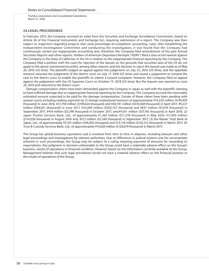## **24.LEGAL PROCEEDINGS**

In February 2015, the Company received an order from the Securities and Exchange Surveillance Commission, based on Article 26 of the Financial Instruments and Exchange Act, requiring submission of a report. The Company was then subject to inspection regarding projects that used percentage-of-completion accounting. Later, after establishing the Independent Investigation Committee and conducting the investigation, it was found that the Company had continuously carried out inappropriate accounting and, therefore, the Company filed amendments of the past Annual Securities Reports and other reports. Holders of American Depositary Receipts ("ADRs") filed a class action lawsuit against the Company in the State of California, in the US in relation to the inappropriate financial reporting by the Company. The Company filed a petition with the court for rejection of the lawsuit on the grounds that securities laws of the US do not apply to the above-mentioned securities, among other reasons, and the decision to reject the lawsuit was made as of May 20, 2016 (US time). The plaintiffs lodged an appeal against the judgement on July 25, 2016 (US time), and the appellate instance reversed the judgement of the district court on July 17, 2018 (US time) and issued a judgement to remand the case to the district court to enable the plaintiffs to submit a revised complaint. However, the Company filed an appeal against the judgement with the US Supreme Court on October 15, 2018 (US time). But the request was rejected on June 24, 2019 and returned to the district court.

Damage compensation claims have been demanded against the Company in Japan as well with the plaintiffs claiming to have suffered damage due to inappropriate financial reporting by the Company. The Company accrued the reasonably estimated amount expected to be paid for the damage compensation. Certain of these claims have been pending with several courts including seeking payment by (1) foreign institutional investors of approximately ¥14,220 million (\$130,459 thousand) in June 2016, ¥21,759 million (\$199,624 thousand) and ¥44,741 million (\$410,468 thousand) in April 2017, ¥9,227 million (\$84,651 thousand) in June 2017, ¥33,000 million (\$302,752 thousand) and ¥837 million (\$7,679 thousand) in September 2017, ¥414 million (\$3,798 thousand) in October 2017, and,¥4,051 million (\$37,165 thousand) in April 2018, (2) Japan Trustee Services Bank, Ltd., of approximately ¥1,262 million (\$11,578 thousand) in May 2016, ¥11,993 million (\$110,028 thousand) in August 2016 and, ¥572 million (\$5,248 thousand) in September 2017, (3) the Master Trust Bank of Japan, Ltd., of approximately ¥5,105 million (\$46,835 thousand) and ¥13,114 million (\$120,312 thousand) in March 2017, (4) Trust & Custody Services Bank, Ltd., of approximately ¥14,026 million (\$128,679 thousand) in March 2017.

The Group has global business operations and is involved from time to time in disputes, including lawsuits and other legal proceedings and investigations by relevant authorities. Due to differences in judicial systems and the uncertainties inherent in such proceedings, the Group may be subject to a ruling requiring payment of amounts far exceeding its expectations. Any judgment or decision unfavorable to the Group could have a materially adverse effect on the Group's business, results of operations or financial condition. However based on the information currently available to the Group, Management believes that such legal procedures would not have a material adverse effect on the financial position or the results of operations of the Group.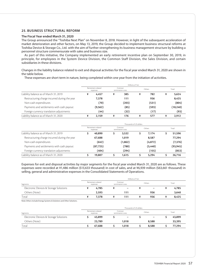## **25. BUSINESS STRUCTURAL REFORM**

#### **The Fiscal Year ended March 31, 2020**

The Group announced the "Toshiba Next Plan" on November 8, 2018. However, in light of the subsequent acceleration of market deterioration and other factors, on May 13, 2019, the Group decided to implement business structural reforms at Toshiba Device & Storage Co., Ltd. with the aim of further strengthening its business management structure by building a personnel structure commensurate with sales and business size.

As part of this initiative, the Company implemented an early retirement incentive plan on September 30, 2019, in principle, for employees in the System Device Division, the Common Staff Division, the Sales Division, and certain subsidiaries in these divisions.

Changes in the liability balance related to exit and disposal activities for the fiscal year ended March 31, 2020 are shown in the table below.

These expenses are short term in nature, being completed within one year from the initiation of activities.

|                                               |   |                                |   | Millions of Yen               |   |        |   |           |
|-----------------------------------------------|---|--------------------------------|---|-------------------------------|---|--------|---|-----------|
|                                               |   | Retirement-related<br>expenses |   | Contract<br>termination costs |   | Others |   | Total     |
| Liability balance as of March 31, 2019        | ¥ | 4.457                          | ¥ | 385                           | ¥ | 782    | ¥ | 5,624     |
| Restructuring charge incurred during the year |   | 7,378                          |   | 111                           |   | 936    |   | 8,425     |
| Non-cash expenditures                         |   | (70)                           |   | (203)                         |   | (531)  |   | (804)     |
| Payments and settlements with cash payout     |   | (9, 562)                       |   | (85)                          |   | (593)  |   | (10, 240) |
| Foreign currency translation adjustments      |   | (44)                           |   | (32)                          |   | (17)   |   | (93)      |
| Liability balance as of March 31, 2020        |   | 2,159                          |   | 176                           |   | 577    | ¥ | 2,912     |

|                                               | Thousands of US dollars |                                |  |                               |  |          |  |           |
|-----------------------------------------------|-------------------------|--------------------------------|--|-------------------------------|--|----------|--|-----------|
|                                               |                         | Retirement-related<br>expenses |  | Contract<br>termination costs |  | Others   |  | Total     |
| Liability balance as of March 31, 2019        |                         | 40,890                         |  | 3,532                         |  | 7,174    |  | 51,596    |
| Restructuring charge incurred during the year |                         | 67,688                         |  | 1,019                         |  | 8,587    |  | 77,294    |
| Non-cash expenditures                         |                         | (642)                          |  | (1, 862)                      |  | (4,872)  |  | (7, 376)  |
| Payments and settlements with cash payout     |                         | (87, 725)                      |  | (780)                         |  | (5, 440) |  | (93, 945) |
| Foreign currency translation adjustments      |                         | (404)                          |  | (294)                         |  | (155)    |  | (853)     |
| Liability balance as of March 31, 2020        |                         | 19.807                         |  | 1.615                         |  | 5.294    |  | 26,716    |

Expenses for exit and disposal activities by major segments for the fiscal year ended March 31, 2020 are as follows. These expenses were recorded at ¥1,486 million (\$13,633 thousand) in cost of sales, and at ¥6,939 million (\$63,661 thousand) in selling, general and administrative expenses in the Consolidated Statements of Operations.

| Segments                               | Millions of Yen                |  |                               |        |     |       |       |  |
|----------------------------------------|--------------------------------|--|-------------------------------|--------|-----|-------|-------|--|
|                                        | Retirement-related<br>expenses |  | Contract<br>termination costs | Others |     | Total |       |  |
| Electronic Devices & Storage Solutions | 4,785                          |  | $\qquad \qquad -$             |        | -   |       | 4,785 |  |
| Others (Note)                          | 2,593                          |  | 111                           |        | 936 |       | 3,640 |  |
| Total                                  | 7,378                          |  | 111                           |        | 936 |       | 8,425 |  |

Note:Others include Energy Systems & Solutions and Other Solutions.

|                                        | Thousands of US dollars |                                |  |                               |  |                          |       |        |  |  |  |  |  |
|----------------------------------------|-------------------------|--------------------------------|--|-------------------------------|--|--------------------------|-------|--------|--|--|--|--|--|
| Segments                               |                         | Retirement-related<br>expenses |  | Contract<br>termination costs |  | Others                   | Total |        |  |  |  |  |  |
| Electronic Devices & Storage Solutions |                         | 43,899                         |  | $\overline{\phantom{m}}$      |  | $\overline{\phantom{0}}$ |       | 43,899 |  |  |  |  |  |
| Others (Note)                          |                         | 23,789                         |  | 1.018                         |  | 8,588                    |       | 33,395 |  |  |  |  |  |
| Total                                  |                         | 67.688                         |  | 1.018                         |  | 8,588                    |       | 77,294 |  |  |  |  |  |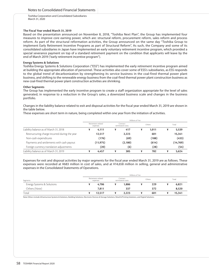#### **The Fiscal Year ended March 31, 2019**

Based on the presentation announced on November 8, 2018, "Toshiba Next Plan", the Group has implemented four measures to improve core earning power, which are: structural reform, procurement reform, sales reform and process reform. As part of the structural reformation activities, the Group announced on the same day "Toshiba Group to implement Early Retirement Incentive Programs as part of Structural Reform", As such, the Company and some of its consolidated subsidiaries in Japan have implemented an early voluntary retirement incentive program, which provided a special severance payment on top of a standard retirement payment on the condition that applicants will leave by the end of March 2019 ("early retirement incentive program").

#### **Energy Systems & Solutions**

Toshiba Energy Systems & Solutions Corporation ("ESS") has implemented the early retirement incentive program aimed at building the appropriate allocation of personnel. These activities also cover some of ESS's subsidiaries, as ESS responds to the global trend of decarbonization by strengthening its service business in the coal-fired thermal power plant business, and shifting to the renewable energy business from the coal-fired thermal power plant construction business as new coal-fired thermal power plant construction activities are shrinking.

#### **Other Segments**

The Group has implemented the early incentive program to create a staff organization appropriate for the level of sales generated, in response to a reduction in the Group's sales, a downsized business scale and changes in the business portfolio.

Changes in the liability balance related to exit and disposal activities for the fiscal year ended March 31, 2019 are shown in the table below.

These expenses are short term in nature, being completed within one year from the initiation of activities.

|                                               |                                |   | Millions of Yen               |   |        |   |          |
|-----------------------------------------------|--------------------------------|---|-------------------------------|---|--------|---|----------|
|                                               | Retirement-related<br>expenses |   | Contract<br>termination costs |   | Others |   | Total    |
| Liability balance as of March 31, 2018        | 4,111                          | ¥ | 417                           | ¥ | 1.011  | ¥ | 5,539    |
| Restructuring charge incurred during the year | 12,517                         |   | 2,223                         |   | 601    |   | 15,341   |
| Non-cash expenditures                         | (176)                          |   | (69)                          |   | (188)  |   | (433)    |
| Payments and settlements with cash payout     | (11, 975)                      |   | (2, 180)                      |   | (614)  |   | (14,769) |
| Foreign currency translation adjustments      | (20)                           |   | (6)                           |   | (28)   |   | (54)     |
| Liability balance as of March 31, 2019        | 4.457                          |   | 385                           |   | 782    |   | 5.624    |

Expenses for exit and disposal activities by major segments for the fiscal year ended March 31, 2019 are as follows. These expenses were recorded at ¥683 million in cost of sales, and at ¥14,658 million in selling, general and administrative expenses in the Consolidated Statements of Operations.

|                            |                                |                               | Millions of Yen |        |       |        |  |
|----------------------------|--------------------------------|-------------------------------|-----------------|--------|-------|--------|--|
| Segments                   | Retirement-related<br>expenses | Contract<br>termination costs |                 | Others | Total |        |  |
| Energy Systems & Solutions | 4,706                          | 1.886                         |                 | 229    |       | 6,821  |  |
| Others (Note)              | 7.811                          | 337                           |                 | 372    |       | 8,520  |  |
| Total                      | 12,517                         | 2,223                         |                 | 601    |       | 15,341 |  |

Note: Others include Infrastructure Systems & Solutions, Building Solutions, Electronic Devices & Storage Solutions, Retail & Printing Solutions, and Digital Solutions.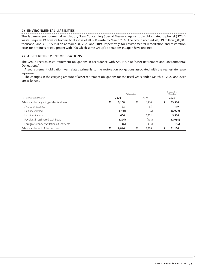## **26. ENVIRONMENTAL LIABILITIES**

The Japanese environmental regulation, "Law Concerning Special Measure against poly chlorinated biphenyl ("PCB") waste" requires PCB waste holders to dispose of all PCB waste by March 2027. The Group accrued ¥8,849 million (\$81,183 thousand) and ¥10,985 million at March 31, 2020 and 2019, respectively, for environmental remediation and restoration costs for products or equipment with PCB which some Group's operations in Japan have retained.

## **27. ASSET RETIREMENT OBLIGATIONS**

The Group records asset retirement obligations in accordance with ASC No. 410 "Asset Retirement and Environmental Obligations."

Asset retirement obligation was related primarily to the restoration obligations associated with the real estate lease agreement.

The changes in the carrying amount of asset retirement obligations for the fiscal years ended March 31, 2020 and 2019 are as follows:

|                                             |   | Thousands of<br>US dollars |   |       |          |
|---------------------------------------------|---|----------------------------|---|-------|----------|
| The Fiscal Year ended March 31              |   | 2020                       |   | 2019  | 2020     |
| Balance at the beginning of the fiscal year | ¥ | 9,108                      | ¥ | 6.210 | 83,560   |
| Accretion expense                           |   | 122                        |   | 95    | 1,119    |
| Liabilities settled                         |   | (760)                      |   | (216) | (6, 972) |
| Liabilities incurred.                       |   | 606                        |   | 3.171 | 5,560    |
| Revisions in estimated cash flows           |   | (224)                      |   | (108) | (2,055)  |
| Foreign currency translation adjustments    |   | (6)                        |   | (44)  | (56)     |
| Balance at the end of the fiscal year       | ¥ | 8,846                      | ¥ | 9.108 | 81,156   |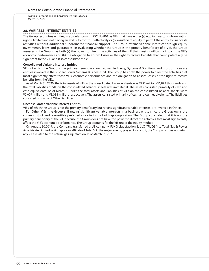## **28. VARIABLE INTEREST ENTITIES**

The Group recognizes entities, in accordance with ASC No.810, as VIEs that have either (a) equity investors whose voting right is limited and not having an ability to control it effectively or (b) insufficient equity to permit the entity to finance its activities without additional subordinated financial support. The Group retains variable interests through equity investments, loans and guarantees. In evaluating whether the Group is the primary beneficiary of a VIE, the Group assesses if the Group has both (a) the power to direct the activities of the VIE that most significantly impact the VIE's economic performance and (b) the obligation to absorb losses or the right to receive benefits that could potentially be significant to the VIE, and if so consolidate the VIE.

#### **Consolidated Variable Interest Entities**

VIEs, of which the Group is the primary beneficiary, are involved in Energy Systems & Solutions, and most of those are entities involved in the Nuclear Power Systems Business Unit. The Group has both the power to direct the activities that most significantly affect those VIEs' economic performance and the obligation to absorb losses or the right to receive benefits from the VIEs.

As of March 31, 2020, the total assets of VIE on the consolidated balance sheets was ¥752 million (\$6,899 thousand), and the total liabilities of VIE on the consolidated balance sheets was immaterial. The assets consisted primarily of cash and cash equivalents. As of March 31, 2019, the total assets and liabilities of VIEs on the consolidated balance sheets were ¥2,029 million and ¥3,084 million, respectively. The assets consisted primarily of cash and cash equivalents. The liabilities consisted primarily of Other liabilities.

#### **Unconsolidated Variable Interest Entities**

VIEs, of which the Group is not the primary beneficiary but retains significant variable interests, are involved in Others.

For Other VIEs, the Group still retains significant variable interests in a business entity since the Group owns the common stock and convertible preferred stock in Kioxia Holdings Corporation. The Group concluded that it is not the primary beneficiary of the VIE because the Group does not have the power to direct the activities that most significantly affect the VIE's economic performance. The Group accounts for the VIE under the equity method.

On August 30,2019, the Company transferred a US company, FLNG Liquefaction 3, LLC ("FLIQ3") to Total Gas & Power Asia Private Limited, a Singaporean affiliate of Total S.A, the major energy player. As a result, the Company does not retain any VIEs related to the natural gas liquefaction as of March 31, 2020.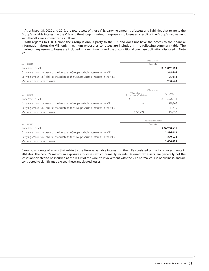As of March 31, 2020 and 2019, the total assets of those VIEs, carrying amounts of assets and liabilities that relate to the Group's variable interests in the VIEs and the Group's maximum exposures to losses as a result of the Group's involvement with the VIEs are summarized as follows:

With regards to FLIQ3, since the Group is only a party to the LTA and does not have the access to the financial information about the VIE, only maximum exposures to losses are included in the following summary table. The maximum exposures to losses are included in commitments and the unconditional purchase obligation disclosed in Note 22.

|                                                                                           | Millions of yen |
|-------------------------------------------------------------------------------------------|-----------------|
| March 31, 2020                                                                            | Other VIEs      |
| Total assets of VIEs                                                                      | 42,862,169      |
| Carrying amounts of assets that relate to the Group's variable interests in the VIEs      | 315,666         |
| Carrying amounts of liabilities that relate to the Group's variable interests in the VIEs | 25,018          |
| Maximum exposures to losses                                                               | 290.648         |

|                                                                                           | Millions of yen                                |            |
|-------------------------------------------------------------------------------------------|------------------------------------------------|------------|
| March 31, 2019                                                                            | VIEs involved in<br>Energy Systems & Solutions | Other VIEs |
| Total assets of VIEs                                                                      |                                                | 2.676.540  |
| Carrying amounts of assets that relate to the Group's variable interests in the VIEs      |                                                | 380.267    |
| Carrying amounts of liabilities that relate to the Group's variable interests in the VIEs |                                                | 13.415     |
| Maximum exposures to losses                                                               | 1.041.474                                      | 366.852    |

|                                                                                           | Thousands of US dollars |
|-------------------------------------------------------------------------------------------|-------------------------|
| March 31, 2020                                                                            | Other VIEs              |
| Total assets of VIEs                                                                      | \$26,258,431            |
| Carrying amounts of assets that relate to the Group's variable interests in the VIEs      | 2,896,018               |
| Carrying amounts of liabilities that relate to the Group's variable interests in the VIEs | 229,523                 |
| Maximum exposures to losses                                                               | 2,666,495               |

Carrying amounts of assets that relate to the Group's variable interests in the VIEs consisted primarily of investments in affiliates. The Group's maximum exposures to losses, which primarily include Deferred tax assets, are generally not the losses anticipated to be incurred as the result of the Group's involvement with the VIEs normal course of business, and are considered to significantly exceed these anticipated losses.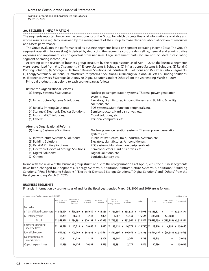## **29. SEGMENT INFORMATION**

The segments reported below are the components of the Group for which discrete financial information is available and whose results are regularly reviewed by the management of the Group to make decisions about allocation of resources and assess performance.

The Group evaluates the performance of its business segments based on segment operating income (loss). The Group's segment operating income (loss) is derived by deducting the segment's cost of sales, selling, general and administrative expenses and impairment loss on goodwill from net sales. Legal settlement costs etc. are not included in calculating segment operating income (loss).

According to the revision of business group structure by the reorganization as of April 1, 2019, the business segments were reorganized from 6 to 7 segments, (1) Energy Systems & Solutions, (2) Infrastructure Systems & Solutions, (3) Retail & Printing Solutions, (4) Storage & Electronic Devices Solutions, (5) Industrial ICT Solutions and (6) Others into 7 segments, (1) Energy Systems & Solutions, (2) Infrastructure Systems & Solutions, (3) Building Solutions, (4) Retail & Printing Solutions, (5) Electronic Devices & Storage Solutions, (6) Digital Solutions and (7) Others from the year ending March 31 2019

Principal products that belong to each segment are as follows.

| Before the Organizational Reforms           |                                                                                         |
|---------------------------------------------|-----------------------------------------------------------------------------------------|
| (1) Energy Systems & Solutions:             | Nuclear power generation systems, Thermal power generation<br>systems, etc.             |
| (2) Infrastructure Systems & Solutions:     | Elevators, Light fixtures, Air-conditioners, and Building & facility<br>solutions, etc. |
| (3) Retail & Printing Solutions:            | POS systems, Multi-function peripherals, etc.                                           |
| (4) Storage & Electronic Devices Solutions: | Semiconductors, Hard disk drives, etc.                                                  |
| (5) Industrial ICT Solutions:               | Cloud Solutions, etc.                                                                   |
| (6) Others:                                 | Personal computers, etc.                                                                |
| After the Organizational Reforms            |                                                                                         |
| (1) Energy Systems & Solutions:             | Nuclear power generation systems, Thermal power generation<br>systems, etc.             |
| (2) Infrastructure Systems & Solutions:     | Public Infrastructure, Train, Industrial Systems, etc.                                  |
| (3) Building Solutions:                     | Elevators, Light fixtures, Air-conditioners                                             |
| (4) Retail & Printing Solutions:            | POS systems, Multi-function peripherals, etc.                                           |
| (5) Electronic Devices & Storage Solutions: | Semiconductors, Hard disk drives, etc.                                                  |
| (6) Digital Solutions:                      | Digital Solutions, etc.                                                                 |
| (7) Others:                                 | Logistics, Battery etc.                                                                 |

In line with the review of the business group structure due to the reorganization as of April 1, 2019, the business segments have been changed to 7 segments, "Energy Systems & Solutions," "Infrastructure Systems & Solutions," "Building Solutions," "Retail & Printing Solutions," "Electronic Devices & Storage Solutions," "Digital Solutions" and "Others" from the fiscal year ending March 31, 2020.

## **BUSINESS SEGMENTS**

Financial information by segments as of and for the fiscal years ended March 31, 2020 and 2019 are as follows:

| As of and for the fiscal year ended March 31, 2020 |   |                                      |   |                                          |   |                       |   |                                |   |                                              |    | Millions of yen      |   |         |            |   |                               |                                         |
|----------------------------------------------------|---|--------------------------------------|---|------------------------------------------|---|-----------------------|---|--------------------------------|---|----------------------------------------------|----|----------------------|---|---------|------------|---|-------------------------------|-----------------------------------------|
|                                                    |   | <b>Energy Systems</b><br>& Solutions |   | Infrastructure<br>Systems &<br>Solutions |   | Building<br>Solutions |   | Retail & Printing<br>Solutions |   | Electronic<br>Devices &<br>Storage Solutions |    | Digital<br>Solutions |   | Others  | Total      |   | Corporate and<br>Eliminations | Consolidated                            |
| Net sales                                          |   |                                      |   |                                          |   |                       |   |                                |   |                                              |    |                      |   |         |            |   |                               |                                         |
| (1) Unaffiliated customers                         |   | ¥ 555,594                            | ¥ | 698.759                                  | ¥ | 565,619               | ¥ | 488,336                        | ¥ | 736.664                                      | ¥  | 198,921              | ¥ | 145,978 | ¥3,389,871 | ¥ | -                             | ¥3,389,871                              |
| (2) Intersegment                                   |   | 13,234                               |   | 36,232                                   |   | 4,513                 |   | 2,059                          |   | 8,887                                        |    | 53,439               |   | 175.524 | 293,888    |   | (293,888)                     |                                         |
| Total                                              |   | ¥ 568,828                            |   | ¥ 734.991                                | ¥ | 570,132               | ¥ | 490,395                        | ¥ | 745,551                                      | ¥  | 252,360              | ¥ | 321,502 | ¥3,683,759 |   |                               | $\frac{1}{2}$ (293,888) \ \ \ 3,389,871 |
| Segment operating<br>income (loss)                 | ¥ | 31,798                               | ¥ | 47.715                                   | ¥ | 29,056                | ¥ | 14.477                         | ¥ | 13,415                                       | ∣¥ | 16,779               | ¥ |         |            |   | 6,950                         | 130,460<br>¥                            |
| Identifiable assets                                |   | ¥ 652,057                            | ¥ | 703.249                                  | ¥ | 368,933               | ¥ | 330.411                        | ¥ | 510,596                                      | ¥  | 146,845              | ¥ | 732,325 | ¥3,444,416 | ¥ | (60, 983)                     | ¥3,383,433                              |
| Depreciation and<br>amortization                   |   | 10,841                               |   | 11,710                                   |   | 11.117                |   | 13,808                         |   | 19,644                                       |    | 3,767                |   | 8.728   | 79,615     |   | $\overline{\phantom{0}}$      | 79,615                                  |
| Capital expenditures                               |   | 14,839                               |   | 16,126                                   |   | 20,532                |   | 12,525                         |   | 43,891                                       |    | 3,277                |   | 19,506  | 130,696    |   | $\overline{\phantom{0}}$      | 130,696                                 |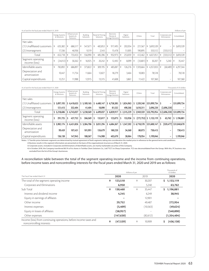| As of and for the fiscal year ended March 31, 2019 |   |                                      |   |                                          |   |                       |   |                                |   |                                              |   | Millions of yen      |   |           |    |           |                               |                           |   |              |
|----------------------------------------------------|---|--------------------------------------|---|------------------------------------------|---|-----------------------|---|--------------------------------|---|----------------------------------------------|---|----------------------|---|-----------|----|-----------|-------------------------------|---------------------------|---|--------------|
|                                                    |   | <b>Energy Systems</b><br>& Solutions |   | Infrastructure<br>Systems &<br>Solutions |   | Building<br>Solutions |   | Retail & Printing<br>Solutions |   | Electronic<br>Devices &<br>Storage Solutions |   | Digital<br>Solutions |   | Others    |    | Total     | Corporate and<br>Eliminations |                           |   | Consolidated |
| Net sales                                          |   |                                      |   |                                          |   |                       |   |                                |   |                                              |   |                      |   |           |    |           |                               |                           |   |              |
| (1) Unaffiliated customers                         | ¥ | 635,382                              | ¥ | 686,517                                  | ¥ | 547,671               | ¥ | 482,853                        | ¥ | 917,495                                      | ¥ | 202,054              | ¥ | 221,567   | ¥  | 3,693,539 | ¥                             | $\overline{\phantom{0}}$  |   | ¥ 3,693,539  |
| (2) Intersegment                                   |   | 17,336                               |   | 46,936                                   |   | 9,319                 |   | 2,543                          |   | 15,478                                       |   | 51,005               |   | 190,895   |    | 333,512   |                               | (333,512)                 |   |              |
| Total                                              | ¥ | 652,718                              | ¥ | 733,453                                  | ¥ | 556,990               | ¥ | 485,396                        | ¥ | 932,973                                      | ¥ | 253,059              | ¥ | 412,462   | ¥  | 4,027,051 | ¥                             | (333,512)                 | ¥ | 3,693,539    |
| Segment operating<br>income (loss)                 | ¥ | (24,012)                             | ¥ | 30,262                                   | ¥ | 16,925                | ¥ | 20,242                         | ¥ | 12,492                                       | ¥ | 8,099                | ¥ | (33,801)  | Ι¥ | 30,207    | ¥                             | 5,240                     | ¥ | 35,447       |
| Identifiable assets                                | ¥ | 782,892                              | ¥ | 686,897                                  | ¥ | 373,822               | ¥ | 309,195                        | ¥ | 485,087                                      | ¥ | 126,276              | ¥ | 1,593,664 | ¥  | 4,357,833 | ¥                             | $(60,489)$ \\ \end{Fig.\$ |   | 4,297,344    |
| Depreciation and<br>amortization                   |   | 10,447                               |   | 11,754                                   |   | 11,664                |   | 12,827                         |   | 18,279                                       |   | 3,464                |   | 10,083    |    | 78,518    |                               | $\overline{\phantom{0}}$  |   | 78,518       |
| Capital expenditures                               |   | 12,251                               |   | 11,988                                   |   | 12,915                |   | 13,315                         |   | 41,608                                       |   | 3,861                |   | 11,422    |    | 107,360   |                               | $\overline{\phantom{0}}$  |   | 107,360      |

| As of and for the fiscal year ended March 31, 2020                                                                                                                                         |                                      |                                          |                       |                                |                                              |                      |             |                          |                               | Thousands of US dollars   |
|--------------------------------------------------------------------------------------------------------------------------------------------------------------------------------------------|--------------------------------------|------------------------------------------|-----------------------|--------------------------------|----------------------------------------------|----------------------|-------------|--------------------------|-------------------------------|---------------------------|
|                                                                                                                                                                                            | <b>Energy Systems</b><br>& Solutions | Infrastructure<br>Systems &<br>Solutions | Building<br>Solutions | Retail & Printing<br>Solutions | Electronic<br>Devices &<br>Storage Solutions | Digital<br>Solutions | Others      | Total                    | Corporate and<br>Eliminations | Consolidated              |
| Net sales                                                                                                                                                                                  |                                      |                                          |                       |                                |                                              |                      |             |                          |                               |                           |
| (1) Unaffiliated customers                                                                                                                                                                 | \$5,097,193                          | \$6,410,633                              | \$5,189,165           | \$4,480,147                    | 6,758,385<br>S                               | \$1,824,963          | \$1,339,248 | \$31,099,734             |                               | \$31,099,734              |
| (2) Intersegment                                                                                                                                                                           | 121,413                              | 332,404                                  | 41,404                | 18,890                         | 81,532                                       | 490.266              | 1,610,311   | 2,696,220                | (2,696,220)                   |                           |
| Total                                                                                                                                                                                      | \$5,218,606                          | 6,743,037                                | \$5,230,569           | 4,499,037                      | 6,839,917                                    | \$2,315,229          | \$2,949,559 | \$33,795,954             | \$(2,696,220)                 | \$31,099,734              |
| Segment operating<br>income (loss)                                                                                                                                                         | 291,725                              | 437.752<br>Ŝ                             | 266,569<br>S          | 132,817<br>S                   | 123,073<br>S                                 | 153,936<br>Ŝ         | S           | $(272,753)$ \$ 1,133,119 | 63,762<br>-S                  | \$1,196,881               |
| Identifiable assets                                                                                                                                                                        | \$5,982,174                          | \$6,451,826                              | \$3,384,706           | \$3,031,294                    | 4,684,367                                    | \$1,347,202          | \$6,718,578 | \$31,600,147             | \$                            | $(559, 477)$ \$31,040,670 |
| Depreciation and<br>amortization                                                                                                                                                           | 99,459                               | 107,431                                  | 101,991               | 126,679                        | 180,220                                      | 34,560               | 80,073      | 730,413                  |                               | 730,413                   |
| Capital expenditures                                                                                                                                                                       | 136,138                              | 147,945                                  | 188,367               | 114,908                        | 402,670                                      | 30,064               | 178,954     | 1,199,046                |                               | 1,199,046                 |
| Notes: 1) Transfer prices between segments are determined by mutual agreement of both segments taking into consideration the market price in reference to the general terms and conditions |                                      |                                          |                       |                                |                                              |                      |             |                          |                               |                           |

Notes: 1) Transfer prices between segments are determined by mutual agreement of both segments taking into consideration the market price in reference to the general terms and conditions.

2) Business results in the segment information are presented on the basis of the organizational structure as of March 31, 2020.

3) Corporate assets, included in Corporate and Eliminations of Identifiable assets, are mainly marketable securities of the Company.

4) In October 2018, the Company transferred 80.1% of its shares in Toshiba Client Solutions Co., Ltd("TCS") to Sharp Corporation. TCS was deconsolidated from the Group. With this, PC business was excluded from the list of the Group's businesses.

A reconciliation table between the total of the segment operating income and the income from continuing operations, before income taxes and noncontrolling interests for the fiscal years ended March 31, 2020 and 2019 are as follows:

|                                                                                               | Millions of yen | Thousands of<br>US dollars |                 |
|-----------------------------------------------------------------------------------------------|-----------------|----------------------------|-----------------|
| The Fiscal Year ended March 31                                                                | 2020            | 2019                       | 2020            |
| The total of the segment operating income                                                     | 123,510<br>¥    | ¥<br>30.207                | 1,133,119<br>S. |
| Corporate and Eliminations                                                                    | 6,950           | 5,240                      | 63,762          |
| Sub Total                                                                                     | ¥<br>130.460    | ¥<br>35,447                | 1,196,881<br>S. |
| Interest and dividend income                                                                  | 4,245           | 6,249                      | 38,945          |
| Equity in earnings of affiliates                                                              |                 | 12,901                     |                 |
| Other income                                                                                  | 29,752          | 49.487                     | 272,954         |
| Interest expenses                                                                             | (5, 409)        | (10, 563)                  | (49, 624)       |
| Equity in losses of affiliates                                                                | (58, 957)       |                            | (540, 890)      |
| Other expenses                                                                                | (147, 630)      | (82,612)                   | (1,354,404)     |
| Income (loss) from continuing operations, before income taxes and<br>noncontrolling interests | (47, 539)<br>¥  | ¥<br>10.909                | (436, 138)      |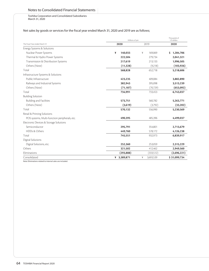## Net sales by goods or services for the fiscal year ended March 31, 2020 and 2019 are as follows;

|                                               | Millions of yen |             |      |           | Thousands of<br>US dollars |              |
|-----------------------------------------------|-----------------|-------------|------|-----------|----------------------------|--------------|
| The Fiscal Year ended March 31                | 2020            |             | 2019 |           | 2020                       |              |
| Energy Systems & Solutions                    |                 |             |      |           |                            |              |
| Nuclear Power Systems                         | ¥               | 140,033     | ¥    | 169,069   |                            | \$1,284,706  |
| Thermal & Hydro Power Systems                 |                 | 222,504     |      | 279,734   |                            | 2,041,321    |
| Transmission & Distribution Systems           |                 | 217,619     |      | 213,133   |                            | 1,996,505    |
| Others (Note)                                 |                 | (11, 328)   |      | (9,218)   |                            | (103, 926)   |
| Total                                         |                 | 568,828     |      | 652,718   |                            | 5,218,606    |
| Infrastructure Systems & Solutions            |                 |             |      |           |                            |              |
| Public Infrastructure                         |                 | 423,235     |      | 409,084   |                            | 3,882,890    |
| Railways and Industrial Systems               |                 | 382,943     |      | 395,098   |                            | 3,513,239    |
| Others (Note)                                 |                 | (71, 187)   |      | (70, 729) |                            | (653,092)    |
| Total                                         |                 | 734,991     |      | 733,453   |                            | 6,743,037    |
| <b>Building Solution</b>                      |                 |             |      |           |                            |              |
| <b>Building and Facilities</b>                |                 | 573,751     |      | 560,782   |                            | 5,263,771    |
| Others (Note)                                 |                 | (3,619)     |      | (3,792)   |                            | (33, 202)    |
| Total                                         |                 | 570,132     |      | 556,990   |                            | 5,230,569    |
| Retail & Printing Solutions                   |                 |             |      |           |                            |              |
| POS systems, Multi-function peripherals, etc. |                 | 490,395     |      | 485,396   |                            | 4,499,037    |
| Electronic Devices & Storage Solutions        |                 |             |      |           |                            |              |
| Semiconductor                                 |                 | 295,791     |      | 354,801   |                            | 2,713,679    |
| HDDs & Others                                 |                 | 449,760     |      | 578,172   |                            | 4,126,238    |
| Total                                         |                 | 745,551     |      | 932,973   |                            | 6,839,917    |
| <b>Digital Solutions</b>                      |                 |             |      |           |                            |              |
| Digital Solutions, etc.                       |                 | 252,360     |      | 253,059   |                            | 2,315,229    |
| Others                                        |                 | 321,502     |      | 412,462   |                            | 2,949,560    |
| Eliminations                                  |                 | (293, 888)  |      | (333,512) |                            | (2,696,221)  |
| Consolidated                                  |                 | ¥ 3,389,871 | ¥    | 3,693,539 |                            | \$31,099,734 |

Note: Eliminations related to internal sales are included.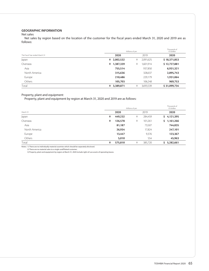## **GEOGRAPHIC INFORMATION**

## Net sales

Net sales by region based on the location of the customer for the fiscal years ended March 31, 2020 and 2019 are as follows:

|                                | Millions of yen | Thousands of<br>US dollars |              |
|--------------------------------|-----------------|----------------------------|--------------|
| The Fiscal Year ended March 31 | 2020            | 2019                       | 2020         |
| Japan                          | 2,002,532<br>¥  | 2,091,625<br>¥             | \$18,371,853 |
| Overseas                       | 1,387,339<br>¥  | 1,601,914<br>¥             | \$12,727,881 |
| Asia                           | 755,514         | 937,850                    | 6,931,321    |
| North America                  | 315,636         | 328,637                    | 2,895,743    |
| Europe                         | 210,486         | 229,179                    | 1,931,064    |
| Others                         | 105,703         | 106,248                    | 969,753      |
| Total                          | 3,389,871<br>¥  | ¥<br>3,693,539             | \$31,099,734 |

## Property, plant and equipment

Property, plant and equipment by region at March 31, 2020 and 2019 are as follows:

|               | Millions of yen |         |   |         |     | Thousands of<br>US dollars |  |
|---------------|-----------------|---------|---|---------|-----|----------------------------|--|
| March 31      |                 | 2020    |   | 2019    |     | 2020                       |  |
| Japan         | ¥               | 449,232 | ¥ | 284,459 |     | \$4,121,395                |  |
| Overseas      | ¥               | 126,578 | ¥ | 101,261 | \$. | 1,161,266                  |  |
| Asia          |                 | 81,187  |   | 73,507  |     | 744,835                    |  |
| North America |                 | 26,934  |   | 17,824  |     | 247,101                    |  |
| Europe        |                 | 13,447  |   | 9,376   |     | 123,367                    |  |
| Others        |                 | 5,010   |   | 554     |     | 45,963                     |  |
| Total         | ¥               | 575,810 | ¥ | 385,720 | \$. | 5,282,661                  |  |

Notes: 1) There are no individually material countries which should be separately disclosed.

2) There are no material sales to a single unaffiliated customer.

3) Property, plant and equipment by region at March 31, 2020 include right-of-use assets of operating leases.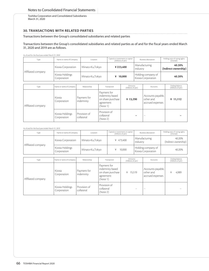## **30. TRANSACTIONS WITH RELATED PARTIES**

Transactions between the Group's consolidated subsidiaries and related parties

## Transactions between the Group's consolidated subsidiaries and related parties as of and for the fiscal years ended March 31, 2020 and 2019 are as follows.

As of and for the fiscal year ended March 31, 2020

| Type               | Name or name of Company        | Location        | Capital or investments in capital<br>(Millions of yen) | <b>Business description</b>              | Holding ratio of voting rights<br>(Owned) |
|--------------------|--------------------------------|-----------------|--------------------------------------------------------|------------------------------------------|-------------------------------------------|
| Affiliated company | Kioxia Corporation             | Minato-Ku,Tokyo | ¥223,400                                               | Manufacturing<br>industry                | 40.20%<br>(Indirect ownership)            |
|                    | Kioxia Holdings<br>Corporation | Minato-Ku,Tokyo | ¥ $10,000$                                             | Holding company of<br>Kioxia Corporation | 40.20%                                    |

| Type               | Name or name of Company        | Relationship               | Transaction                                                                  | Amounts<br>(Millions of yen) | Accounts                                           | Ending balance<br>(Millions of yen) |
|--------------------|--------------------------------|----------------------------|------------------------------------------------------------------------------|------------------------------|----------------------------------------------------|-------------------------------------|
| Affiliated company | Kioxia<br>Corporation          | Payment for<br>indemnity   | Payment for<br>indemnity based<br>on share purchase<br>agreement<br>(Note 1) | ¥ 13,290                     | Accounts payable,<br>other and<br>accrued expenses | $* 11,112$                          |
|                    | Kioxia Holdings<br>Corporation | Provision of<br>collateral | Provision of<br>collateral<br>(Note 2)                                       |                              |                                                    |                                     |

As of and for the fiscal year ended March 31, 2019

| Type               | Name or name of Company        | Location         | Capital or investments in capital<br>(Millions of yen) | <b>Business description</b>              | Holding ratio of voting rights<br>(Owned) |
|--------------------|--------------------------------|------------------|--------------------------------------------------------|------------------------------------------|-------------------------------------------|
| Affiliated company | Kioxia Corporation             | Minato-Ku, Tokyo | ¥ 473.400                                              | Manufacturing<br>industry                | 40.20%<br>(Indirect ownership)            |
|                    | Kioxia Holdings<br>Corporation | Minato-Ku, Tokyo | 10,000                                                 | Holding company of<br>Kioxia Corporation | 40.20%                                    |

| Type               | Name or name of Company        | Relationship               | Transaction                                                                  | Amounts<br>(Millions of yen) | Accounts                                           | Ending balance<br>(Millions of yen) |
|--------------------|--------------------------------|----------------------------|------------------------------------------------------------------------------|------------------------------|----------------------------------------------------|-------------------------------------|
| Affiliated company | Kioxia<br>Corporation          | Payment for<br>indemnity   | Payment for<br>indemnity based<br>on share purchase<br>agreement<br>(Note 1) | ¥ 15,519                     | Accounts payable,<br>other and<br>accrued expenses | 4,989                               |
|                    | Kioxia Holdings<br>Corporation | Provision of<br>collateral | Provision of<br>collateral<br>(Note 2)                                       |                              |                                                    |                                     |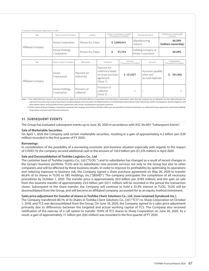| As of and for the fiscal year ended March 31, 2020 |  |  |  |
|----------------------------------------------------|--|--|--|
|                                                    |  |  |  |

| Type               | Name or name of Company        | Location        | Capital or investments in capital<br>(Thousands of US dollars) |                                          | Holding ratio of voting rights<br>(Owned) |
|--------------------|--------------------------------|-----------------|----------------------------------------------------------------|------------------------------------------|-------------------------------------------|
| Affiliated company | Kioxia Corporation             | Minato-Ku,Tokyo | \$2,049,541                                                    | Manufacturing<br>industry                | 40.20%<br>(Indirect ownership)            |
|                    | Kioxia Holdings<br>Corporation | Minato-Ku,Tokyo | 91,743                                                         | Holding company of<br>Kioxia Corporation | 40.20%                                    |

| Type               | Name or name of Company        | Relationship               | Transaction                                                                  | Amounts<br>(Thousands of US dollars) | Accounts                                           | Ending balance<br>(Thousands of US dollars) |
|--------------------|--------------------------------|----------------------------|------------------------------------------------------------------------------|--------------------------------------|----------------------------------------------------|---------------------------------------------|
| Affiliated company | Kioxia<br>Corporation          | Payment for<br>indemnity   | Payment for<br>indemnity based<br>on share purchase<br>agreement<br>(Note 1) | \$121,927                            | Accounts payable,<br>other and<br>accrued expenses | 101,945                                     |
|                    | Kioxia Holdings<br>Corporation | Provision of<br>collateral | Provision of<br>collateral<br>(Note 2)                                       |                                      | $\overline{\phantom{a}}$                           |                                             |

Notes: 1) The indemnification clause in the share purchase agreement of Toshiba Memory Corporation) (currently Kioxia Corporation) states that the Company has an obligation for the indemnification for any losses incurred as the result of any breach of representations and warranties, the determination of a United States International Trade Commission (USITC) investigation, specific litigations and other patent claims, and any patent license agreements with certain counterparties specified in advance.

2) All the shares of Kioxia Holdings Corporation owned by the Company amounting to 83,956 million yen are provided to financial institutions as collateral for loan agreements that Kioxia Holdings Corporation concludes with financial institutions

## **31. SUBSEQUENT EVENTS**

The Group has evaluated subsequent events up to June 30, 2020 in accordance with ASC No.855 "Subsequent Events".

#### **Sale of Marketable Securities**

On April 1, 2020 the Company sold certain marketable securities, resulting in a gain of approximately 4.2 billion yen (\$39 million) recorded in the first quarter of FY 2020.

#### **Borrowings**

In consideration of the possibility of a worsening economic and business situation especially with regards to the impact of COVID-19, the company secured additional cash in the amount of 150.0 billion yen (\$1,376 million) in April 2020.

## **Sale and Deconsolidation of Toshiba Logistics Co., Ltd**

The customer base of Toshiba Logistics Co., Ltd ("TLOG ") and its subsidiaries has changed as a result of recent changes in the Group's business portfolio. TLOG and its subsidiaries now provide services not only to the Group but also to other companies and will be affected by these business results. In order to improve its profitability by optimizing its operations and reducing exposure to business risk, the Company signed a share purchase agreement on May 26, 2020 to transfer 66.6% of its shares in TLOG to SBS Holdings, Inc.("SBSHD"). The company anticipates the completion of all necessary procedures by October 1, 2020. The transfer price is approximately 20.0 billion yen (\$183 million), and the gain on sale from this business transfer of approximately 23.0 billion yen (\$211 million) will be recorded in the period the transaction closes. Subsequent to the share transfer, the Company will continue to hold a 33.4% interest in TLOG. TLOG will be deconsolidated from the Group, and will become an affiliated company, accounted for as an equity method investment.

#### **Sales price adjustment for transfer of shares in Toshiba Client Solutions Co., Ltd. (now renamed Dynabook Inc.).**

The Company transferred 80.1% of its shares in Toshiba Client Solutions Co., Ltd ("TCS") to Sharp Corporation on October 1, 2018, and TCS was deconsolidated from the Group. On June 18, 2020, the Company agreed to a sales price adjustment primarily due to differences between the targeted and actual working capital of TCS. The Company also received notification of the exercise of a call option to transfer 19.9% of TCS shares to Sharp Corporation on June 30, 2020. As a result, a gain of approximately 7.1 billion yen (\$65 million) was recorded in the first quarter of FY 2020.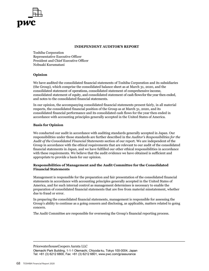

## **INDEPENDENT AUDITOR'S REPORT**

**Toshiba Corporation** Representative Executive Officer President and Chief Executive Officer Nobuaki Kurumatani

## Opinion

We have audited the consolidated financial statements of Toshiba Corporation and its subsidiaries (the Group), which comprise the consolidated balance sheet as at March 31, 2020, and the consolidated statement of operations, consolidated statement of comprehensive income, consolidated statement of equity, and consolidated statement of cash flows for the year then ended, and notes to the consolidated financial statements.

In our opinion, the accompanying consolidated financial statements present fairly, in all material respects, the consolidated financial position of the Group as at March 31, 2020, and its consolidated financial performance and its consolidated cash flows for the year then ended in accordance with accounting principles generally accepted in the United States of America.

## **Basis for Opinion**

We conducted our audit in accordance with auditing standards generally accepted in Japan. Our responsibilities under those standards are further described in the Auditor's Responsibilities for the Audit of the Consolidated Financial Statements section of our report. We are independent of the Group in accordance with the ethical requirements that are relevant to our audit of the consolidated financial statements in Japan, and we have fulfilled our other ethical responsibilities in accordance with these requirements. We believe that the audit evidence we have obtained is sufficient and appropriate to provide a basis for our opinion.

## Responsibilities of Management and the Audit Committee for the Consolidated **Financial Statements**

Management is responsible for the preparation and fair presentation of the consolidated financial statements in accordance with accounting principles generally accepted in the United States of America, and for such internal control as management determines is necessary to enable the preparation of consolidated financial statements that are free from material misstatement, whether due to fraud or error.

In preparing the consolidated financial statements, management is responsible for assessing the Group's ability to continue as a going concern and disclosing, as applicable, matters related to going concern.

The Audit Committee are responsible for overseeing the Group's financial reporting process.

PricewaterhouseCoopers Aarata LLC

Otemachi Park Building, 1-1-1 Otemachi, Chiyoda-ku, Tokyo 100-0004, Japan Tel: +81 (3) 6212 6800, Fax: +81 (3) 6212 6801, www.pwc.com/jp/assurance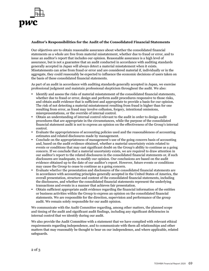

## Auditor's Responsibilities for the Audit of the Consolidated Financial Statements

Our objectives are to obtain reasonable assurance about whether the consolidated financial statements as a whole are free from material misstatement, whether due to fraud or error, and to issue an auditor's report that includes our opinion. Reasonable assurance is a high level of assurance, but is not a guarantee that an audit conducted in accordance with auditing standards generally accepted in Japan will always detect a material misstatement when it exists. Misstatements can arise from fraud or error and are considered material if, individually or in the aggregate, they could reasonably be expected to influence the economic decisions of users taken on the basis of these consolidated financial statements.

As part of an audit in accordance with auditing standards generally accepted in Japan, we exercise professional judgment and maintain professional skepticism throughout the audit. We also:

- Identify and assess the risks of material misstatement of the consolidated financial statements, whether due to fraud or error, design and perform audit procedures responsive to those risks, and obtain audit evidence that is sufficient and appropriate to provide a basis for our opinion. The risk of not detecting a material misstatement resulting from fraud is higher than for one resulting from error, as fraud may involve collusion, forgery, intentional omissions, misrepresentations, or the override of internal control.
- Obtain an understanding of internal control relevant to the audit in order to design audit procedures that are appropriate in the circumstances, while the purpose of the consolidated financial statement audit is not to express an opinion on the effectiveness of the Group's internal control.
- Evaluate the appropriateness of accounting policies used and the reasonableness of accounting estimates and related disclosures made by management.
- Conclude on the appropriateness of management's use of the going concern basis of accounting and, based on the audit evidence obtained, whether a material uncertainty exists related to events or conditions that may cast significant doubt on the Group's ability to continue as a going concern. If we conclude that a material uncertainty exists, we are required to draw attention in our auditor's report to the related disclosures in the consolidated financial statements or, if such disclosures are inadequate, to modify our opinion. Our conclusions are based on the audit evidence obtained up to the date of our auditor's report. However, future events or conditions may cause the Group to cease to continue as a going concern.
- Evaluate whether the presentation and disclosures of the consolidated financial statements are in accordance with accounting principles generally accepted in the United States of America, the overall presentation, structure and content of the consolidated financial statements, including the disclosures, and whether the consolidated financial statements represent the underlying transactions and events in a manner that achieves fair presentation.
- Obtain sufficient appropriate audit evidence regarding the financial information of the entities or business activities within the Group to express an opinion on the consolidated financial statements. We are responsible for the direction, supervision and performance of the group audit. We remain solely responsible for our audit opinion.

We communicate with the Audit Committee regarding, among other matters, the planned scope and timing of the audit and significant audit findings, including any significant deficiencies in internal control that we identify during our audit.

We also provide the Audit Committee with a statement that we have complied with relevant ethical requirements regarding independence, and to communicate with them all relationships and other matters that may reasonably be thought to bear on our independence, and where applicable, related safeguards.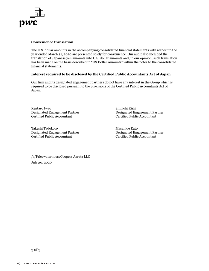

## **Convenience translation**

The U.S. dollar amounts in the accompanying consolidated financial statements with respect to the year ended March 31, 2020 are presented solely for convenience. Our audit also included the translation of Japanese ven amounts into U.S. dollar amounts and, in our opinion, such translation has been made on the basis described in "US Dollar Amounts" within the notes to the consolidated financial statements

## Interest required to be disclosed by the Certified Public Accountants Act of Japan

Our firm and its designated engagement partners do not have any interest in the Group which is required to be disclosed pursuant to the provisions of the Certified Public Accountants Act of Japan.

Kentaro Iwao Designated Engagement Partner Certified Public Accountant

Takeshi Tadokoro Designated Engagement Partner Certified Public Accountant

Shinichi Kishi Designated Engagement Partner Certified Public Accountant

Masahide Kato Designated Engagement Partner Certified Public Accountant

/s/PricewaterhouseCoopers Aarata LLC July 30, 2020